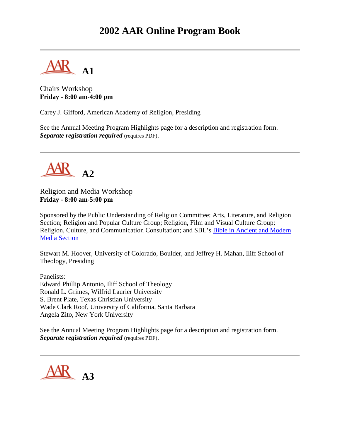# **2002 AAR Online Program Book**

**A1**

Chairs Workshop **Friday - 8:00 am-4:00 pm**

Carey J. Gifford, American Academy of Religion, Presiding

See the Annual Meeting Program Highlights page for a description and registration form. *Separate registration required* (requires PDF).



Religion and Media Workshop **Friday - 8:00 am-5:00 pm**

Sponsored by the Public Understanding of Religion Committee; Arts, Literature, and Religion Section; Religion and Popular Culture Group; Religion, Film and Visual Culture Group; Religion, Culture, and Communication Consultation; and SBL's [Bible in Ancient and Modern](http://www.sbl-site.org/Congresses/AM/ProgramUnits/programunit-pages.html)  [Media Section](http://www.sbl-site.org/Congresses/AM/ProgramUnits/programunit-pages.html)

Stewart M. Hoover, University of Colorado, Boulder, and Jeffrey H. Mahan, Iliff School of Theology, Presiding

Panelists: Edward Phillip Antonio, Iliff School of Theology Ronald L. Grimes, Wilfrid Laurier University S. Brent Plate, Texas Christian University Wade Clark Roof, University of California, Santa Barbara Angela Zito, New York University

See the Annual Meeting Program Highlights page for a description and registration form. *Separate registration required* (requires PDF).

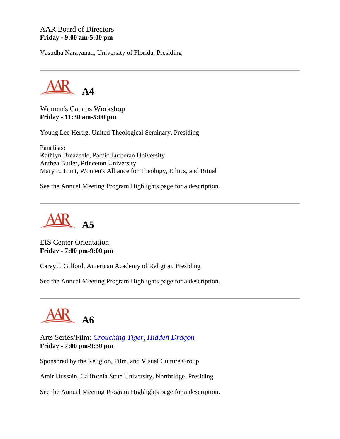### AAR Board of Directors **Friday - 9:00 am-5:00 pm**

Vasudha Narayanan, University of Florida, Presiding



Women's Caucus Workshop **Friday - 11:30 am-5:00 pm**

Young Lee Hertig, United Theological Seminary, Presiding

Panelists: Kathlyn Breazeale, Pacfic Lutheran University Anthea Butler, Princeton University Mary E. Hunt, Women's Alliance for Theology, Ethics, and Ritual

See the Annual Meeting Program Highlights page for a description.



EIS Center Orientation **Friday - 7:00 pm-9:00 pm**

Carey J. Gifford, American Academy of Religion, Presiding

See the Annual Meeting Program Highlights page for a description.



Arts Series/Film: *[Crouching Tiger, Hidden Dragon](http://www.crouchingtiger.com/)* **Friday - 7:00 pm-9:30 pm**

Sponsored by the Religion, Film, and Visual Culture Group

Amir Hussain, California State University, Northridge, Presiding

See the Annual Meeting Program Highlights page for a description.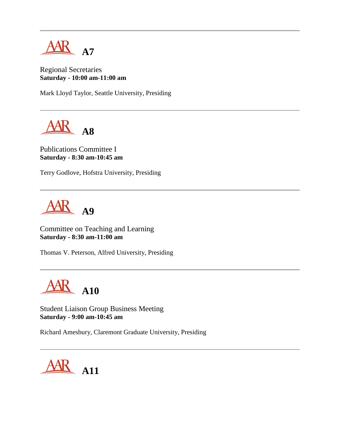

Regional Secretaries **Saturday - 10:00 am-11:00 am**

Mark Lloyd Taylor, Seattle University, Presiding



Publications Committee I **Saturday - 8:30 am-10:45 am**

Terry Godlove, Hofstra University, Presiding



Committee on Teaching and Learning **Saturday - 8:30 am-11:00 am**

Thomas V. Peterson, Alfred University, Presiding

**A10**

Student Liaison Group Business Meeting **Saturday - 9:00 am-10:45 am**

Richard Amesbury, Claremont Graduate University, Presiding

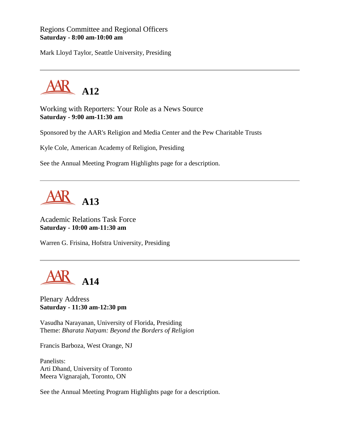### Regions Committee and Regional Officers **Saturday - 8:00 am-10:00 am**

Mark Lloyd Taylor, Seattle University, Presiding



Working with Reporters: Your Role as a News Source **Saturday - 9:00 am-11:30 am**

Sponsored by the AAR's Religion and Media Center and the Pew Charitable Trusts

Kyle Cole, American Academy of Religion, Presiding

See the Annual Meeting Program Highlights page for a description.



Academic Relations Task Force **Saturday - 10:00 am-11:30 am**

Warren G. Frisina, Hofstra University, Presiding



Plenary Address **Saturday - 11:30 am-12:30 pm**

Vasudha Narayanan, University of Florida, Presiding Theme: *Bharata Natyam: Beyond the Borders of Religion*

Francis Barboza, West Orange, NJ

Panelists: Arti Dhand, University of Toronto Meera Vignarajah, Toronto, ON

See the Annual Meeting Program Highlights page for a description.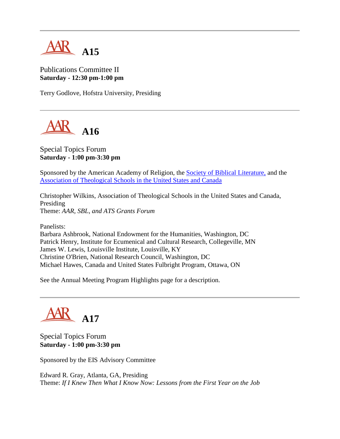

# Publications Committee II **Saturday - 12:30 pm-1:00 pm**

Terry Godlove, Hofstra University, Presiding



# Special Topics Forum **Saturday - 1:00 pm-3:30 pm**

Sponsored by the American Academy of Religion, the [Society of Biblical Literature,](http://www.sbl-site.org/) and the [Association of Theological Schools in the United States and Canada](http://www.ats.edu/)

Christopher Wilkins, Association of Theological Schools in the United States and Canada, Presiding Theme: *AAR, SBL, and ATS Grants Forum*

Panelists:

Barbara Ashbrook, National Endowment for the Humanities, Washington, DC Patrick Henry, Institute for Ecumenical and Cultural Research, Collegeville, MN James W. Lewis, Louisville Institute, Louisville, KY Christine O'Brien, National Research Council, Washington, DC Michael Hawes, Canada and United States Fulbright Program, Ottawa, ON

See the Annual Meeting Program Highlights page for a description.



Special Topics Forum **Saturday - 1:00 pm-3:30 pm**

Sponsored by the EIS Advisory Committee

Edward R. Gray, Atlanta, GA, Presiding Theme: *If I Knew Then What I Know Now: Lessons from the First Year on the Job*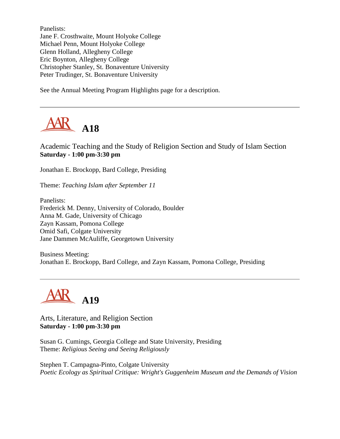Panelists: Jane F. Crosthwaite, Mount Holyoke College Michael Penn, Mount Holyoke College Glenn Holland, Allegheny College Eric Boynton, Allegheny College Christopher Stanley, St. Bonaventure University Peter Trudinger, St. Bonaventure University

See the Annual Meeting Program Highlights page for a description.



Academic Teaching and the Study of Religion Section and Study of Islam Section **Saturday - 1:00 pm-3:30 pm**

Jonathan E. Brockopp, Bard College, Presiding

Theme: *Teaching Islam after September 11*

Panelists: Frederick M. Denny, University of Colorado, Boulder Anna M. Gade, University of Chicago Zayn Kassam, Pomona College Omid Safi, Colgate University Jane Dammen McAuliffe, Georgetown University

Business Meeting: Jonathan E. Brockopp, Bard College, and Zayn Kassam, Pomona College, Presiding



Arts, Literature, and Religion Section **Saturday - 1:00 pm-3:30 pm**

Susan G. Cumings, Georgia College and State University, Presiding Theme: *Religious Seeing and Seeing Religiously*

Stephen T. Campagna-Pinto, Colgate University *Poetic Ecology as Spiritual Critique: Wright's Guggenheim Museum and the Demands of Vision*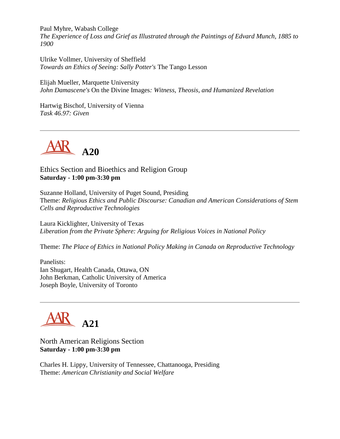Paul Myhre, Wabash College *The Experience of Loss and Grief as Illustrated through the Paintings of Edvard Munch, 1885 to 1900*

Ulrike Vollmer, University of Sheffield *Towards an Ethics of Seeing: Sally Potter's* The Tango Lesson

Elijah Mueller, Marquette University *John Damascene's* On the Divine Images*: Witness, Theosis, and Humanized Revelation*

Hartwig Bischof, University of Vienna *Task 46.97: Given*



Ethics Section and Bioethics and Religion Group **Saturday - 1:00 pm-3:30 pm**

Suzanne Holland, University of Puget Sound, Presiding Theme: *Religious Ethics and Public Discourse: Canadian and American Considerations of Stem Cells and Reproductive Technologies*

Laura Kicklighter, University of Texas *Liberation from the Private Sphere: Arguing for Religious Voices in National Policy*

Theme: *The Place of Ethics in National Policy Making in Canada on Reproductive Technology*

Panelists: Ian Shugart, Health Canada, Ottawa, ON John Berkman, Catholic University of America Joseph Boyle, University of Toronto



North American Religions Section **Saturday - 1:00 pm-3:30 pm**

Charles H. Lippy, University of Tennessee, Chattanooga, Presiding Theme: *American Christianity and Social Welfare*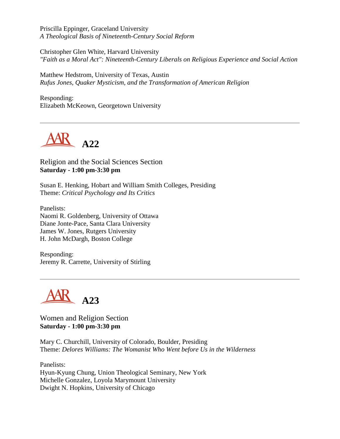Priscilla Eppinger, Graceland University *A Theological Basis of Nineteenth-Century Social Reform*

Christopher Glen White, Harvard University *"Faith as a Moral Act": Nineteenth-Century Liberals on Religious Experience and Social Action*

Matthew Hedstrom, University of Texas, Austin *Rufus Jones, Quaker Mysticism, and the Transformation of American Religion*

Responding: Elizabeth McKeown, Georgetown University



Religion and the Social Sciences Section **Saturday - 1:00 pm-3:30 pm**

Susan E. Henking, Hobart and William Smith Colleges, Presiding Theme: *Critical Psychology and Its Critics*

Panelists: Naomi R. Goldenberg, University of Ottawa Diane Jonte-Pace, Santa Clara University James W. Jones, Rutgers University H. John McDargh, Boston College

Responding: Jeremy R. Carrette, University of Stirling



Women and Religion Section **Saturday - 1:00 pm-3:30 pm**

Mary C. Churchill, University of Colorado, Boulder, Presiding Theme: *Delores Williams: The Womanist Who Went before Us in the Wilderness*

Panelists: Hyun-Kyung Chung, Union Theological Seminary, New York Michelle Gonzalez, Loyola Marymount University Dwight N. Hopkins, University of Chicago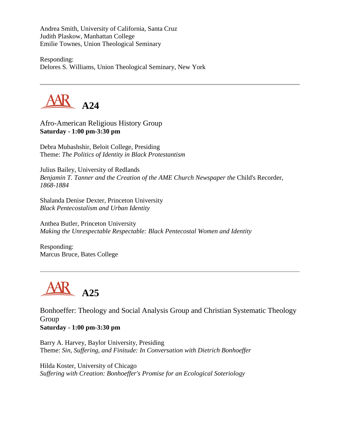Andrea Smith, University of California, Santa Cruz Judith Plaskow, Manhattan College Emilie Townes, Union Theological Seminary

Responding: Delores S. Williams, Union Theological Seminary, New York



Afro-American Religious History Group **Saturday - 1:00 pm-3:30 pm**

Debra Mubashshir, Beloit College, Presiding Theme: *The Politics of Identity in Black Protestantism*

Julius Bailey, University of Redlands *Benjamin T. Tanner and the Creation of the AME Church Newspaper the Child's Recorder, 1868-1884*

Shalanda Denise Dexter, Princeton University *Black Pentecostalism and Urban Identity*

Anthea Butler, Princeton University *Making the Unrespectable Respectable: Black Pentecostal Women and Identity*

Responding: Marcus Bruce, Bates College



Bonhoeffer: Theology and Social Analysis Group and Christian Systematic Theology Group **Saturday - 1:00 pm-3:30 pm**

Barry A. Harvey, Baylor University, Presiding Theme: *Sin, Suffering, and Finitude: In Conversation with Dietrich Bonhoeffer*

Hilda Koster, University of Chicago *Suffering with Creation: Bonhoeffer's Promise for an Ecological Soteriology*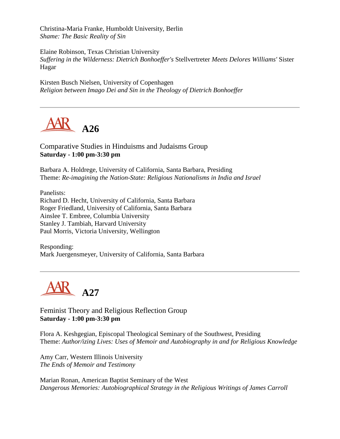Christina-Maria Franke, Humboldt University, Berlin *Shame: The Basic Reality of Sin*

Elaine Robinson, Texas Christian University *Suffering in the Wilderness: Dietrich Bonhoeffer's* Stellvertreter *Meets Delores Williams'* Sister Hagar

Kirsten Busch Nielsen, University of Copenhagen *Religion between Imago Dei and Sin in the Theology of Dietrich Bonhoeffer*



Comparative Studies in Hinduisms and Judaisms Group **Saturday - 1:00 pm-3:30 pm**

Barbara A. Holdrege, University of California, Santa Barbara, Presiding Theme: *Re-imagining the Nation-State: Religious Nationalisms in India and Israel*

Panelists: Richard D. Hecht, University of California, Santa Barbara Roger Friedland, University of California, Santa Barbara Ainslee T. Embree, Columbia University Stanley J. Tambiah, Harvard University Paul Morris, Victoria University, Wellington

Responding: Mark Juergensmeyer, University of California, Santa Barbara

**AR** A27

Feminist Theory and Religious Reflection Group **Saturday - 1:00 pm-3:30 pm**

Flora A. Keshgegian, Episcopal Theological Seminary of the Southwest, Presiding Theme: *Author/izing Lives: Uses of Memoir and Autobiography in and for Religious Knowledge*

Amy Carr, Western Illinois University *The Ends of Memoir and Testimony*

Marian Ronan, American Baptist Seminary of the West *Dangerous Memories: Autobiographical Strategy in the Religious Writings of James Carroll*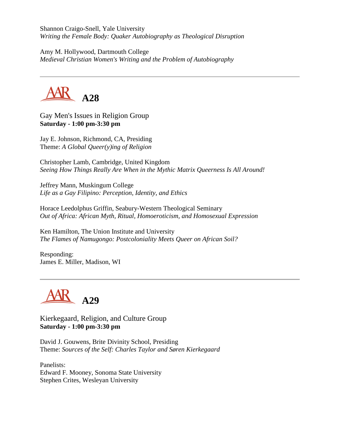Shannon Craigo-Snell, Yale University *Writing the Female Body: Quaker Autobiography as Theological Disruption*

Amy M. Hollywood, Dartmouth College *Medieval Christian Women's Writing and the Problem of Autobiography*



Gay Men's Issues in Religion Group **Saturday - 1:00 pm-3:30 pm**

Jay E. Johnson, Richmond, CA, Presiding Theme: *A Global Queer(y)ing of Religion*

Christopher Lamb, Cambridge, United Kingdom *Seeing How Things Really Are When in the Mythic Matrix Queerness Is All Around!*

Jeffrey Mann, Muskingum College *Life as a Gay Filipino: Perception, Identity, and Ethics*

Horace Leedolphus Griffin, Seabury-Western Theological Seminary *Out of Africa: African Myth, Ritual, Homoeroticism, and Homosexual Expression*

Ken Hamilton, The Union Institute and University *The Flames of Namugongo: Postcoloniality Meets Queer on African Soil?*

Responding: James E. Miller, Madison, WI



Kierkegaard, Religion, and Culture Group **Saturday - 1:00 pm-3:30 pm**

David J. Gouwens, Brite Divinity School, Presiding Theme: *Sources of the Self: Charles Taylor and Søren Kierkegaard*

Panelists: Edward F. Mooney, Sonoma State University Stephen Crites, Wesleyan University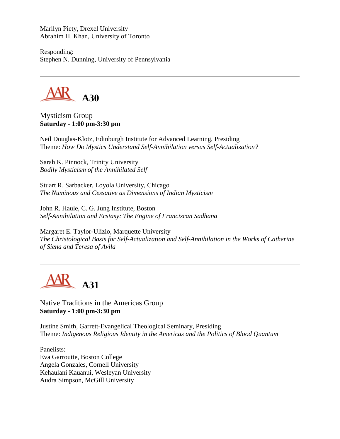Marilyn Piety, Drexel University Abrahim H. Khan, University of Toronto

Responding: Stephen N. Dunning, University of Pennsylvania



Mysticism Group **Saturday - 1:00 pm-3:30 pm**

Neil Douglas-Klotz, Edinburgh Institute for Advanced Learning, Presiding Theme: *How Do Mystics Understand Self-Annihilation versus Self-Actualization?*

Sarah K. Pinnock, Trinity University *Bodily Mysticism of the Annihilated Self*

Stuart R. Sarbacker, Loyola University, Chicago *The Numinous and Cessative as Dimensions of Indian Mysticism*

John R. Haule, C. G. Jung Institute, Boston *Self-Annihilation and Ecstasy: The Engine of Franciscan Sadhana*

Margaret E. Taylor-Ulizio, Marquette University *The Christological Basis for Self-Actualization and Self-Annihilation in the Works of Catherine of Siena and Teresa of Avila*



Native Traditions in the Americas Group **Saturday - 1:00 pm-3:30 pm**

Justine Smith, Garrett-Evangelical Theological Seminary, Presiding Theme: *Indigenous Religious Identity in the Americas and the Politics of Blood Quantum*

Panelists: Eva Garroutte, Boston College Angela Gonzales, Cornell University Kehaulani Kauanui, Wesleyan University Audra Simpson, McGill University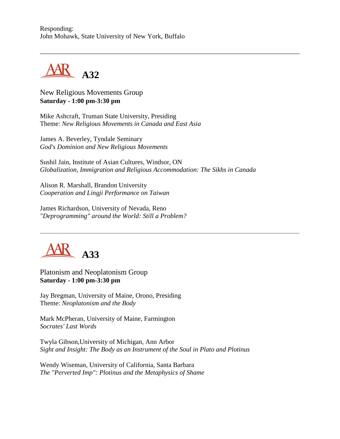Responding: John Mohawk, State University of New York, Buffalo



New Religious Movements Group **Saturday - 1:00 pm-3:30 pm**

Mike Ashcraft, Truman State University, Presiding Theme: *New Religious Movements in Canada and East Asia*

James A. Beverley, Tyndale Seminary *God's Dominion and New Religious Movements*

Sushil Jain, Institute of Asian Cultures, Windsor, ON *Globalization, Immigration and Religious Accommodation: The Sikhs in Canada*

Alison R. Marshall, Brandon University *Cooperation and Lingji Performance on Taiwan*

James Richardson, University of Nevada, Reno *"Deprogramming" around the World: Still a Problem?*



Platonism and Neoplatonism Group **Saturday - 1:00 pm-3:30 pm**

Jay Bregman, University of Maine, Orono, Presiding Theme: *Neoplatonism and the Body*

Mark McPheran, University of Maine, Farmington *Socrates' Last Words*

Twyla Gibson,University of Michigan, Ann Arbor *Sight and Insight: The Body as an Instrument of the Soul in Plato and Plotinus*

Wendy Wiseman, University of California, Santa Barbara *The "Perverted Imp": Plotinus and the Metaphysics of Shame*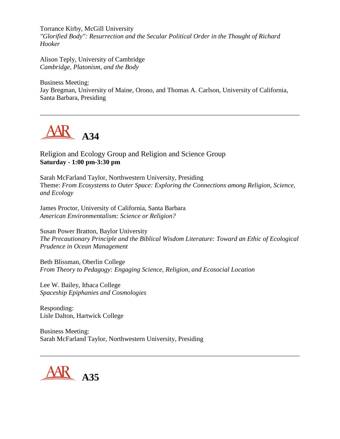Torrance Kirby, McGill University *"Glorified Body": Resurrection and the Secular Political Order in the Thought of Richard Hooker*

Alison Teply, University of Cambridge *Cambridge, Platonism, and the Body*

Business Meeting: Jay Bregman, University of Maine, Orono, and Thomas A. Carlson, University of California, Santa Barbara, Presiding



Religion and Ecology Group and Religion and Science Group **Saturday - 1:00 pm-3:30 pm**

Sarah McFarland Taylor, Northwestern University, Presiding Theme: *From Ecosystems to Outer Space: Exploring the Connections among Religion, Science, and Ecology*

James Proctor, University of California, Santa Barbara *American Environmentalism: Science or Religion?*

Susan Power Bratton, Baylor University *The Precautionary Principle and the Biblical Wisdom Literature: Toward an Ethic of Ecological Prudence in Ocean Management*

Beth Blissman, Oberlin College *From Theory to Pedagogy: Engaging Science, Religion, and Ecosocial Location*

Lee W. Bailey, Ithaca College *Spaceship Epiphanies and Cosmologies*

Responding: Lisle Dalton, Hartwick College

Business Meeting: Sarah McFarland Taylor, Northwestern University, Presiding

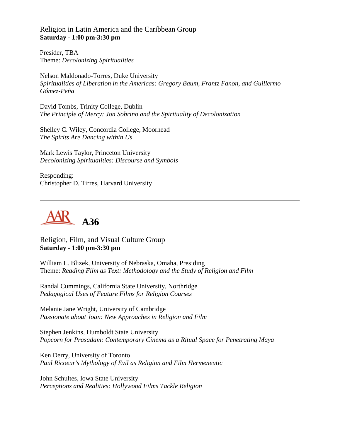Religion in Latin America and the Caribbean Group **Saturday - 1:00 pm-3:30 pm**

Presider, TBA Theme: *Decolonizing Spiritualities*

Nelson Maldonado-Torres, Duke University *Spiritualities of Liberation in the Americas: Gregory Baum, Frantz Fanon, and Guillermo Gómez-Peña*

David Tombs, Trinity College, Dublin *The Principle of Mercy: Jon Sobrino and the Spirituality of Decolonization*

Shelley C. Wiley, Concordia College, Moorhead *The Spirits Are Dancing within Us*

Mark Lewis Taylor, Princeton University *Decolonizing Spiritualities: Discourse and Symbols*

Responding: Christopher D. Tirres, Harvard University



Religion, Film, and Visual Culture Group **Saturday - 1:00 pm-3:30 pm**

William L. Blizek, University of Nebraska, Omaha, Presiding Theme: *Reading Film as Text: Methodology and the Study of Religion and Film*

Randal Cummings, California State University, Northridge *Pedagogical Uses of Feature Films for Religion Courses*

Melanie Jane Wright, University of Cambridge *Passionate about Joan: New Approaches in Religion and Film*

Stephen Jenkins, Humboldt State University *Popcorn for Prasadam: Contemporary Cinema as a Ritual Space for Penetrating Maya*

Ken Derry, University of Toronto *Paul Ricoeur's Mythology of Evil as Religion and Film Hermeneutic*

John Schultes, Iowa State University *Perceptions and Realities: Hollywood Films Tackle Religion*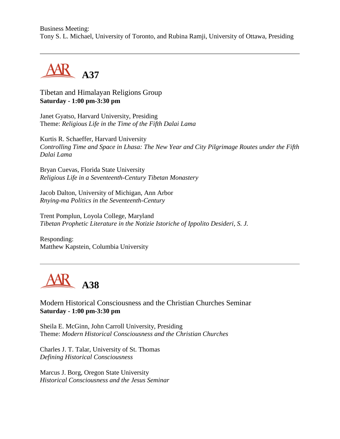Business Meeting: Tony S. L. Michael, University of Toronto, and Rubina Ramji, University of Ottawa, Presiding



Tibetan and Himalayan Religions Group **Saturday - 1:00 pm-3:30 pm**

Janet Gyatso, Harvard University, Presiding Theme: *Religious Life in the Time of the Fifth Dalai Lama*

Kurtis R. Schaeffer, Harvard University *Controlling Time and Space in Lhasa: The New Year and City Pilgrimage Routes under the Fifth Dalai Lama*

Bryan Cuevas, Florida State University *Religious Life in a Seventeenth-Century Tibetan Monastery*

Jacob Dalton, University of Michigan, Ann Arbor *Rnying-ma Politics in the Seventeenth-Century*

Trent Pomplun, Loyola College, Maryland *Tibetan Prophetic Literature in the Notizie Istoriche of Ippolito Desideri, S. J.*

Responding: Matthew Kapstein, Columbia University



Modern Historical Consciousness and the Christian Churches Seminar **Saturday - 1:00 pm-3:30 pm**

Sheila E. McGinn, John Carroll University, Presiding Theme: *Modern Historical Consciousness and the Christian Churches*

Charles J. T. Talar, University of St. Thomas *Defining Historical Consciousness*

Marcus J. Borg, Oregon State University *Historical Consciousness and the Jesus Seminar*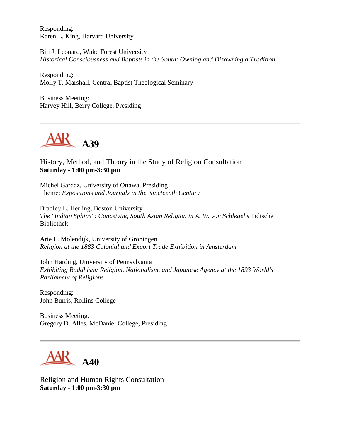Responding: Karen L. King, Harvard University

Bill J. Leonard, Wake Forest University *Historical Consciousness and Baptists in the South: Owning and Disowning a Tradition*

Responding: Molly T. Marshall, Central Baptist Theological Seminary

Business Meeting: Harvey Hill, Berry College, Presiding



History, Method, and Theory in the Study of Religion Consultation **Saturday - 1:00 pm-3:30 pm**

Michel Gardaz, University of Ottawa, Presiding Theme: *Expositions and Journals in the Nineteenth Century*

Bradley L. Herling, Boston University *The "Indian Sphinx": Conceiving South Asian Religion in A. W. von Schlegel's* Indische Bibliothek

Arie L. Molendijk, University of Groningen *Religion at the 1883 Colonial and Export Trade Exhibition in Amsterdam*

John Harding, University of Pennsylvania *Exhibiting Buddhism: Religion, Nationalism, and Japanese Agency at the 1893 World's Parliament of Religions*

Responding: John Burris, Rollins College

Business Meeting: Gregory D. Alles, McDaniel College, Presiding



Religion and Human Rights Consultation **Saturday - 1:00 pm-3:30 pm**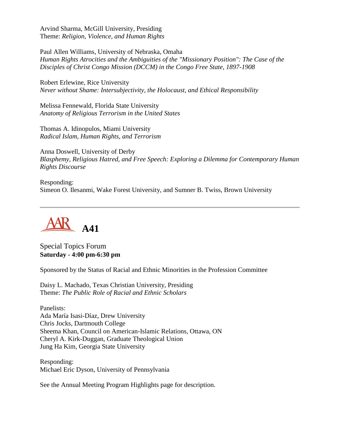Arvind Sharma, McGill University, Presiding Theme: *Religion, Violence, and Human Rights*

Paul Allen Williams, University of Nebraska, Omaha *Human Rights Atrocities and the Ambiguities of the "Missionary Position": The Case of the Disciples of Christ Congo Mission (DCCM) in the Congo Free State, 1897-1908*

Robert Erlewine, Rice University *Never without Shame: Intersubjectivity, the Holocaust, and Ethical Responsibility*

Melissa Fennewald, Florida State University *Anatomy of Religious Terrorism in the United States*

Thomas A. Idinopulos, Miami University *Radical Islam, Human Rights, and Terrorism*

Anna Doswell, University of Derby *Blasphemy, Religious Hatred, and Free Speech: Exploring a Dilemma for Contemporary Human Rights Discourse*

Responding: Simeon O. Ilesanmi, Wake Forest University, and Sumner B. Twiss, Brown University



Special Topics Forum **Saturday - 4:00 pm-6:30 pm**

Sponsored by the Status of Racial and Ethnic Minorities in the Profession Committee

Daisy L. Machado, Texas Christian University, Presiding Theme: *The Public Role of Racial and Ethnic Scholars*

Panelists: Ada María Isasi-Díaz, Drew University Chris Jocks, Dartmouth College Sheema Khan, Council on American-Islamic Relations, Ottawa, ON Cheryl A. Kirk-Duggan, Graduate Theological Union Jung Ha Kim, Georgia State University

Responding: Michael Eric Dyson, University of Pennsylvania

See the Annual Meeting Program Highlights page for description.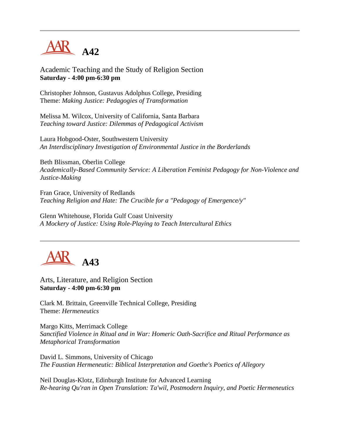

Academic Teaching and the Study of Religion Section **Saturday - 4:00 pm-6:30 pm**

Christopher Johnson, Gustavus Adolphus College, Presiding Theme: *Making Justice: Pedagogies of Transformation*

Melissa M. Wilcox, University of California, Santa Barbara *Teaching toward Justice: Dilemmas of Pedagogical Activism*

Laura Hobgood-Oster, Southwestern University *An Interdisciplinary Investigation of Environmental Justice in the Borderlands*

Beth Blissman, Oberlin College *Academically-Based Community Service: A Liberation Feminist Pedagogy for Non-Violence and Justice-Making*

Fran Grace, University of Redlands *Teaching Religion and Hate: The Crucible for a "Pedagogy of Emergence/y"*

Glenn Whitehouse, Florida Gulf Coast University *A Mockery of Justice: Using Role-Playing to Teach Intercultural Ethics*



Arts, Literature, and Religion Section **Saturday - 4:00 pm-6:30 pm**

Clark M. Brittain, Greenville Technical College, Presiding Theme: *Hermeneutics*

Margo Kitts, Merrimack College *Sanctified Violence in Ritual and in War: Homeric Oath-Sacrifice and Ritual Performance as Metaphorical Transformation*

David L. Simmons, University of Chicago *The Faustian Hermeneutic: Biblical Interpretation and Goethe's Poetics of Allegory*

Neil Douglas-Klotz, Edinburgh Institute for Advanced Learning *Re-hearing Qu'ran in Open Translation: Ta'wil, Postmodern Inquiry, and Poetic Hermeneutics*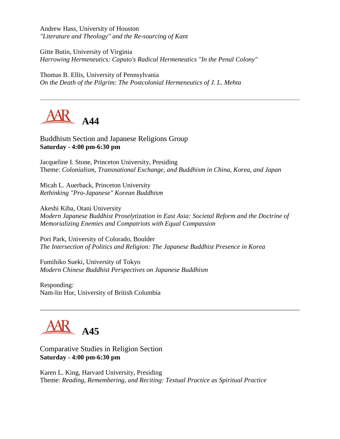Andrew Hass, University of Houston *"Literature and Theology" and the Re-sourcing of Kant*

Gitte Butin, University of Virginia *Harrowing Hermeneutics: Caputo's Radical Hermeneutics "In the Penal Colony"*

Thomas B. Ellis, University of Pennsylvania *On the Death of the Pilgrim: The Postcolonial Hermeneutics of J. L. Mehta*



Buddhism Section and Japanese Religions Group **Saturday - 4:00 pm-6:30 pm**

Jacqueline I. Stone, Princeton University, Presiding Theme: *Colonialism, Transnational Exchange, and Buddhism in China, Korea, and Japan*

Micah L. Auerback, Princeton University *Rethinking "Pro-Japanese" Korean Buddhism*

Akeshi Kiba, Otani University *Modern Japanese Buddhist Proselytization in East Asia: Societal Reform and the Doctrine of Memorializing Enemies and Compatriots with Equal Compassion*

Pori Park, University of Colorado, Boulder *The Intersection of Politics and Religion: The Japanese Buddhist Presence in Korea*

Fumihiko Sueki, University of Tokyo *Modern Chinese Buddhist Perspectives on Japanese Buddhism*

Responding: Nam-lin Hur, University of British Columbia



Comparative Studies in Religion Section **Saturday - 4:00 pm-6:30 pm**

Karen L. King, Harvard University, Presiding Theme: *Reading, Remembering, and Reciting: Textual Practice as Spiritual Practice*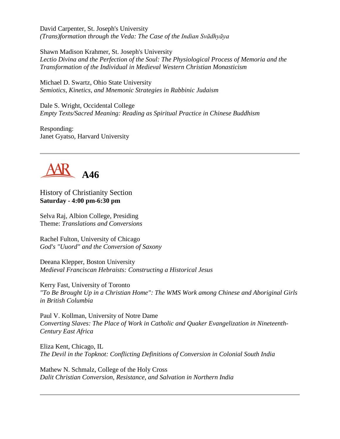David Carpenter, St. Joseph's University *(Trans)formation through the Veda: The Case of the Indian Svādhyāya*

Shawn Madison Krahmer, St. Joseph's University *Lectio Divina and the Perfection of the Soul: The Physiological Process of Memoria and the Transformation of the Individual in Medieval Western Christian Monasticism*

Michael D. Swartz, Ohio State University *Semiotics, Kinetics, and Mnemonic Strategies in Rabbinic Judaism*

Dale S. Wright, Occidental College *Empty Texts/Sacred Meaning: Reading as Spiritual Practice in Chinese Buddhism*

Responding: Janet Gyatso, Harvard University



History of Christianity Section **Saturday - 4:00 pm-6:30 pm**

Selva Raj, Albion College, Presiding Theme: *Translations and Conversions*

Rachel Fulton, University of Chicago *God's "Uuord" and the Conversion of Saxony*

Deeana Klepper, Boston University *Medieval Franciscan Hebraists: Constructing a Historical Jesus*

Kerry Fast, University of Toronto *"To Be Brought Up in a Christian Home": The WMS Work among Chinese and Aboriginal Girls in British Columbia*

Paul V. Kollman, University of Notre Dame *Converting Slaves: The Place of Work in Catholic and Quaker Evangelization in Nineteenth-Century East Africa*

Eliza Kent, Chicago, IL *The Devil in the Topknot: Conflicting Definitions of Conversion in Colonial South India*

Mathew N. Schmalz, College of the Holy Cross *Dalit Christian Conversion, Resistance, and Salvation in Northern India*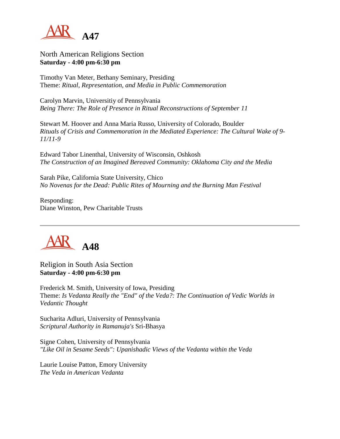

North American Religions Section **Saturday - 4:00 pm-6:30 pm**

Timothy Van Meter, Bethany Seminary, Presiding Theme: *Ritual, Representation, and Media in Public Commemoration*

Carolyn Marvin, Universitiy of Pennsylvania *Being There: The Role of Presence in Ritual Reconstructions of September 11*

Stewart M. Hoover and Anna Maria Russo, University of Colorado, Boulder *Rituals of Crisis and Commemoration in the Mediated Experience: The Cultural Wake of 9- 11/11-9*

Edward Tabor Linenthal, University of Wisconsin, Oshkosh *The Construction of an Imagined Bereaved Community: Oklahoma City and the Media*

Sarah Pike, California State University, Chico *No Novenas for the Dead: Public Rites of Mourning and the Burning Man Festival*

Responding: Diane Winston, Pew Charitable Trusts



Religion in South Asia Section **Saturday - 4:00 pm-6:30 pm**

Frederick M. Smith, University of Iowa, Presiding Theme: *Is Vedanta Really the "End" of the Veda?: The Continuation of Vedic Worlds in Vedantic Thought*

Sucharita Adluri, University of Pennsylvania *Scriptural Authority in Ramanuja's* Sri-Bhasya

Signe Cohen, University of Pennsylvania *"Like Oil in Sesame Seeds": Upanishadic Views of the Vedanta within the Veda*

Laurie Louise Patton, Emory University *The Veda in American Vedanta*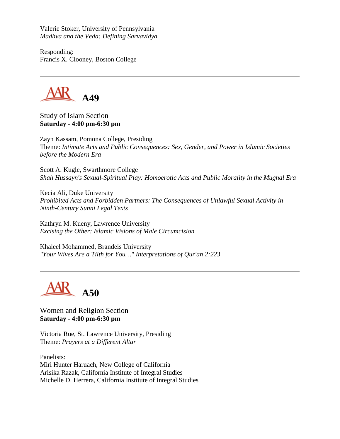Valerie Stoker, University of Pennsylvania *Madhva and the Veda: Defining Sarvavidya*

Responding: Francis X. Clooney, Boston College

**A49**

Study of Islam Section **Saturday - 4:00 pm-6:30 pm**

Zayn Kassam, Pomona College, Presiding Theme: *Intimate Acts and Public Consequences: Sex, Gender, and Power in Islamic Societies before the Modern Era*

Scott A. Kugle, Swarthmore College *Shah Hussayn's Sexual-Spiritual Play: Homoerotic Acts and Public Morality in the Mughal Era*

Kecia Ali, Duke University *Prohibited Acts and Forbidden Partners: The Consequences of Unlawful Sexual Activity in Ninth-Century Sunni Legal Texts*

Kathryn M. Kueny, Lawrence University *Excising the Other: Islamic Visions of Male Circumcision*

Khaleel Mohammed, Brandeis University *"Your Wives Are a Tilth for You…" Interpretations of Qur'an 2:223*

**A50**

Women and Religion Section **Saturday - 4:00 pm-6:30 pm**

Victoria Rue, St. Lawrence University, Presiding Theme: *Prayers at a Different Altar*

Panelists: Miri Hunter Haruach, New College of California Arisika Razak, California Institute of Integral Studies Michelle D. Herrera, California Institute of Integral Studies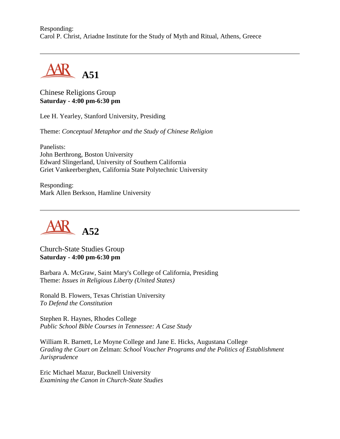Responding: Carol P. Christ, Ariadne Institute for the Study of Myth and Ritual, Athens, Greece



Chinese Religions Group **Saturday - 4:00 pm-6:30 pm**

Lee H. Yearley, Stanford University, Presiding

Theme: *Conceptual Metaphor and the Study of Chinese Religion*

Panelists: John Berthrong, Boston University Edward Slingerland, University of Southern California Griet Vankeerberghen, California State Polytechnic University

Responding: Mark Allen Berkson, Hamline University



Church-State Studies Group **Saturday - 4:00 pm-6:30 pm**

Barbara A. McGraw, Saint Mary's College of California, Presiding Theme: *Issues in Religious Liberty (United States)*

Ronald B. Flowers, Texas Christian University *To Defend the Constitution*

Stephen R. Haynes, Rhodes College *Public School Bible Courses in Tennessee: A Case Study*

William R. Barnett, Le Moyne College and Jane E. Hicks, Augustana College *Grading the Court on* Zelman: *School Voucher Programs and the Politics of Establishment Jurisprudence*

Eric Michael Mazur, Bucknell University *Examining the Canon in Church-State Studies*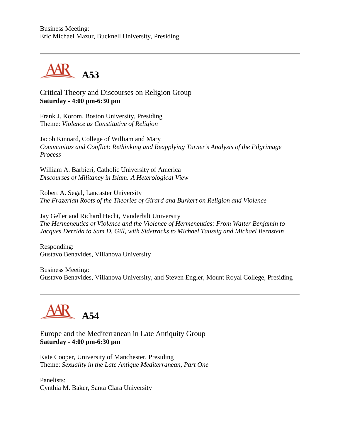Business Meeting: Eric Michael Mazur, Bucknell University, Presiding



Critical Theory and Discourses on Religion Group **Saturday - 4:00 pm-6:30 pm**

Frank J. Korom, Boston University, Presiding Theme: *Violence as Constitutive of Religion*

Jacob Kinnard, College of William and Mary *Communitas and Conflict: Rethinking and Reapplying Turner's Analysis of the Pilgrimage Process*

William A. Barbieri, Catholic University of America *Discourses of Militancy in Islam: A Heterological View*

Robert A. Segal, Lancaster University *The Frazerian Roots of the Theories of Girard and Burkert on Religion and Violence*

Jay Geller and Richard Hecht, Vanderbilt University *The Hermeneutics of Violence and the Violence of Hermeneutics: From Walter Benjamin to Jacques Derrida to Sam D. Gill, with Sidetracks to Michael Taussig and Michael Bernstein*

Responding: Gustavo Benavides, Villanova University

Business Meeting: Gustavo Benavides, Villanova University, and Steven Engler, Mount Royal College, Presiding



## Europe and the Mediterranean in Late Antiquity Group **Saturday - 4:00 pm-6:30 pm**

Kate Cooper, University of Manchester, Presiding Theme: *Sexuality in the Late Antique Mediterranean, Part One*

Panelists: Cynthia M. Baker, Santa Clara University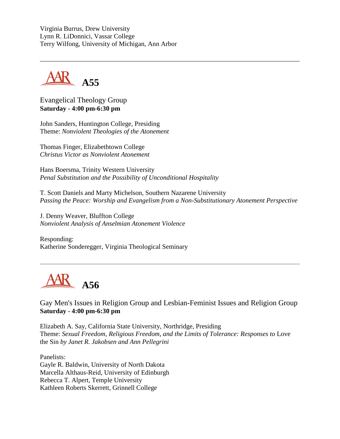Virginia Burrus, Drew University Lynn R. LiDonnici, Vassar College Terry Wilfong, University of Michigan, Ann Arbor



Evangelical Theology Group **Saturday - 4:00 pm-6:30 pm**

John Sanders, Huntington College, Presiding Theme: *Nonviolent Theologies of the Atonement*

Thomas Finger, Elizabethtown College *Christus Victor as Nonviolent Atonement*

Hans Boersma, Trinity Western University *Penal Substitution and the Possibility of Unconditional Hospitality*

T. Scott Daniels and Marty Michelson, Southern Nazarene University *Passing the Peace: Worship and Evangelism from a Non-Substitutionary Atonement Perspective*

J. Denny Weaver, Bluffton College *Nonviolent Analysis of Anselmian Atonement Violence*

Responding: Katherine Sonderegger, Virginia Theological Seminary



Gay Men's Issues in Religion Group and Lesbian-Feminist Issues and Religion Group **Saturday - 4:00 pm-6:30 pm**

Elizabeth A. Say, California State University, Northridge, Presiding Theme: Sexual Freedom, Religious Freedom, and the Limits of Tolerance: Responses to Love the Sin *by Janet R. Jakobsen and Ann Pellegrini*

Panelists: Gayle R. Baldwin, University of North Dakota Marcella Althaus-Reid, University of Edinburgh Rebecca T. Alpert, Temple University Kathleen Roberts Skerrett, Grinnell College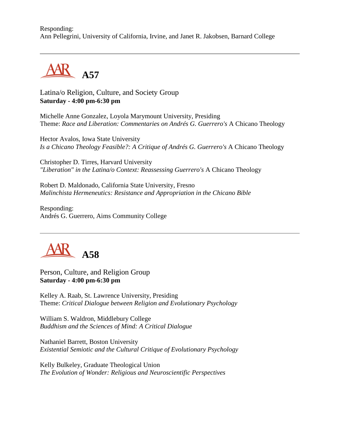Responding: Ann Pellegrini, University of California, Irvine, and Janet R. Jakobsen, Barnard College



Latina/o Religion, Culture, and Society Group **Saturday - 4:00 pm-6:30 pm**

Michelle Anne Gonzalez, Loyola Marymount University, Presiding Theme: *Race and Liberation: Commentaries on Andrés G. Guerrero's* A Chicano Theology

Hector Avalos, Iowa State University *Is a Chicano Theology Feasible?: A Critique of Andrés G. Guerrero's* A Chicano Theology

Christopher D. Tirres, Harvard University *"Liberation" in the Latina/o Context: Reassessing Guerrero's* A Chicano Theology

Robert D. Maldonado, California State University, Fresno *Malinchista Hermeneutics: Resistance and Appropriation in the Chicano Bible*

Responding: Andrés G. Guerrero, Aims Community College



Person, Culture, and Religion Group **Saturday - 4:00 pm-6:30 pm**

Kelley A. Raab, St. Lawrence University, Presiding Theme: *Critical Dialogue between Religion and Evolutionary Psychology*

William S. Waldron, Middlebury College *Buddhism and the Sciences of Mind: A Critical Dialogue*

Nathaniel Barrett, Boston University *Existential Semiotic and the Cultural Critique of Evolutionary Psychology*

Kelly Bulkeley, Graduate Theological Union *The Evolution of Wonder: Religious and Neuroscientific Perspectives*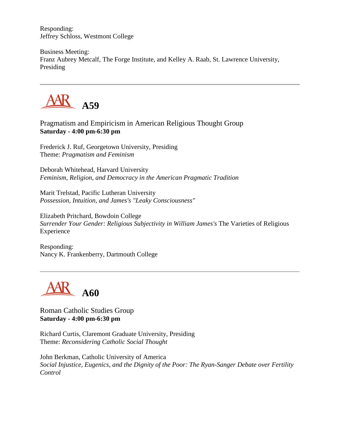Responding: Jeffrey Schloss, Westmont College

Business Meeting: Franz Aubrey Metcalf, The Forge Institute, and Kelley A. Raab, St. Lawrence University, Presiding



Pragmatism and Empiricism in American Religious Thought Group **Saturday - 4:00 pm-6:30 pm**

Frederick J. Ruf, Georgetown University, Presiding Theme: *Pragmatism and Feminism*

Deborah Whitehead, Harvard University *Feminism, Religion, and Democracy in the American Pragmatic Tradition*

Marit Trelstad, Pacific Lutheran University *Possession, Intuition, and James's "Leaky Consciousness"*

Elizabeth Pritchard, Bowdoin College *Surrender Your Gender: Religious Subjectivity in William James's* The Varieties of Religious Experience

Responding: Nancy K. Frankenberry, Dartmouth College



Roman Catholic Studies Group **Saturday - 4:00 pm-6:30 pm**

Richard Curtis, Claremont Graduate University, Presiding Theme: *Reconsidering Catholic Social Thought*

John Berkman, Catholic University of America *Social Injustice, Eugenics, and the Dignity of the Poor: The Ryan-Sanger Debate over Fertility Control*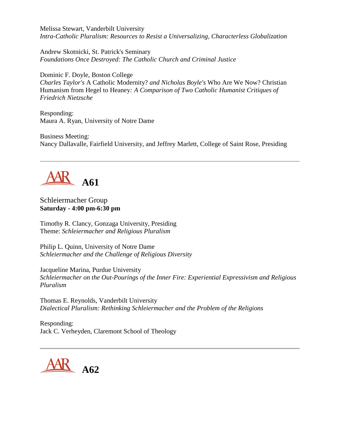Melissa Stewart, Vanderbilt University *Intra-Catholic Pluralism: Resources to Resist a Universalizing, Characterless Globalization*

Andrew Skotnicki, St. Patrick's Seminary *Foundations Once Destroyed: The Catholic Church and Criminal Justice*

Dominic F. Doyle, Boston College *Charles Taylor's* A Catholic Modernity? *and Nicholas Boyle's* Who Are We Now? Christian Humanism from Hegel to Heaney*: A Comparison of Two Catholic Humanist Critiques of Friedrich Nietzsche*

Responding: Maura A. Ryan, University of Notre Dame

Business Meeting: Nancy Dallavalle, Fairfield University, and Jeffrey Marlett, College of Saint Rose, Presiding



#### Schleiermacher Group **Saturday - 4:00 pm-6:30 pm**

Timothy R. Clancy, Gonzaga University, Presiding Theme: *Schleiermacher and Religious Pluralism*

Philip L. Quinn, University of Notre Dame *Schleiermacher and the Challenge of Religious Diversity*

Jacqueline Marina, Purdue University *Schleiermacher on the Out-Pourings of the Inner Fire: Experiential Expressivism and Religious Pluralism*

Thomas E. Reynolds, Vanderbilt University *Dialectical Pluralism: Rethinking Schleiermacher and the Problem of the Religions*

Responding: Jack C. Verheyden, Claremont School of Theology

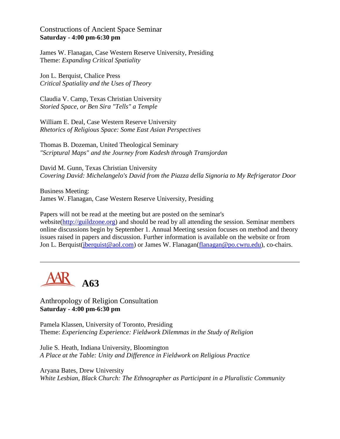Constructions of Ancient Space Seminar **Saturday - 4:00 pm-6:30 pm**

James W. Flanagan, Case Western Reserve University, Presiding Theme: *Expanding Critical Spatiality*

Jon L. Berquist, Chalice Press *Critical Spatiality and the Uses of Theory*

Claudia V. Camp, Texas Christian University *Storied Space, or Ben Sira "Tells" a Temple*

William E. Deal, Case Western Reserve University *Rhetorics of Religious Space: Some East Asian Perspectives*

Thomas B. Dozeman, United Theological Seminary *"Scriptural Maps" and the Journey from Kadesh through Transjordan*

David M. Gunn, Texas Christian University *Covering David: Michelangelo's David from the Piazza della Signoria to My Refrigerator Door*

Business Meeting: James W. Flanagan, Case Western Reserve University, Presiding

Papers will not be read at the meeting but are posted on the seminar's website[\(http://guildzone.org\)](http://guildzone.org/) and should be read by all attending the session. Seminar members online discussions begin by September 1. Annual Meeting session focuses on method and theory issues raised in papers and discussion. Further information is available on the website or from Jon L. Berquist[\(jberquist@aol.com\)](mailto:jberquist@aol.com) or James W. Flanagan[\(flanagan@po.cwru.edu\)](mailto:flanagan@po.cwru.edu), co-chairs.



Anthropology of Religion Consultation **Saturday - 4:00 pm-6:30 pm**

Pamela Klassen, University of Toronto, Presiding Theme: *Experiencing Experience: Fieldwork Dilemmas in the Study of Religion*

Julie S. Heath, Indiana University, Bloomington *A Place at the Table: Unity and Difference in Fieldwork on Religious Practice*

Aryana Bates, Drew University *White Lesbian, Black Church: The Ethnographer as Participant in a Pluralistic Community*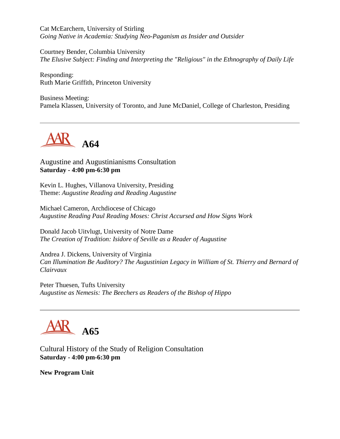Cat McEarchern, University of Stirling *Going Native in Academia: Studying Neo-Paganism as Insider and Outsider*

Courtney Bender, Columbia University *The Elusive Subject: Finding and Interpreting the "Religious" in the Ethnography of Daily Life*

Responding: Ruth Marie Griffith, Princeton University

Business Meeting: Pamela Klassen, University of Toronto, and June McDaniel, College of Charleston, Presiding



Augustine and Augustinianisms Consultation **Saturday - 4:00 pm-6:30 pm**

Kevin L. Hughes, Villanova University, Presiding Theme: *Augustine Reading and Reading Augustine*

Michael Cameron, Archdiocese of Chicago *Augustine Reading Paul Reading Moses: Christ Accursed and How Signs Work*

Donald Jacob Uitvlugt, University of Notre Dame *The Creation of Tradition: Isidore of Seville as a Reader of Augustine*

Andrea J. Dickens, University of Virginia *Can Illumination Be Auditory? The Augustinian Legacy in William of St. Thierry and Bernard of Clairvaux*

Peter Thuesen, Tufts University *Augustine as Nemesis: The Beechers as Readers of the Bishop of Hippo*

**A65**

Cultural History of the Study of Religion Consultation **Saturday - 4:00 pm-6:30 pm**

**New Program Unit**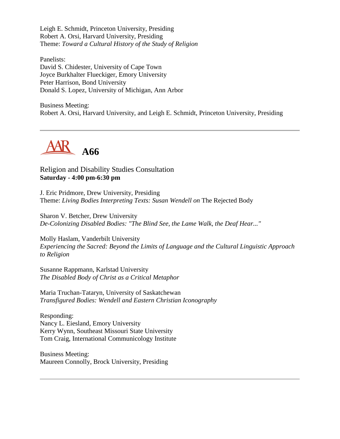Leigh E. Schmidt, Princeton University, Presiding Robert A. Orsi, Harvard University, Presiding Theme: *Toward a Cultural History of the Study of Religion*

Panelists: David S. Chidester, University of Cape Town Joyce Burkhalter Flueckiger, Emory University Peter Harrison, Bond University Donald S. Lopez, University of Michigan, Ann Arbor

Business Meeting: Robert A. Orsi, Harvard University, and Leigh E. Schmidt, Princeton University, Presiding



Religion and Disability Studies Consultation **Saturday - 4:00 pm-6:30 pm**

J. Eric Pridmore, Drew University, Presiding Theme: *Living Bodies Interpreting Texts: Susan Wendell on* The Rejected Body

Sharon V. Betcher, Drew University *De-Colonizing Disabled Bodies: "The Blind See, the Lame Walk, the Deaf Hear..."*

Molly Haslam, Vanderbilt University *Experiencing the Sacred: Beyond the Limits of Language and the Cultural Linguistic Approach to Religion*

Susanne Rappmann, Karlstad University *The Disabled Body of Christ as a Critical Metaphor*

Maria Truchan-Tataryn, University of Saskatchewan *Transfigured Bodies: Wendell and Eastern Christian Iconography*

Responding: Nancy L. Eiesland, Emory University Kerry Wynn, Southeast Missouri State University Tom Craig, International Communicology Institute

Business Meeting: Maureen Connolly, Brock University, Presiding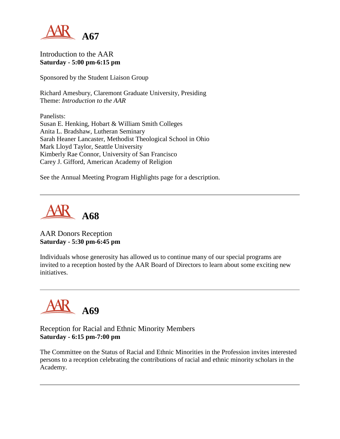

### Introduction to the AAR **Saturday - 5:00 pm-6:15 pm**

Sponsored by the Student Liaison Group

Richard Amesbury, Claremont Graduate University, Presiding Theme: *Introduction to the AAR*

Panelists: Susan E. Henking, Hobart & William Smith Colleges Anita L. Bradshaw, Lutheran Seminary Sarah Heaner Lancaster, Methodist Theological School in Ohio Mark Lloyd Taylor, Seattle University Kimberly Rae Connor, University of San Francisco Carey J. Gifford, American Academy of Religion

See the Annual Meeting Program Highlights page for a description.



## AAR Donors Reception **Saturday - 5:30 pm-6:45 pm**

Individuals whose generosity has allowed us to continue many of our special programs are invited to a reception hosted by the AAR Board of Directors to learn about some exciting new initiatives.



## Reception for Racial and Ethnic Minority Members **Saturday - 6:15 pm-7:00 pm**

The Committee on the Status of Racial and Ethnic Minorities in the Profession invites interested persons to a reception celebrating the contributions of racial and ethnic minority scholars in the Academy.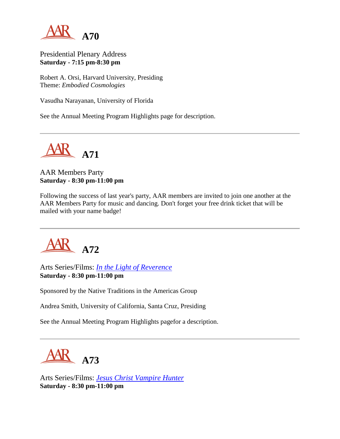

Presidential Plenary Address **Saturday - 7:15 pm-8:30 pm**

Robert A. Orsi, Harvard University, Presiding Theme: *Embodied Cosmologies*

Vasudha Narayanan, University of Florida

See the Annual Meeting Program Highlights page for description.



# AAR Members Party **Saturday - 8:30 pm-11:00 pm**

Following the success of last year's party, AAR members are invited to join one another at the AAR Members Party for music and dancing. Don't forget your free drink ticket that will be mailed with your name badge!



Arts Series/Films: *[In the Light of Reverence](http://www.sacredlands.org/)* **Saturday - 8:30 pm-11:00 pm**

Sponsored by the Native Traditions in the Americas Group

Andrea Smith, University of California, Santa Cruz, Presiding

See the Annual Meeting Program Highlights pagefor a description.



Arts Series/Films: *[Jesus Christ Vampire Hunter](http://www.odessafilmworks.com/jcvh)* **Saturday - 8:30 pm-11:00 pm**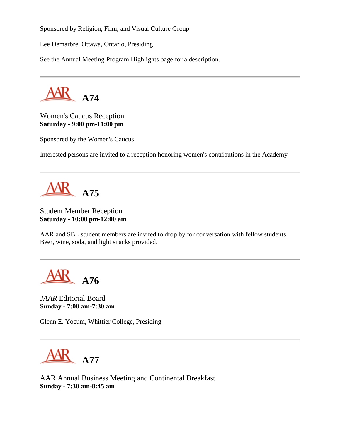Sponsored by Religion, Film, and Visual Culture Group

Lee Demarbre, Ottawa, Ontario, Presiding

See the Annual Meeting Program Highlights page for a description.



Women's Caucus Reception **Saturday - 9:00 pm-11:00 pm**

Sponsored by the Women's Caucus

Interested persons are invited to a reception honoring women's contributions in the Academy

**A75**

# Student Member Reception **Saturday - 10:00 pm-12:00 am**

AAR and SBL student members are invited to drop by for conversation with fellow students. Beer, wine, soda, and light snacks provided.

**A76**

*JAAR* Editorial Board **Sunday - 7:00 am-7:30 am**

Glenn E. Yocum, Whittier College, Presiding



AAR Annual Business Meeting and Continental Breakfast **Sunday - 7:30 am-8:45 am**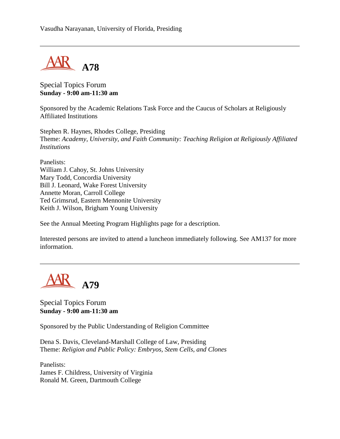

Special Topics Forum **Sunday - 9:00 am-11:30 am**

Sponsored by the Academic Relations Task Force and the Caucus of Scholars at Religiously Affiliated Institutions

Stephen R. Haynes, Rhodes College, Presiding Theme: *Academy, University, and Faith Community: Teaching Religion at Religiously Affiliated Institutions*

Panelists: William J. Cahoy, St. Johns University Mary Todd, Concordia University Bill J. Leonard, Wake Forest University Annette Moran, Carroll College Ted Grimsrud, Eastern Mennonite University Keith J. Wilson, Brigham Young University

See the Annual Meeting Program Highlights page for a description.

Interested persons are invited to attend a luncheon immediately following. See AM137 for more information.

**A79**

Special Topics Forum **Sunday - 9:00 am-11:30 am**

Sponsored by the Public Understanding of Religion Committee

Dena S. Davis, Cleveland-Marshall College of Law, Presiding Theme: *Religion and Public Policy: Embryos, Stem Cells, and Clones*

Panelists: James F. Childress, University of Virginia Ronald M. Green, Dartmouth College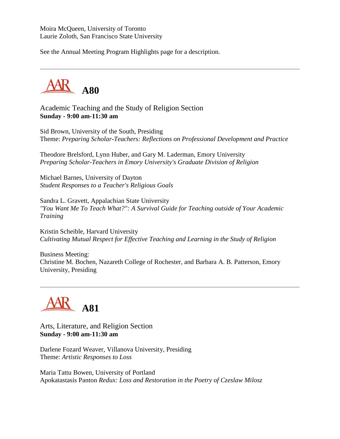Moira McQueen, University of Toronto Laurie Zoloth, San Francisco State University

See the Annual Meeting Program Highlights page for a description.



Academic Teaching and the Study of Religion Section **Sunday - 9:00 am-11:30 am**

Sid Brown, University of the South, Presiding Theme: *Preparing Scholar-Teachers: Reflections on Professional Development and Practice*

Theodore Brelsford, Lynn Huber, and Gary M. Laderman, Emory University *Preparing Scholar-Teachers in Emory University's Graduate Division of Religion*

Michael Barnes, University of Dayton *Student Responses to a Teacher's Religious Goals*

Sandra L. Gravett, Appalachian State University *"You Want Me To Teach What?": A Survival Guide for Teaching outside of Your Academic Training*

Kristin Scheible, Harvard University *Cultivating Mutual Respect for Effective Teaching and Learning in the Study of Religion*

Business Meeting: Christine M. Bochen, Nazareth College of Rochester, and Barbara A. B. Patterson, Emory University, Presiding



Arts, Literature, and Religion Section **Sunday - 9:00 am-11:30 am**

Darlene Fozard Weaver, Villanova University, Presiding Theme: *Artistic Responses to Loss*

Maria Tattu Bowen, University of Portland Apokatastasis Panton *Redux: Loss and Restoration in the Poetry of Czeslaw Milosz*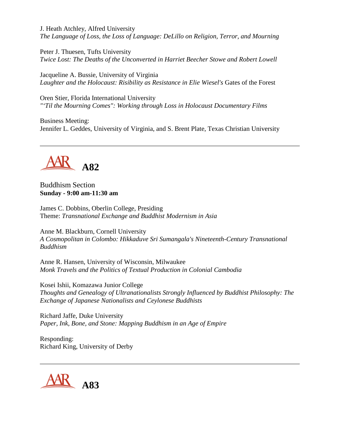J. Heath Atchley, Alfred University *The Language of Loss, the Loss of Language: DeLillo on Religion, Terror, and Mourning*

Peter J. Thuesen, Tufts University *Twice Lost: The Deaths of the Unconverted in Harriet Beecher Stowe and Robert Lowell* 

Jacqueline A. Bussie, University of Virginia Laughter and the Holocaust: Risibility as Resistance in Elie Wiesel's Gates of the Forest

Oren Stier, Florida International University *"'Til the Mourning Comes": Working through Loss in Holocaust Documentary Films*

Business Meeting: Jennifer L. Geddes, University of Virginia, and S. Brent Plate, Texas Christian University



Buddhism Section **Sunday - 9:00 am-11:30 am**

James C. Dobbins, Oberlin College, Presiding Theme: *Transnational Exchange and Buddhist Modernism in Asia*

Anne M. Blackburn, Cornell University *A Cosmopolitan in Colombo: Hikkaduve Sri Sumangala's Nineteenth-Century Transnational Buddhism*

Anne R. Hansen, University of Wisconsin, Milwaukee *Monk Travels and the Politics of Textual Production in Colonial Cambodia*

Kosei Ishii, Komazawa Junior College *Thoughts and Genealogy of Ultranationalists Strongly Influenced by Buddhist Philosophy: The Exchange of Japanese Nationalists and Ceylonese Buddhists*

Richard Jaffe, Duke University *Paper, Ink, Bone, and Stone: Mapping Buddhism in an Age of Empire*

Responding: Richard King, University of Derby

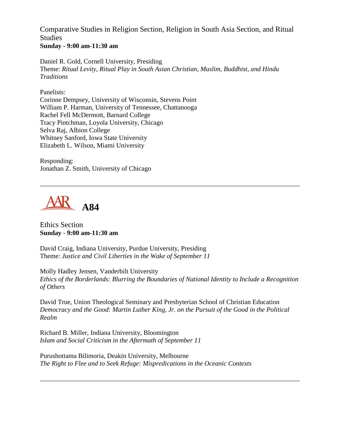Comparative Studies in Religion Section, Religion in South Asia Section, and Ritual Studies **Sunday - 9:00 am-11:30 am**

Daniel R. Gold, Cornell University, Presiding Theme: *Ritual Levity, Ritual Play in South Asian Christian, Muslim, Buddhist, and Hindu Traditions*

Panelists:

Corinne Dempsey, University of Wisconsin, Stevens Point William P. Harman, University of Tennessee, Chattanooga Rachel Fell McDermott, Barnard College Tracy Pintchman, Loyola University, Chicago Selva Raj, Albion College Whitney Sanford, Iowa State University Elizabeth L. Wilson, Miami University

Responding: Jonathan Z. Smith, University of Chicago



Ethics Section **Sunday - 9:00 am-11:30 am**

David Craig, Indiana University, Purdue University, Presiding Theme: *Justice and Civil Liberties in the Wake of September 11*

Molly Hadley Jensen, Vanderbilt University *Ethics of the Borderlands: Blurring the Boundaries of National Identity to Include a Recognition of Others*

David True, Union Theological Seminary and Presbyterian School of Christian Education *Democracy and the Good: Martin Luther King, Jr. on the Pursuit of the Good in the Political Realm*

Richard B. Miller, Indiana University, Bloomington *Islam and Social Criticism in the Aftermath of September 11*

Purushottama Bilimoria, Deakin University, Melbourne *The Right to Flee and to Seek Refuge: Mispredications in the Oceanic Contexts*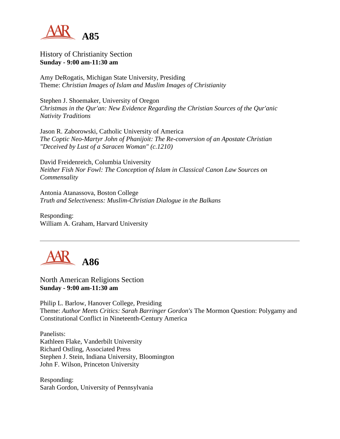

History of Christianity Section **Sunday - 9:00 am-11:30 am**

Amy DeRogatis, Michigan State University, Presiding Theme: *Christian Images of Islam and Muslim Images of Christianity*

Stephen J. Shoemaker, University of Oregon *Christmas in the Qur'an: New Evidence Regarding the Christian Sources of the Qur'anic Nativity Traditions*

Jason R. Zaborowski, Catholic University of America *The Coptic Neo-Martyr John of Phanijoit: The Re-conversion of an Apostate Christian "Deceived by Lust of a Saracen Woman" (c.1210)*

David Freidenreich, Columbia University *Neither Fish Nor Fowl: The Conception of Islam in Classical Canon Law Sources on Commensality*

Antonia Atanassova, Boston College *Truth and Selectiveness: Muslim-Christian Dialogue in the Balkans*

Responding: William A. Graham, Harvard University



North American Religions Section **Sunday - 9:00 am-11:30 am**

Philip L. Barlow, Hanover College, Presiding Theme: *Author Meets Critics: Sarah Barringer Gordon's* The Mormon Question: Polygamy and Constitutional Conflict in Nineteenth-Century America

Panelists: Kathleen Flake, Vanderbilt University Richard Ostling, Associated Press Stephen J. Stein, Indiana University, Bloomington John F. Wilson, Princeton University

Responding: Sarah Gordon, University of Pennsylvania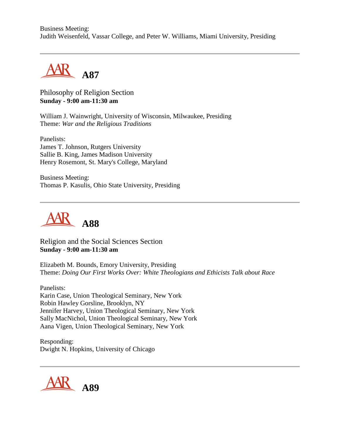Business Meeting: Judith Weisenfeld, Vassar College, and Peter W. Williams, Miami University, Presiding



Philosophy of Religion Section **Sunday - 9:00 am-11:30 am**

William J. Wainwright, University of Wisconsin, Milwaukee, Presiding Theme: *War and the Religious Traditions*

Panelists: James T. Johnson, Rutgers University Sallie B. King, James Madison University Henry Rosemont, St. Mary's College, Maryland

Business Meeting: Thomas P. Kasulis, Ohio State University, Presiding



Religion and the Social Sciences Section **Sunday - 9:00 am-11:30 am**

Elizabeth M. Bounds, Emory University, Presiding Theme: *Doing Our First Works Over: White Theologians and Ethicists Talk about Race*

Panelists: Karin Case, Union Theological Seminary, New York Robin Hawley Gorsline, Brooklyn, NY Jennifer Harvey, Union Theological Seminary, New York Sally MacNichol, Union Theological Seminary, New York Aana Vigen, Union Theological Seminary, New York

Responding: Dwight N. Hopkins, University of Chicago

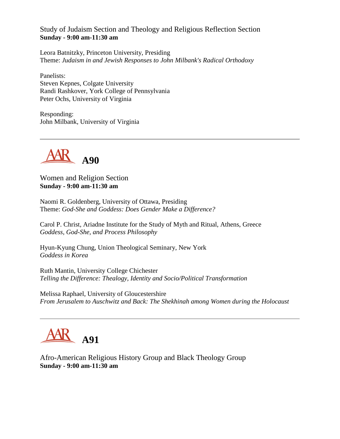Study of Judaism Section and Theology and Religious Reflection Section **Sunday - 9:00 am-11:30 am**

Leora Batnitzky, Princeton University, Presiding Theme: *Judaism in and Jewish Responses to John Milbank's Radical Orthodoxy*

Panelists: Steven Kepnes, Colgate University Randi Rashkover, York College of Pennsylvania Peter Ochs, University of Virginia

Responding: John Milbank, University of Virginia



Women and Religion Section **Sunday - 9:00 am-11:30 am**

Naomi R. Goldenberg, University of Ottawa, Presiding Theme: *God-She and Goddess: Does Gender Make a Difference?*

Carol P. Christ, Ariadne Institute for the Study of Myth and Ritual, Athens, Greece *Goddess, God-She, and Process Philosophy*

Hyun-Kyung Chung, Union Theological Seminary, New York *Goddess in Korea*

Ruth Mantin, University College Chichester *Telling the Difference: Thealogy, Identity and Socio/Political Transformation*

Melissa Raphael, University of Gloucestershire *From Jerusalem to Auschwitz and Back: The Shekhinah among Women during the Holocaust*



Afro-American Religious History Group and Black Theology Group **Sunday - 9:00 am-11:30 am**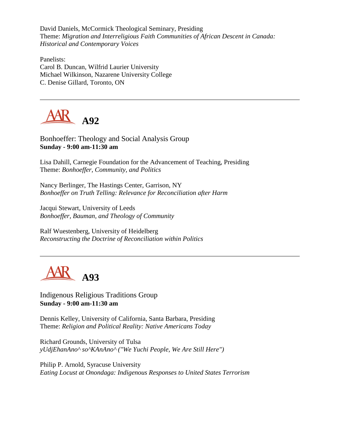David Daniels, McCormick Theological Seminary, Presiding Theme: *Migration and Interreligious Faith Communities of African Descent in Canada: Historical and Contemporary Voices*

Panelists: Carol B. Duncan, Wilfrid Laurier University Michael Wilkinson, Nazarene University College C. Denise Gillard, Toronto, ON



Bonhoeffer: Theology and Social Analysis Group **Sunday - 9:00 am-11:30 am**

Lisa Dahill, Carnegie Foundation for the Advancement of Teaching, Presiding Theme: *Bonhoeffer, Community, and Politics*

Nancy Berlinger, The Hastings Center, Garrison, NY *Bonhoeffer on Truth Telling: Relevance for Reconciliation after Harm*

Jacqui Stewart, University of Leeds *Bonhoeffer, Bauman, and Theology of Community*

Ralf Wuestenberg, University of Heidelberg *Reconstructing the Doctrine of Reconciliation within Politics*



Indigenous Religious Traditions Group **Sunday - 9:00 am-11:30 am**

Dennis Kelley, University of California, Santa Barbara, Presiding Theme: *Religion and Political Reality: Native Americans Today*

Richard Grounds, University of Tulsa *yUdjEhanAno^ so^KAnAno^ ("We Yuchi People, We Are Still Here")*

Philip P. Arnold, Syracuse University *Eating Locust at Onondaga: Indigenous Responses to United States Terrorism*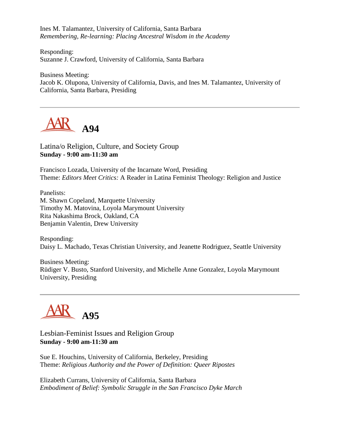Ines M. Talamantez, University of California, Santa Barbara *Remembering, Re-learning: Placing Ancestral Wisdom in the Academy*

Responding: Suzanne J. Crawford, University of California, Santa Barbara

Business Meeting: Jacob K. Olupona, University of California, Davis, and Ines M. Talamantez, University of California, Santa Barbara, Presiding



Latina/o Religion, Culture, and Society Group **Sunday - 9:00 am-11:30 am**

Francisco Lozada, University of the Incarnate Word, Presiding Theme: *Editors Meet Critics:* A Reader in Latina Feminist Theology: Religion and Justice

Panelists: M. Shawn Copeland, Marquette University Timothy M. Matovina, Loyola Marymount University Rita Nakashima Brock, Oakland, CA Benjamin Valentin, Drew University

Responding: Daisy L. Machado, Texas Christian University, and Jeanette Rodriguez, Seattle University

Business Meeting: Rüdiger V. Busto, Stanford University, and Michelle Anne Gonzalez, Loyola Marymount University, Presiding



Lesbian-Feminist Issues and Religion Group **Sunday - 9:00 am-11:30 am**

Sue E. Houchins, University of California, Berkeley, Presiding Theme: *Religious Authority and the Power of Definition: Queer Ripostes*

Elizabeth Currans, University of California, Santa Barbara *Embodiment of Belief: Symbolic Struggle in the San Francisco Dyke March*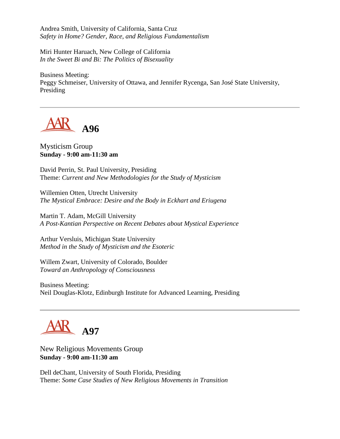Andrea Smith, University of California, Santa Cruz *Safety in Home? Gender, Race, and Religious Fundamentalism*

Miri Hunter Haruach, New College of California *In the Sweet Bi and Bi: The Politics of Bisexuality*

Business Meeting: Peggy Schmeiser, University of Ottawa, and Jennifer Rycenga, San José State University, Presiding



#### Mysticism Group **Sunday - 9:00 am-11:30 am**

David Perrin, St. Paul University, Presiding Theme: *Current and New Methodologies for the Study of Mysticism*

Willemien Otten, Utrecht University *The Mystical Embrace: Desire and the Body in Eckhart and Eriugena*

Martin T. Adam, McGill University *A Post-Kantian Perspective on Recent Debates about Mystical Experience*

Arthur Versluis, Michigan State University *Method in the Study of Mysticism and the Esoteric*

Willem Zwart, University of Colorado, Boulder *Toward an Anthropology of Consciousness*

Business Meeting: Neil Douglas-Klotz, Edinburgh Institute for Advanced Learning, Presiding

**A97**

New Religious Movements Group **Sunday - 9:00 am-11:30 am**

Dell deChant, University of South Florida, Presiding Theme: *Some Case Studies of New Religious Movements in Transition*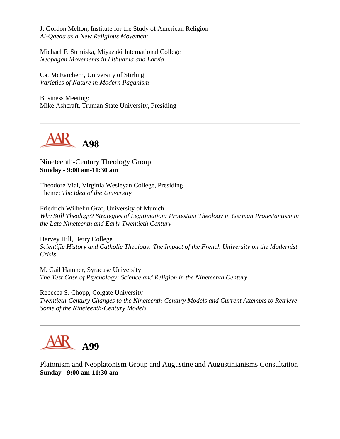J. Gordon Melton, Institute for the Study of American Religion *Al-Qaeda as a New Religious Movement*

Michael F. Strmiska, Miyazaki International College *Neopagan Movements in Lithuania and Latvia*

Cat McEarchern, University of Stirling *Varieties of Nature in Modern Paganism*

Business Meeting: Mike Ashcraft, Truman State University, Presiding



Nineteenth-Century Theology Group **Sunday - 9:00 am-11:30 am**

Theodore Vial, Virginia Wesleyan College, Presiding Theme: *The Idea of the University*

Friedrich Wilhelm Graf, University of Munich *Why Still Theology? Strategies of Legitimation: Protestant Theology in German Protestantism in the Late Nineteenth and Early Twentieth Century*

Harvey Hill, Berry College *Scientific History and Catholic Theology: The Impact of the French University on the Modernist Crisis*

M. Gail Hamner, Syracuse University *The Test Case of Psychology: Science and Religion in the Nineteenth Century*

Rebecca S. Chopp, Colgate University *Twentieth-Century Changes to the Nineteenth-Century Models and Current Attempts to Retrieve Some of the Nineteenth-Century Models*



Platonism and Neoplatonism Group and Augustine and Augustinianisms Consultation **Sunday - 9:00 am-11:30 am**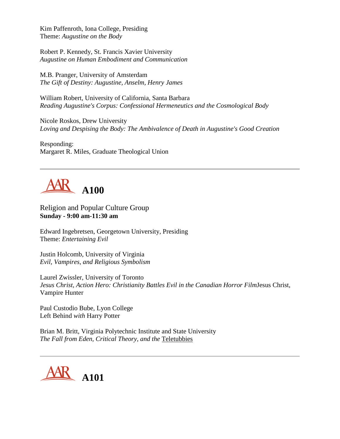Kim Paffenroth, Iona College, Presiding Theme: *Augustine on the Body*

Robert P. Kennedy, St. Francis Xavier University *Augustine on Human Embodiment and Communication*

M.B. Pranger, University of Amsterdam *The Gift of Destiny: Augustine, Anselm, Henry James*

William Robert, University of California, Santa Barbara *Reading Augustine's Corpus: Confessional Hermeneutics and the Cosmological Body*

Nicole Roskos, Drew University *Loving and Despising the Body: The Ambivalence of Death in Augustine's Good Creation*

Responding: Margaret R. Miles, Graduate Theological Union

# **A100**

Religion and Popular Culture Group **Sunday - 9:00 am-11:30 am**

Edward Ingebretsen, Georgetown University, Presiding Theme: *Entertaining Evil*

Justin Holcomb, University of Virginia *Evil, Vampires, and Religious Symbolism*

Laurel Zwissler, University of Toronto *Jesus Christ, Action Hero: Christianity Battles Evil in the Canadian Horror Film*Jesus Christ, Vampire Hunter

Paul Custodio Bube, Lyon College Left Behind *with* Harry Potter

Brian M. Britt, Virginia Polytechnic Institute and State University *The Fall from Eden, Critical Theory, and the* Teletubbies

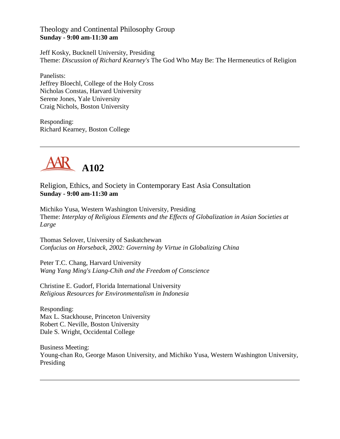Theology and Continental Philosophy Group **Sunday - 9:00 am-11:30 am**

Jeff Kosky, Bucknell University, Presiding Theme: *Discussion of Richard Kearney's* The God Who May Be: The Hermeneutics of Religion

Panelists: Jeffrey Bloechl, College of the Holy Cross Nicholas Constas, Harvard University Serene Jones, Yale University Craig Nichols, Boston University

Responding: Richard Kearney, Boston College



Religion, Ethics, and Society in Contemporary East Asia Consultation **Sunday - 9:00 am-11:30 am**

Michiko Yusa, Western Washington University, Presiding Theme: *Interplay of Religious Elements and the Effects of Globalization in Asian Societies at Large*

Thomas Selover, University of Saskatchewan *Confucius on Horseback, 2002: Governing by Virtue in Globalizing China*

Peter T.C. Chang, Harvard University *Wang Yang Ming's Liang-Chih and the Freedom of Conscience*

Christine E. Gudorf, Florida International University *Religious Resources for Environmentalism in Indonesia*

Responding: Max L. Stackhouse, Princeton University Robert C. Neville, Boston University Dale S. Wright, Occidental College

Business Meeting: Young-chan Ro, George Mason University, and Michiko Yusa, Western Washington University, Presiding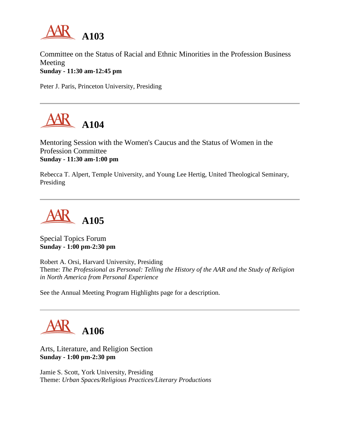

Committee on the Status of Racial and Ethnic Minorities in the Profession Business Meeting **Sunday - 11:30 am-12:45 pm**

Peter J. Paris, Princeton University, Presiding



Mentoring Session with the Women's Caucus and the Status of Women in the Profession Committee **Sunday - 11:30 am-1:00 pm**

Rebecca T. Alpert, Temple University, and Young Lee Hertig, United Theological Seminary, Presiding



Special Topics Forum **Sunday - 1:00 pm-2:30 pm**

Robert A. Orsi, Harvard University, Presiding Theme: *The Professional as Personal: Telling the History of the AAR and the Study of Religion in North America from Personal Experience*

See the Annual Meeting Program Highlights page for a description.



Arts, Literature, and Religion Section **Sunday - 1:00 pm-2:30 pm**

Jamie S. Scott, York University, Presiding Theme: *Urban Spaces/Religious Practices/Literary Productions*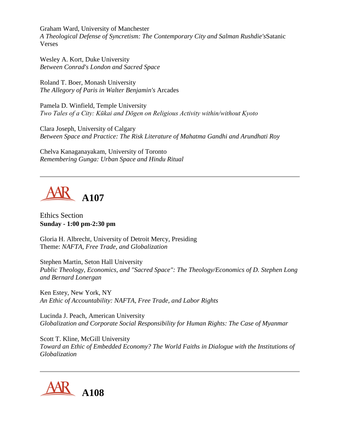Graham Ward, University of Manchester *A Theological Defense of Syncretism: The Contemporary City and Salman Rushdie's*Satanic Verses

Wesley A. Kort, Duke University *Between Conrad's London and Sacred Space*

Roland T. Boer, Monash University *The Allegory of Paris in Walter Benjamin's* Arcades

Pamela D. Winfield, Temple University *Two Tales of a City: Kūkai and Dōgen on Religious Activity within/without Kyoto*

Clara Joseph, University of Calgary *Between Space and Practice: The Risk Literature of Mahatma Gandhi and Arundhati Roy*

Chelva Kanaganayakam, University of Toronto *Remembering Gunga: Urban Space and Hindu Ritual*



Ethics Section **Sunday - 1:00 pm-2:30 pm**

Gloria H. Albrecht, University of Detroit Mercy, Presiding Theme: *NAFTA, Free Trade, and Globalization*

Stephen Martin, Seton Hall University *Public Theology, Economics, and "Sacred Space": The Theology/Economics of D. Stephen Long and Bernard Lonergan*

Ken Estey, New York, NY *An Ethic of Accountability: NAFTA, Free Trade, and Labor Rights*

Lucinda J. Peach, American University *Globalization and Corporate Social Responsibility for Human Rights: The Case of Myanmar*

Scott T. Kline, McGill University *Toward an Ethic of Embedded Economy? The World Faiths in Dialogue with the Institutions of Globalization*

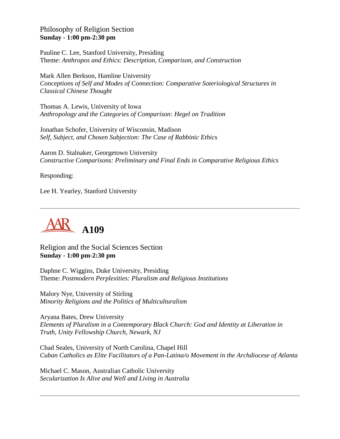## Philosophy of Religion Section **Sunday - 1:00 pm-2:30 pm**

Pauline C. Lee, Stanford University, Presiding Theme: *Anthropos and Ethics: Description, Comparison, and Construction*

Mark Allen Berkson, Hamline University *Conceptions of Self and Modes of Connection: Comparative Soteriological Structures in Classical Chinese Thought*

Thomas A. Lewis, University of Iowa *Anthropology and the Categories of Comparison: Hegel on Tradition*

Jonathan Schofer, University of Wisconsin, Madison *Self, Subject, and Chosen Subjection: The Case of Rabbinic Ethics*

Aaron D. Stalnaker, Georgetown University *Constructive Comparisons: Preliminary and Final Ends in Comparative Religious Ethics*

Responding:

Lee H. Yearley, Stanford University



Religion and the Social Sciences Section **Sunday - 1:00 pm-2:30 pm**

Daphne C. Wiggins, Duke University, Presiding Theme: *Postmodern Perplexities: Pluralism and Religious Institutions*

Malory Nye, University of Stirling *Minority Religions and the Politics of Multiculturalism*

Aryana Bates, Drew University *Elements of Pluralism in a Contemporary Black Church: God and Identity at Liberation in Truth, Unity Fellowship Church, Newark, NJ*

Chad Seales, University of North Carolina, Chapel Hill *Cuban Catholics as Elite Facilitators of a Pan-Latina/o Movement in the Archdiocese of Atlanta*

Michael C. Mason, Australian Catholic University *Secularization Is Alive and Well and Living in Australia*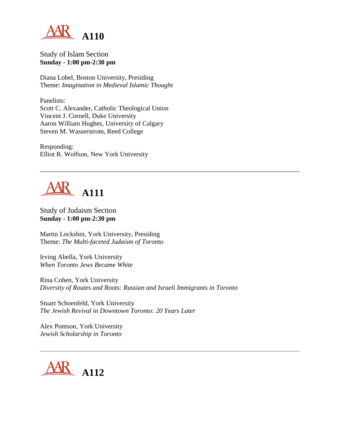

#### Study of Islam Section **Sunday - 1:00 pm-2:30 pm**

Diana Lobel, Boston University, Presiding Theme: *Imagination in Medieval Islamic Thought*

Panelists: Scott C. Alexander, Catholic Theological Union Vincent J. Cornell, Duke University Aaron William Hughes, University of Calgary Steven M. Wasserstrom, Reed College

Responding: Elliot R. Wolfson, New York University



Study of Judaism Section **Sunday - 1:00 pm-2:30 pm**

Martin Lockshin, York University, Presiding Theme: *The Multi-faceted Judaism of Toronto*

Irving Abella, York University *When Toronto Jews Became White*

Rina Cohen, York University *Diversity of Routes and Roots: Russian and Israeli Immigrants in Toronto*

Stuart Schoenfeld, York University *The Jewish Revival in Downtown Toronto: 20 Years Later*

Alex Pomson, York University *Jewish Scholarship in Toronto*

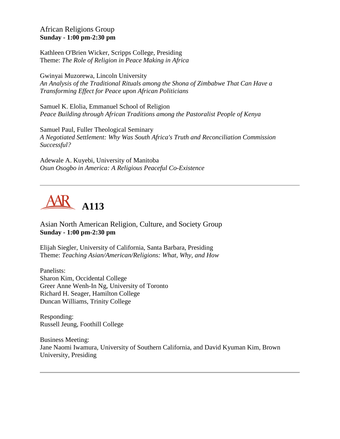#### African Religions Group **Sunday - 1:00 pm-2:30 pm**

Kathleen O'Brien Wicker, Scripps College, Presiding Theme: *The Role of Religion in Peace Making in Africa*

Gwinyai Muzorewa, Lincoln University *An Analysis of the Traditional Rituals among the Shona of Zimbabwe That Can Have a Transforming Effect for Peace upon African Politicians*

Samuel K. Elolia, Emmanuel School of Religion *Peace Building through African Traditions among the Pastoralist People of Kenya*

Samuel Paul, Fuller Theological Seminary *A Negotiated Settlement: Why Was South Africa's Truth and Reconciliation Commission Successful?*

Adewale A. Kuyebi, University of Manitoba *Osun Osogbo in America: A Religious Peaceful Co-Existence*



Asian North American Religion, Culture, and Society Group **Sunday - 1:00 pm-2:30 pm**

Elijah Siegler, University of California, Santa Barbara, Presiding Theme: *Teaching Asian/American/Religions: What, Why, and How*

Panelists: Sharon Kim, Occidental College Greer Anne Wenh-In Ng, University of Toronto Richard H. Seager, Hamilton College Duncan Williams, Trinity College

Responding: Russell Jeung, Foothill College

Business Meeting: Jane Naomi Iwamura, University of Southern California, and David Kyuman Kim, Brown University, Presiding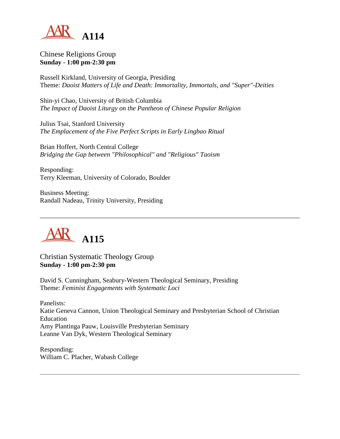

## Chinese Religions Group **Sunday - 1:00 pm-2:30 pm**

Russell Kirkland, University of Georgia, Presiding Theme: *Daoist Matters of Life and Death: Immortality, Immortals, and "Super"-Deities*

Shin-yi Chao, University of British Columbia *The Impact of Daoist Liturgy on the Pantheon of Chinese Popular Religion*

Julius Tsai, Stanford University *The Emplacement of the Five Perfect Scripts in Early Lingbao Ritual*

Brian Hoffert, North Central College *Bridging the Gap between "Philosophical" and "Religious" Taoism*

Responding: Terry Kleeman, University of Colorado, Boulder

Business Meeting: Randall Nadeau, Trinity University, Presiding



Christian Systematic Theology Group **Sunday - 1:00 pm-2:30 pm**

David S. Cunningham, Seabury-Western Theological Seminary, Presiding Theme: *Feminist Engagements with Systematic Loci*

Panelists: Katie Geneva Cannon, Union Theological Seminary and Presbyterian School of Christian Education Amy Plantinga Pauw, Louisville Presbyterian Seminary Leanne Van Dyk, Western Theological Seminary

Responding: William C. Placher, Wabash College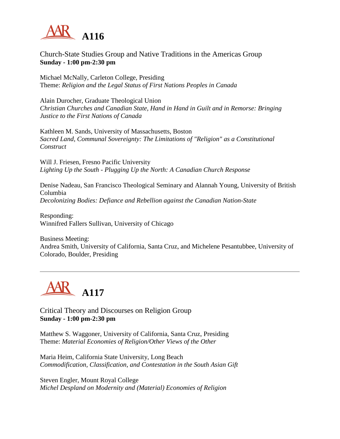

## Church-State Studies Group and Native Traditions in the Americas Group **Sunday - 1:00 pm-2:30 pm**

Michael McNally, Carleton College, Presiding Theme: *Religion and the Legal Status of First Nations Peoples in Canada*

Alain Durocher, Graduate Theological Union *Christian Churches and Canadian State, Hand in Hand in Guilt and in Remorse: Bringing Justice to the First Nations of Canada*

Kathleen M. Sands, University of Massachusetts, Boston *Sacred Land, Communal Sovereignty: The Limitations of "Religion" as a Constitutional Construct*

Will J. Friesen, Fresno Pacific University *Lighting Up the South - Plugging Up the North: A Canadian Church Response*

Denise Nadeau, San Francisco Theological Seminary and Alannah Young, University of British Columbia *Decolonizing Bodies: Defiance and Rebellion against the Canadian Nation-State*

Responding: Winnifred Fallers Sullivan, University of Chicago

Business Meeting: Andrea Smith, University of California, Santa Cruz, and Michelene Pesantubbee, University of Colorado, Boulder, Presiding



Critical Theory and Discourses on Religion Group **Sunday - 1:00 pm-2:30 pm**

Matthew S. Waggoner, University of California, Santa Cruz, Presiding Theme: *Material Economies of Religion/Other Views of the Other*

Maria Heim, California State University, Long Beach *Commodification, Classification, and Contestation in the South Asian Gift*

Steven Engler, Mount Royal College *Michel Despland on Modernity and (Material) Economies of Religion*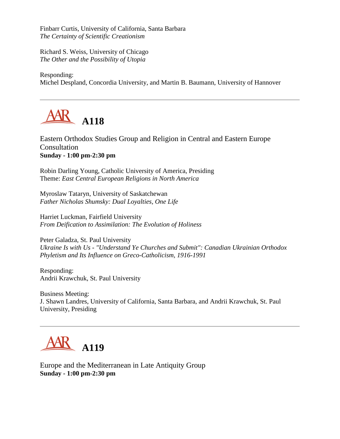Finbarr Curtis, University of California, Santa Barbara *The Certainty of Scientific Creationism*

Richard S. Weiss, University of Chicago *The Other and the Possibility of Utopia*

Responding: Michel Despland, Concordia University, and Martin B. Baumann, University of Hannover



Eastern Orthodox Studies Group and Religion in Central and Eastern Europe **Consultation Sunday - 1:00 pm-2:30 pm**

Robin Darling Young, Catholic University of America, Presiding Theme: *East Central European Religions in North America*

Myroslaw Tataryn, University of Saskatchewan *Father Nicholas Shumsky: Dual Loyalties, One Life*

Harriet Luckman, Fairfield University *From Deification to Assimilation: The Evolution of Holiness*

Peter Galadza, St. Paul University *Ukraine Is with Us - "Understand Ye Churches and Submit": Canadian Ukrainian Orthodox Phyletism and Its Influence on Greco-Catholicism, 1916-1991*

Responding: Andrii Krawchuk, St. Paul University

Business Meeting: J. Shawn Landres, University of California, Santa Barbara, and Andrii Krawchuk, St. Paul University, Presiding



Europe and the Mediterranean in Late Antiquity Group **Sunday - 1:00 pm-2:30 pm**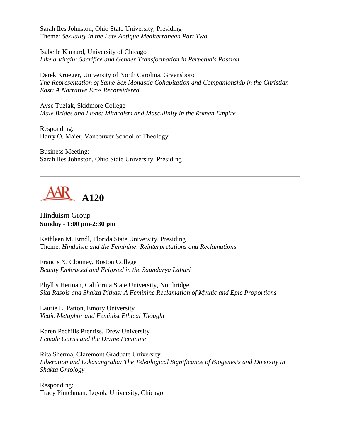Sarah Iles Johnston, Ohio State University, Presiding Theme: *Sexuality in the Late Antique Mediterranean Part Two*

Isabelle Kinnard, University of Chicago *Like a Virgin: Sacrifice and Gender Transformation in Perpetua's Passion*

Derek Krueger, University of North Carolina, Greensboro *The Representation of Same-Sex Monastic Cohabitation and Companionship in the Christian East: A Narrative Eros Reconsidered*

Ayse Tuzlak, Skidmore College *Male Brides and Lions: Mithraism and Masculinity in the Roman Empire*

Responding: Harry O. Maier, Vancouver School of Theology

Business Meeting: Sarah Iles Johnston, Ohio State University, Presiding



Hinduism Group **Sunday - 1:00 pm-2:30 pm**

Kathleen M. Erndl, Florida State University, Presiding Theme: *Hinduism and the Feminine: Reinterpretations and Reclamations*

Francis X. Clooney, Boston College *Beauty Embraced and Eclipsed in the Saundarya Lahari*

Phyllis Herman, California State University, Northridge *Sita Rasois and Shakta Pithas: A Feminine Reclamation of Mythic and Epic Proportions*

Laurie L. Patton, Emory University *Vedic Metaphor and Feminist Ethical Thought*

Karen Pechilis Prentiss, Drew University *Female Gurus and the Divine Feminine*

Rita Sherma, Claremont Graduate University *Liberation and Lokasangraha: The Teleological Significance of Biogenesis and Diversity in Shakta Ontology*

Responding: Tracy Pintchman, Loyola University, Chicago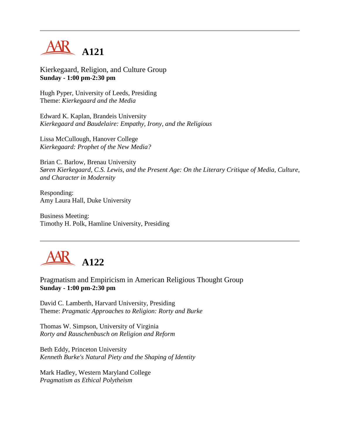

Kierkegaard, Religion, and Culture Group **Sunday - 1:00 pm-2:30 pm**

Hugh Pyper, University of Leeds, Presiding Theme: *Kierkegaard and the Media*

Edward K. Kaplan, Brandeis University *Kierkegaard and Baudelaire: Empathy, Irony, and the Religious*

Lissa McCullough, Hanover College *Kierkegaard: Prophet of the New Media?*

Brian C. Barlow, Brenau University *Søren Kierkegaard, C.S. Lewis, and the Present Age: On the Literary Critique of Media, Culture, and Character in Modernity*

Responding: Amy Laura Hall, Duke University

Business Meeting: Timothy H. Polk, Hamline University, Presiding



Pragmatism and Empiricism in American Religious Thought Group **Sunday - 1:00 pm-2:30 pm**

David C. Lamberth, Harvard University, Presiding Theme: *Pragmatic Approaches to Religion: Rorty and Burke*

Thomas W. Simpson, University of Virginia *Rorty and Rauschenbusch on Religion and Reform*

Beth Eddy, Princeton University *Kenneth Burke's Natural Piety and the Shaping of Identity*

Mark Hadley, Western Maryland College *Pragmatism as Ethical Polytheism*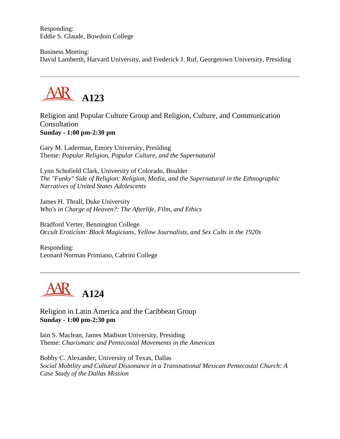Responding: Eddie S. Glaude, Bowdoin College

Business Meeting: David Lamberth, Harvard University, and Frederick J. Ruf, Georgetown University, Presiding



Religion and Popular Culture Group and Religion, Culture, and Communication Consultation **Sunday - 1:00 pm-2:30 pm**

Gary M. Laderman, Emory University, Presiding Theme: *Popular Religion, Popular Culture, and the Supernatural*

Lynn Schofield Clark, University of Colorado, Boulder *The "Funky" Side of Religion: Religion, Media, and the Supernatural in the Ethnographic Narratives of United States Adolescents*

James H. Thrall, Duke University *Who's in Charge of Heaven?: The Afterlife, Film, and Ethics*

Bradford Verter, Bennington College *Occult Eroticism: Black Magicians, Yellow Journalists, and Sex Cults in the 1920s*

Responding: Leonard Norman Primiano, Cabrini College



Religion in Latin America and the Caribbean Group **Sunday - 1:00 pm-2:30 pm**

Iain S. Maclean, James Madison University, Presiding Theme: *Charismatic and Pentecostal Movements in the Americas*

Bobby C. Alexander, University of Texas, Dallas *Social Mobility and Cultural Dissonance in a Transnational Mexican Pentecostal Church: A Case Study of the Dallas Mission*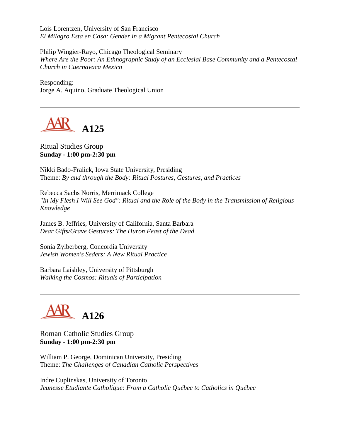Lois Lorentzen, University of San Francisco *El Milagro Esta en Casa: Gender in a Migrant Pentecostal Church*

Philip Wingier-Rayo, Chicago Theological Seminary *Where Are the Poor: An Ethnographic Study of an Ecclesial Base Community and a Pentecostal Church in Cuernavaca Mexico*

Responding: Jorge A. Aquino, Graduate Theological Union



#### Ritual Studies Group **Sunday - 1:00 pm-2:30 pm**

Nikki Bado-Fralick, Iowa State University, Presiding Theme: *By and through the Body: Ritual Postures, Gestures, and Practices*

Rebecca Sachs Norris, Merrimack College *"In My Flesh I Will See God": Ritual and the Role of the Body in the Transmission of Religious Knowledge*

James B. Jeffries, University of California, Santa Barbara *Dear Gifts/Grave Gestures: The Huron Feast of the Dead*

Sonia Zylberberg, Concordia University *Jewish Women's Seders: A New Ritual Practice*

Barbara Laishley, University of Pittsburgh *Walking the Cosmos: Rituals of Participation*



Roman Catholic Studies Group **Sunday - 1:00 pm-2:30 pm**

William P. George, Dominican University, Presiding Theme: *The Challenges of Canadian Catholic Perspectives*

Indre Cuplinskas, University of Toronto *Jeunesse Etudiante Catholique: From a Catholic Québec to Catholics in Québec*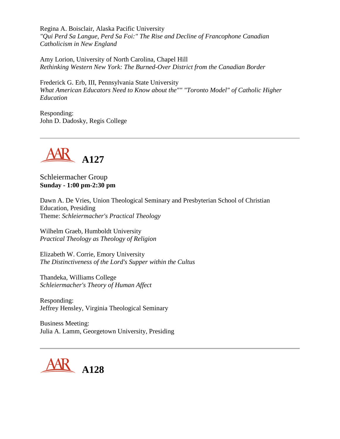Regina A. Boisclair, Alaska Pacific University *"Qui Perd Sa Langue, Perd Sa Foi:" The Rise and Decline of Francophone Canadian Catholicism in New England*

Amy Lorion, University of North Carolina, Chapel Hill *Rethinking Western New York: The Burned-Over District from the Canadian Border*

Frederick G. Erb, III, Pennsylvania State University *What American Educators Need to Know about the"" "Toronto Model" of Catholic Higher Education*

Responding: John D. Dadosky, Regis College



Schleiermacher Group **Sunday - 1:00 pm-2:30 pm**

Dawn A. De Vries, Union Theological Seminary and Presbyterian School of Christian Education, Presiding Theme: *Schleiermacher's Practical Theology*

Wilhelm Graeb, Humboldt University *Practical Theology as Theology of Religion*

Elizabeth W. Corrie, Emory University *The Distinctiveness of the Lord's Supper within the Cultus*

Thandeka, Williams College *Schleiermacher's Theory of Human Affect*

Responding: Jeffrey Hensley, Virginia Theological Seminary

Business Meeting: Julia A. Lamm, Georgetown University, Presiding

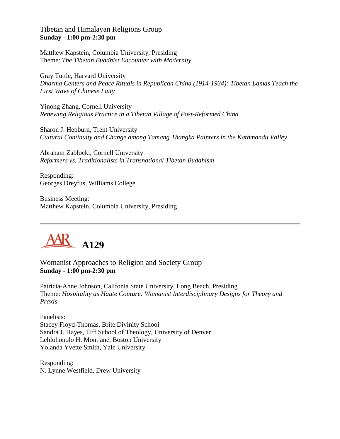Tibetan and Himalayan Religions Group **Sunday - 1:00 pm-2:30 pm**

Matthew Kapstein, Columbia University, Presiding Theme: *The Tibetan Buddhist Encounter with Modernity*

Gray Tuttle, Harvard University *Dharma Centers and Peace Rituals in Republican China (1914-1934): Tibetan Lamas Teach the First Wave of Chinese Laity*

Yinong Zhang, Cornell University *Renewing Religious Practice in a Tibetan Village of Post-Reformed China*

Sharon J. Hepburn, Trent University *Cultural Continuity and Change among Tamang Thangka Painters in the Kathmandu Valley*

Abraham Zablocki, Cornell University *Reformers vs. Traditionalists in Transnational Tibetan Buddhism*

Responding: Georges Dreyfus, Williams College

Business Meeting: Matthew Kapstein, Columbia University, Presiding



Womanist Approaches to Religion and Society Group **Sunday - 1:00 pm-2:30 pm**

Patricia-Anne Johnson, Califonia State University, Long Beach, Presiding Theme: *Hospitality as Haute Couture: Womanist Interdisciplinary Designs for Theory and Praxis*

Panelists: Stacey Floyd-Thomas, Brite Divinity School Sandra J. Hayes, Iliff School of Theology, University of Denver Lehlohonolo H. Montjane, Boston University Yolanda Yvette Smith, Yale University

Responding: N. Lynne Westfield, Drew University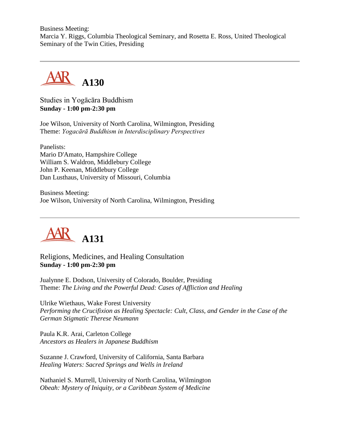Business Meeting: Marcia Y. Riggs, Columbia Theological Seminary, and Rosetta E. Ross, United Theological Seminary of the Twin Cities, Presiding



Studies in Yogācāra Buddhism **Sunday - 1:00 pm-2:30 pm**

Joe Wilson, University of North Carolina, Wilmington, Presiding Theme: *Yogacārā Buddhism in Interdisciplinary Perspectives*

Panelists: Mario D'Amato, Hampshire College William S. Waldron, Middlebury College John P. Keenan, Middlebury College Dan Lusthaus, University of Missouri, Columbia

Business Meeting: Joe Wilson, University of North Carolina, Wilmington, Presiding



Religions, Medicines, and Healing Consultation **Sunday - 1:00 pm-2:30 pm**

Jualynne E. Dodson, University of Colorado, Boulder, Presiding Theme: *The Living and the Powerful Dead: Cases of Affliction and Healing*

Ulrike Wiethaus, Wake Forest University *Performing the Crucifixion as Healing Spectacle: Cult, Class, and Gender in the Case of the German Stigmatic Therese Neumann*

Paula K.R. Arai, Carleton College *Ancestors as Healers in Japanese Buddhism*

Suzanne J. Crawford, University of California, Santa Barbara *Healing Waters: Sacred Springs and Wells in Ireland*

Nathaniel S. Murrell, University of North Carolina, Wilmington *Obeah: Mystery of Iniquity, or a Caribbean System of Medicine*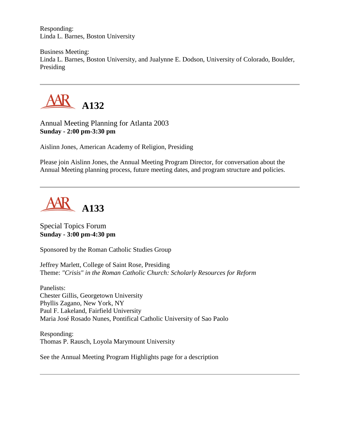Responding: Linda L. Barnes, Boston University

Business Meeting: Linda L. Barnes, Boston University, and Jualynne E. Dodson, University of Colorado, Boulder, Presiding



Annual Meeting Planning for Atlanta 2003 **Sunday - 2:00 pm-3:30 pm**

Aislinn Jones, American Academy of Religion, Presiding

Please join Aislinn Jones, the Annual Meeting Program Director, for conversation about the Annual Meeting planning process, future meeting dates, and program structure and policies.



## Special Topics Forum **Sunday - 3:00 pm-4:30 pm**

Sponsored by the Roman Catholic Studies Group

Jeffrey Marlett, College of Saint Rose, Presiding Theme: *"Crisis" in the Roman Catholic Church: Scholarly Resources for Reform*

Panelists: Chester Gillis, Georgetown University Phyllis Zagano, New York, NY Paul F. Lakeland, Fairfield University Maria José Rosado Nunes, Pontifical Catholic University of Sao Paolo

Responding: Thomas P. Rausch, Loyola Marymount University

See the Annual Meeting Program Highlights page for a description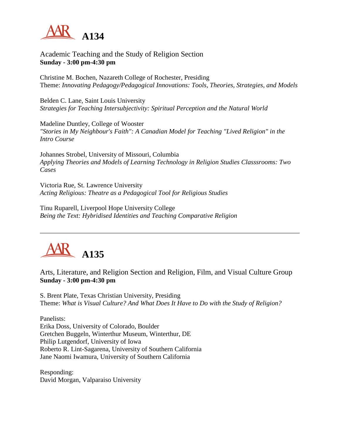

## Academic Teaching and the Study of Religion Section **Sunday - 3:00 pm-4:30 pm**

Christine M. Bochen, Nazareth College of Rochester, Presiding Theme: *Innovating Pedagogy/Pedagogical Innovations: Tools, Theories, Strategies, and Models*

Belden C. Lane, Saint Louis University *Strategies for Teaching Intersubjectivity: Spiritual Perception and the Natural World*

Madeline Duntley, College of Wooster *"Stories in My Neighbour's Faith": A Canadian Model for Teaching "Lived Religion" in the Intro Course*

Johannes Strobel, University of Missouri, Columbia *Applying Theories and Models of Learning Technology in Religion Studies Classsrooms: Two Cases*

Victoria Rue, St. Lawrence University *Acting Religious: Theatre as a Pedagogical Tool for Religious Studies*

Tinu Ruparell, Liverpool Hope University College *Being the Text: Hybridised Identities and Teaching Comparative Religion*



## Arts, Literature, and Religion Section and Religion, Film, and Visual Culture Group **Sunday - 3:00 pm-4:30 pm**

S. Brent Plate, Texas Christian University, Presiding Theme: *What is Visual Culture? And What Does It Have to Do with the Study of Religion?*

Panelists: Erika Doss, University of Colorado, Boulder Gretchen Buggeln, Winterthur Museum, Winterthur, DE Philip Lutgendorf, University of Iowa Roberto R. Lint-Sagarena, University of Southern California Jane Naomi Iwamura, University of Southern California

Responding: David Morgan, Valparaiso University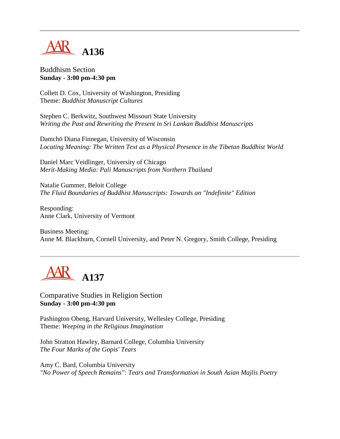

Buddhism Section **Sunday - 3:00 pm-4:30 pm**

Collett D. Cox, University of Washington, Presiding Theme: *Buddhist Manuscript Cultures*

Stephen C. Berkwitz, Southwest Missouri State University *Writing the Past and Rewriting the Present in Sri Lankan Buddhist Manuscripts*

Damchö Diana Finnegan, University of Wisconsin *Locating Meaning: The Written Text as a Physical Presence in the Tibetan Buddhist World*

Daniel Marc Veidlinger, University of Chicago *Merit-Making Media: Pali Manuscripts from Northern Thailand*

Natalie Gummer, Beloit College *The Fluid Boundaries of Buddhist Manuscripts: Towards an "Indefinite" Edition*

Responding: Anne Clark, University of Vermont

Business Meeting: Anne M. Blackburn, Cornell University, and Peter N. Gregory, Smith College, Presiding



Comparative Studies in Religion Section **Sunday - 3:00 pm-4:30 pm**

Pashington Obeng, Harvard University, Wellesley College, Presiding Theme: *Weeping in the Religious Imagination*

John Stratton Hawley, Barnard College, Columbia University *The Four Marks of the Gopis' Tears*

Amy C. Bard, Columbia University *"No Power of Speech Remains": Tears and Transformation in South Asian Majlis Poetry*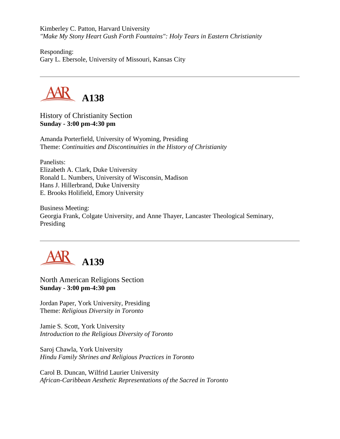Kimberley C. Patton, Harvard University *"Make My Stony Heart Gush Forth Fountains": Holy Tears in Eastern Christianity*

Responding: Gary L. Ebersole, University of Missouri, Kansas City



History of Christianity Section **Sunday - 3:00 pm-4:30 pm**

Amanda Porterfield, University of Wyoming, Presiding Theme: *Continuities and Discontinuities in the History of Christianity*

Panelists: Elizabeth A. Clark, Duke University Ronald L. Numbers, University of Wisconsin, Madison Hans J. Hillerbrand, Duke University E. Brooks Holifield, Emory University

Business Meeting: Georgia Frank, Colgate University, and Anne Thayer, Lancaster Theological Seminary, Presiding



North American Religions Section **Sunday - 3:00 pm-4:30 pm**

Jordan Paper, York University, Presiding Theme: *Religious Diversity in Toronto*

Jamie S. Scott, York University *Introduction to the Religious Diversity of Toronto*

Saroj Chawla, York University *Hindu Family Shrines and Religious Practices in Toronto*

Carol B. Duncan, Wilfrid Laurier University *African-Caribbean Aesthetic Representations of the Sacred in Toronto*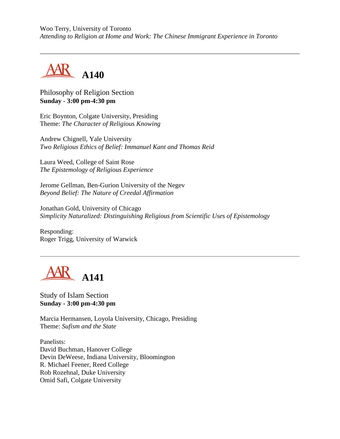Woo Terry, University of Toronto *Attending to Religion at Home and Work: The Chinese Immigrant Experience in Toronto*



Philosophy of Religion Section **Sunday - 3:00 pm-4:30 pm**

Eric Boynton, Colgate University, Presiding Theme: *The Character of Religious Knowing*

Andrew Chignell, Yale University *Two Religious Ethics of Belief: Immanuel Kant and Thomas Reid*

Laura Weed, College of Saint Rose *The Epistemology of Religious Experience*

Jerome Gellman, Ben-Gurion University of the Negev *Beyond Belief: The Nature of Creedal Affirmation*

Jonathan Gold, University of Chicago *Simplicity Naturalized: Distinguishing Religious from Scientific Uses of Epistemology*

Responding: Roger Trigg, University of Warwick



Study of Islam Section **Sunday - 3:00 pm-4:30 pm**

Marcia Hermansen, Loyola University, Chicago, Presiding Theme: *Sufism and the State*

Panelists: David Buchman, Hanover College Devin DeWeese, Indiana University, Bloomington R. Michael Feener, Reed College Rob Rozehnal, Duke University Omid Safi, Colgate University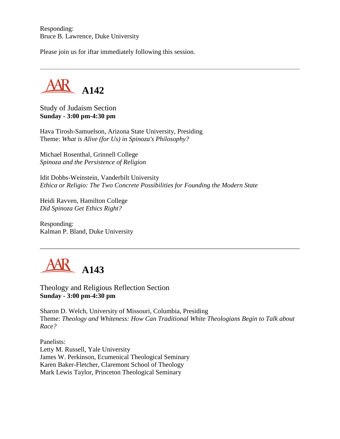Responding: Bruce B. Lawrence, Duke University

Please join us for iftar immediately following this session.

**A142**

Study of Judaism Section **Sunday - 3:00 pm-4:30 pm**

Hava Tirosh-Samuelson, Arizona State University, Presiding Theme: *What is Alive (for Us) in Spinoza's Philosophy?*

Michael Rosenthal, Grinnell College *Spinoza and the Persistence of Religion*

Idit Dobbs-Weinstein, Vanderbilt University *Ethica or Religio: The Two Concrete Possibilities for Founding the Modern State*

Heidi Ravven, Hamilton College *Did Spinoza Get Ethics Right?*

Responding: Kalman P. Bland, Duke University



Theology and Religious Reflection Section **Sunday - 3:00 pm-4:30 pm**

Sharon D. Welch, University of Missouri, Columbia, Presiding Theme: *Theology and Whiteness: How Can Traditional White Theologians Begin to Talk about Race?*

Panelists: Letty M. Russell, Yale University James W. Perkinson, Ecumenical Theological Seminary Karen Baker-Fletcher, Claremont School of Theology Mark Lewis Taylor, Princeton Theological Seminary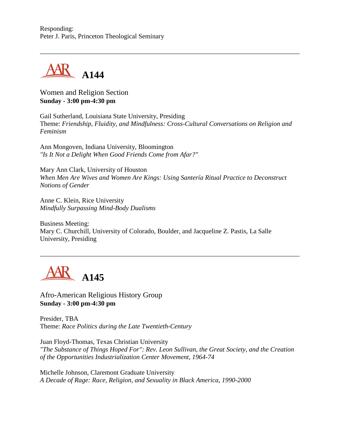Responding: Peter J. Paris, Princeton Theological Seminary



Women and Religion Section **Sunday - 3:00 pm-4:30 pm**

Gail Sutherland, Louisiana State University, Presiding Theme: *Friendship, Fluidity, and Mindfulness: Cross-Cultural Conversations on Religion and Feminism*

Ann Mongoven, Indiana University, Bloomington *"Is It Not a Delight When Good Friends Come from Afar?"*

Mary Ann Clark, University of Houston *When Men Are Wives and Women Are Kings: Using Santería Ritual Practice to Deconstruct Notions of Gender*

Anne C. Klein, Rice University *Mindfully Surpassing Mind-Body Dualisms*

Business Meeting: Mary C. Churchill, University of Colorado, Boulder, and Jacqueline Z. Pastis, La Salle University, Presiding



Afro-American Religious History Group **Sunday - 3:00 pm-4:30 pm**

Presider, TBA Theme: *Race Politics during the Late Twentieth-Century*

Juan Floyd-Thomas, Texas Christian University *"The Substance of Things Hoped For": Rev. Leon Sullivan, the Great Society, and the Creation of the Opportunities Industrialization Center Movement, 1964-74*

Michelle Johnson, Claremont Graduate University *A Decade of Rage: Race, Religion, and Sexuality in Black America, 1990-2000*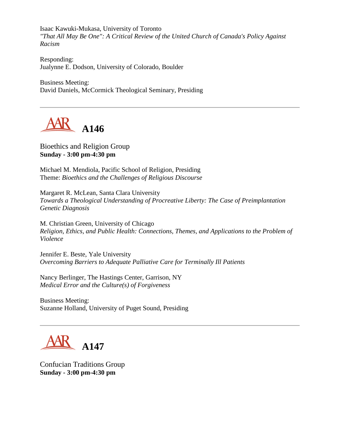Isaac Kawuki-Mukasa, University of Toronto *"That All May Be One": A Critical Review of the United Church of Canada's Policy Against Racism*

Responding: Jualynne E. Dodson, University of Colorado, Boulder

Business Meeting: David Daniels, McCormick Theological Seminary, Presiding

AR A146

Bioethics and Religion Group **Sunday - 3:00 pm-4:30 pm**

Michael M. Mendiola, Pacific School of Religion, Presiding Theme: *Bioethics and the Challenges of Religious Discourse*

Margaret R. McLean, Santa Clara University *Towards a Theological Understanding of Procreative Liberty: The Case of Preimplantation Genetic Diagnosis*

M. Christian Green, University of Chicago *Religion, Ethics, and Public Health: Connections, Themes, and Applications to the Problem of Violence*

Jennifer E. Beste, Yale University *Overcoming Barriers to Adequate Palliative Care for Terminally Ill Patients*

Nancy Berlinger, The Hastings Center, Garrison, NY *Medical Error and the Culture(s) of Forgiveness*

Business Meeting: Suzanne Holland, University of Puget Sound, Presiding



Confucian Traditions Group **Sunday - 3:00 pm-4:30 pm**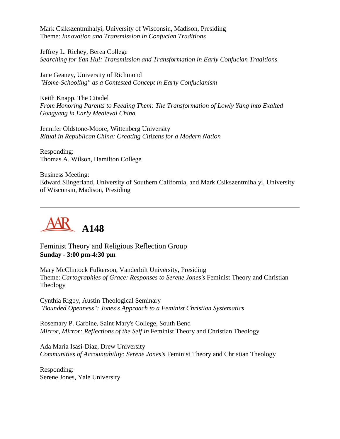Mark Csikszentmihalyi, University of Wisconsin, Madison, Presiding Theme: *Innovation and Transmission in Confucian Traditions*

Jeffrey L. Richey, Berea College *Searching for Yan Hui: Transmission and Transformation in Early Confucian Traditions*

Jane Geaney, University of Richmond *"Home-Schooling" as a Contested Concept in Early Confucianism*

Keith Knapp, The Citadel *From Honoring Parents to Feeding Them: The Transformation of Lowly Yang into Exalted Gongyang in Early Medieval China*

Jennifer Oldstone-Moore, Wittenberg University *Ritual in Republican China: Creating Citizens for a Modern Nation*

Responding: Thomas A. Wilson, Hamilton College

Business Meeting: Edward Slingerland, University of Southern California, and Mark Csikszentmihalyi, University of Wisconsin, Madison, Presiding



Feminist Theory and Religious Reflection Group **Sunday - 3:00 pm-4:30 pm**

Mary McClintock Fulkerson, Vanderbilt University, Presiding Theme: *Cartographies of Grace: Responses to Serene Jones's* Feminist Theory and Christian Theology

Cynthia Rigby, Austin Theological Seminary *"Bounded Openness": Jones's Approach to a Feminist Christian Systematics*

Rosemary P. Carbine, Saint Mary's College, South Bend *Mirror, Mirror: Reflections of the Self in* Feminist Theory and Christian Theology

Ada María Isasi-Díaz, Drew University *Communities of Accountability: Serene Jones's* Feminist Theory and Christian Theology

Responding: Serene Jones, Yale University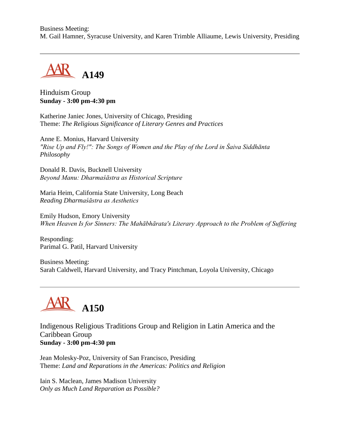Business Meeting: M. Gail Hamner, Syracuse University, and Karen Trimble Alliaume, Lewis University, Presiding



#### Hinduism Group **Sunday - 3:00 pm-4:30 pm**

Katherine Janiec Jones, University of Chicago, Presiding Theme: *The Religious Significance of Literary Genres and Practices*

Anne E. Monius, Harvard University *"Rise Up and Fly!": The Songs of Women and the Play of the Lord in Śaiva Siddhānta Philosophy*

Donald R. Davis, Bucknell University *Beyond Manu: Dharmaśāstra as Historical Scripture*

Maria Heim, California State University, Long Beach *Reading Dharmaśāstra as Aesthetics*

Emily Hudson, Emory University *When Heaven Is for Sinners: The Mahābhārata's Literary Approach to the Problem of Suffering*

Responding: Parimal G. Patil, Harvard University

Business Meeting: Sarah Caldwell, Harvard University, and Tracy Pintchman, Loyola University, Chicago

# **A150**

Indigenous Religious Traditions Group and Religion in Latin America and the Caribbean Group **Sunday - 3:00 pm-4:30 pm**

Jean Molesky-Poz, University of San Francisco, Presiding Theme: *Land and Reparations in the Americas: Politics and Religion*

Iain S. Maclean, James Madison University *Only as Much Land Reparation as Possible?*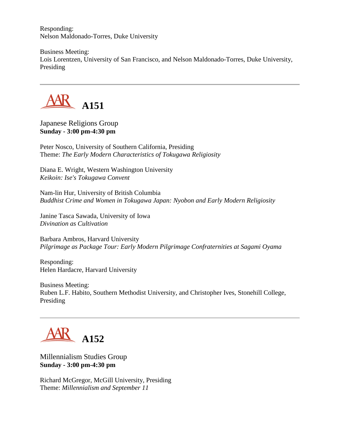Responding: Nelson Maldonado-Torres, Duke University

Business Meeting: Lois Lorentzen, University of San Francisco, and Nelson Maldonado-Torres, Duke University, Presiding



Japanese Religions Group **Sunday - 3:00 pm-4:30 pm**

Peter Nosco, University of Southern California, Presiding Theme: *The Early Modern Characteristics of Tokugawa Religiosity*

Diana E. Wright, Western Washington University *Keikoin: Ise's Tokugawa Convent*

Nam-lin Hur, University of British Columbia *Buddhist Crime and Women in Tokugawa Japan: Nyobon and Early Modern Religiosity*

Janine Tasca Sawada, University of Iowa *Divination as Cultivation*

Barbara Ambros, Harvard University *Pilgrimage as Package Tour: Early Modern Pilgrimage Confraternities at Sagami Oyama* 

Responding: Helen Hardacre, Harvard University

Business Meeting: Ruben L.F. Habito, Southern Methodist University, and Christopher Ives, Stonehill College, Presiding



Millennialism Studies Group **Sunday - 3:00 pm-4:30 pm**

Richard McGregor, McGill University, Presiding Theme: *Millennialism and September 11*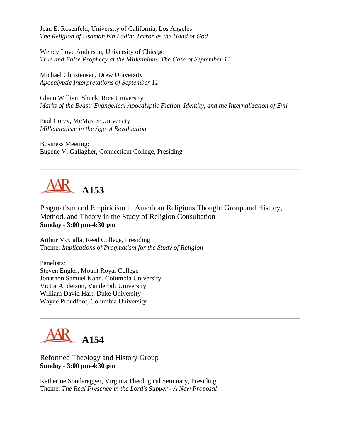Jean E. Rosenfeld, University of California, Los Angeles *The Religion of Usamah bin Ladin: Terror as the Hand of God*

Wendy Love Anderson, University of Chicago *True and False Prophecy at the Millennium: The Case of September 11*

Michael Christensen, Drew University *Apocalyptic Interpretations of September 11*

Glenn William Shuck, Rice University *Marks of the Beast: Evangelical Apocalyptic Fiction, Identity, and the Internalization of Evil*

Paul Corey, McMaster University *Millennialism in the Age of Revaluation*

Business Meeting: Eugene V. Gallagher, Connecticut College, Presiding

## **A153**

Pragmatism and Empiricism in American Religious Thought Group and History, Method, and Theory in the Study of Religion Consultation **Sunday - 3:00 pm-4:30 pm**

Arthur McCalla, Reed College, Presiding Theme: *Implications of Pragmatism for the Study of Religion*

Panelists: Steven Engler, Mount Royal College Jonathon Samuel Kahn, Columbia University Victor Anderson, Vanderbilt University William David Hart, Duke University Wayne Proudfoot, Columbia University



Reformed Theology and History Group **Sunday - 3:00 pm-4:30 pm**

Katherine Sonderegger, Virginia Theological Seminary, Presiding Theme: *The Real Presence in the Lord's Supper - A New Proposal*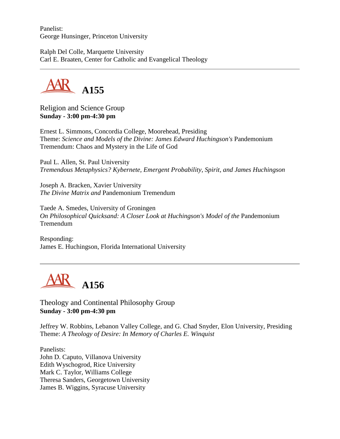Panelist: George Hunsinger, Princeton University

Ralph Del Colle, Marquette University Carl E. Braaten, Center for Catholic and Evangelical Theology



Religion and Science Group **Sunday - 3:00 pm-4:30 pm**

Ernest L. Simmons, Concordia College, Moorehead, Presiding Theme: *Science and Models of the Divine: James Edward Huchingson's* Pandemonium Tremendum: Chaos and Mystery in the Life of God

Paul L. Allen, St. Paul University *Tremendous Metaphysics? Kybernete, Emergent Probability, Spirit, and James Huchingson*

Joseph A. Bracken, Xavier University *The Divine Matrix and* Pandemonium Tremendum

Taede A. Smedes, University of Groningen *On Philosophical Quicksand: A Closer Look at Huchingson's Model of the* Pandemonium Tremendum

Responding: James E. Huchingson, Florida International University



Theology and Continental Philosophy Group **Sunday - 3:00 pm-4:30 pm**

Jeffrey W. Robbins, Lebanon Valley College, and G. Chad Snyder, Elon University, Presiding Theme: *A Theology of Desire: In Memory of Charles E. Winquist*

Panelists: John D. Caputo, Villanova University Edith Wyschogrod, Rice University Mark C. Taylor, Williams College Theresa Sanders, Georgetown University James B. Wiggins, Syracuse University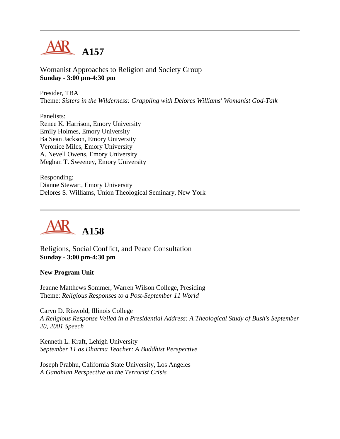

Womanist Approaches to Religion and Society Group **Sunday - 3:00 pm-4:30 pm**

Presider, TBA Theme: *Sisters in the Wilderness: Grappling with Delores Williams' Womanist God-Talk*

Panelists: Renee K. Harrison, Emory University Emily Holmes, Emory University Ba Sean Jackson, Emory University Veronice Miles, Emory University A. Nevell Owens, Emory University Meghan T. Sweeney, Emory University

Responding: Dianne Stewart, Emory University Delores S. Williams, Union Theological Seminary, New York



Religions, Social Conflict, and Peace Consultation **Sunday - 3:00 pm-4:30 pm**

#### **New Program Unit**

Jeanne Matthews Sommer, Warren Wilson College, Presiding Theme: *Religious Responses to a Post-September 11 World*

Caryn D. Riswold, Illinois College *A Religious Response Veiled in a Presidential Address: A Theological Study of Bush's September 20, 2001 Speech*

Kenneth L. Kraft, Lehigh University *September 11 as Dharma Teacher: A Buddhist Perspective*

Joseph Prabhu, California State University, Los Angeles *A Gandhian Perspective on the Terrorist Crisis*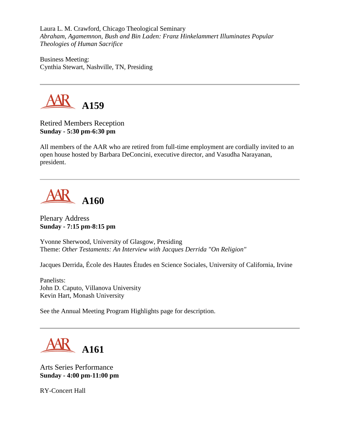Laura L. M. Crawford, Chicago Theological Seminary *Abraham, Agamemnon, Bush and Bin Laden: Franz Hinkelammert Illuminates Popular Theologies of Human Sacrifice*

Business Meeting: Cynthia Stewart, Nashville, TN, Presiding



Retired Members Reception **Sunday - 5:30 pm-6:30 pm**

All members of the AAR who are retired from full-time employment are cordially invited to an open house hosted by Barbara DeConcini, executive director, and Vasudha Narayanan, president.



Plenary Address **Sunday - 7:15 pm-8:15 pm**

Yvonne Sherwood, University of Glasgow, Presiding Theme: *Other Testaments: An Interview with Jacques Derrida "On Religion"*

Jacques Derrida, École des Hautes Études en Science Sociales, University of California, Irvine

Panelists: John D. Caputo, Villanova University Kevin Hart, Monash University

See the Annual Meeting Program Highlights page for description.

**A161**

Arts Series Performance **Sunday - 4:00 pm-11:00 pm**

RY-Concert Hall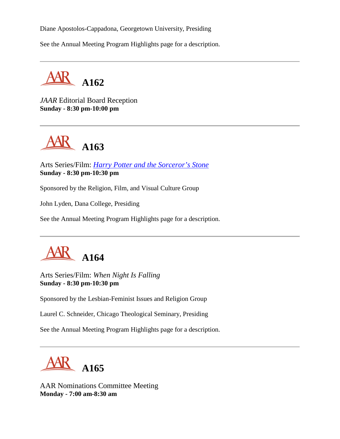Diane Apostolos-Cappadona, Georgetown University, Presiding

See the Annual Meeting Program Highlights page for a description.



*JAAR* Editorial Board Reception **Sunday - 8:30 pm-10:00 pm**



Arts Series/Film: *[Harry Potter and the Sorceror's Stone](http://harrypotter.warnerbros.com/)* **Sunday - 8:30 pm-10:30 pm**

Sponsored by the Religion, Film, and Visual Culture Group

John Lyden, Dana College, Presiding

See the Annual Meeting Program Highlights page for a description.



Arts Series/Film: *When Night Is Falling* **Sunday - 8:30 pm-10:30 pm**

Sponsored by the Lesbian-Feminist Issues and Religion Group

Laurel C. Schneider, Chicago Theological Seminary, Presiding

See the Annual Meeting Program Highlights page for a description.



AAR Nominations Committee Meeting **Monday - 7:00 am-8:30 am**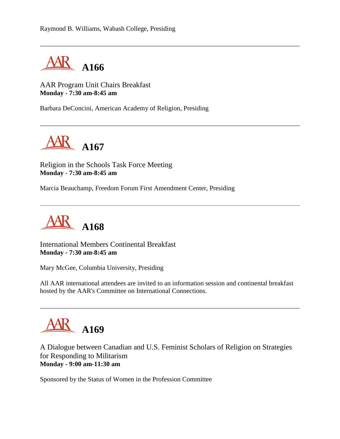

AAR Program Unit Chairs Breakfast **Monday - 7:30 am-8:45 am**

Barbara DeConcini, American Academy of Religion, Presiding



Religion in the Schools Task Force Meeting **Monday - 7:30 am-8:45 am**

Marcia Beauchamp, Freedom Forum First Amendment Center, Presiding



International Members Continental Breakfast **Monday - 7:30 am-8:45 am**

Mary McGee, Columbia University, Presiding

All AAR international attendees are invited to an information session and continental breakfast hosted by the AAR's Committee on International Connections.



A Dialogue between Canadian and U.S. Feminist Scholars of Religion on Strategies for Responding to Militarism **Monday - 9:00 am-11:30 am**

Sponsored by the Status of Women in the Profession Committee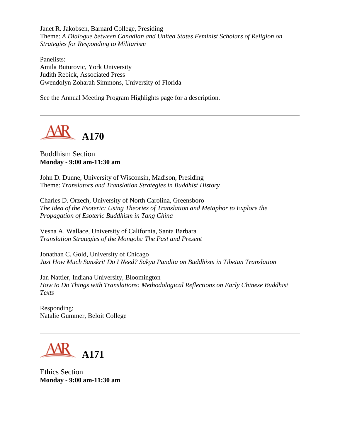Janet R. Jakobsen, Barnard College, Presiding Theme: *A Dialogue between Canadian and United States Feminist Scholars of Religion on Strategies for Responding to Militarism*

Panelists: Amila Buturovic, York University Judith Rebick, Associated Press Gwendolyn Zoharah Simmons, University of Florida

See the Annual Meeting Program Highlights page for a description.



## Buddhism Section **Monday - 9:00 am-11:30 am**

John D. Dunne, University of Wisconsin, Madison, Presiding Theme: *Translators and Translation Strategies in Buddhist History*

Charles D. Orzech, University of North Carolina, Greensboro *The Idea of the Esoteric: Using Theories of Translation and Metaphor to Explore the Propagation of Esoteric Buddhism in Tang China*

Vesna A. Wallace, University of California, Santa Barbara *Translation Strategies of the Mongols: The Past and Present*

Jonathan C. Gold, University of Chicago *Just How Much Sanskrit Do I Need? Sakya Pandita on Buddhism in Tibetan Translation*

Jan Nattier, Indiana University, Bloomington *How to Do Things with Translations: Methodological Reflections on Early Chinese Buddhist Texts*

Responding: Natalie Gummer, Beloit College



Ethics Section **Monday - 9:00 am-11:30 am**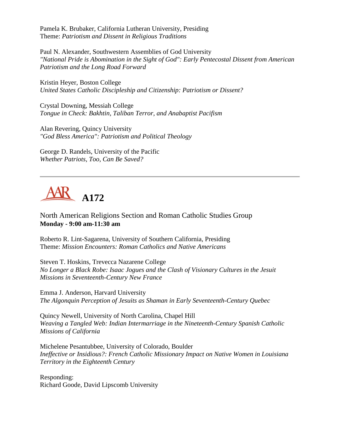Pamela K. Brubaker, California Lutheran University, Presiding Theme: *Patriotism and Dissent in Religious Traditions*

Paul N. Alexander, Southwestern Assemblies of God University *"National Pride is Abomination in the Sight of God": Early Pentecostal Dissent from American Patriotism and the Long Road Forward*

Kristin Heyer, Boston College *United States Catholic Discipleship and Citizenship: Patriotism or Dissent?*

Crystal Downing, Messiah College *Tongue in Check: Bakhtin, Taliban Terror, and Anabaptist Pacifism*

Alan Revering, Quincy University *"God Bless America": Patriotism and Political Theology*

George D. Randels, University of the Pacific *Whether Patriots, Too, Can Be Saved?*



North American Religions Section and Roman Catholic Studies Group **Monday - 9:00 am-11:30 am**

Roberto R. Lint-Sagarena, University of Southern California, Presiding Theme: *Mission Encounters: Roman Catholics and Native Americans*

Steven T. Hoskins, Trevecca Nazarene College *No Longer a Black Robe: Isaac Jogues and the Clash of Visionary Cultures in the Jesuit Missions in Seventeenth-Century New France*

Emma J. Anderson, Harvard University *The Algonquin Perception of Jesuits as Shaman in Early Seventeenth-Century Quebec*

Quincy Newell, University of North Carolina, Chapel Hill *Weaving a Tangled Web: Indian Intermarriage in the Nineteenth-Century Spanish Catholic Missions of California*

Michelene Pesantubbee, University of Colorado, Boulder *Ineffective or Insidious?: French Catholic Missionary Impact on Native Women in Louisiana Territory in the Eighteenth Century*

Responding: Richard Goode, David Lipscomb University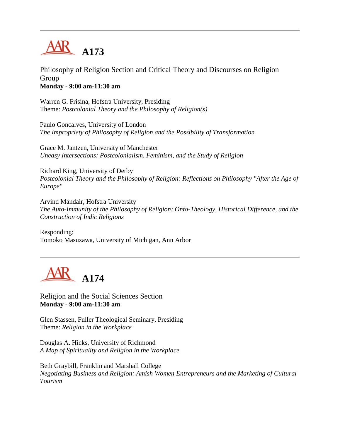

Philosophy of Religion Section and Critical Theory and Discourses on Religion Group **Monday - 9:00 am-11:30 am**

Warren G. Frisina, Hofstra University, Presiding Theme: *Postcolonial Theory and the Philosophy of Religion(s)*

Paulo Goncalves, University of London *The Impropriety of Philosophy of Religion and the Possibility of Transformation*

Grace M. Jantzen, University of Manchester *Uneasy Intersections: Postcolonialism, Feminism, and the Study of Religion*

Richard King, University of Derby *Postcolonial Theory and the Philosophy of Religion: Reflections on Philosophy "After the Age of Europe"*

Arvind Mandair, Hofstra University *The Auto-Immunity of the Philosophy of Religion: Onto-Theology, Historical Difference, and the Construction of Indic Religions*

Responding: Tomoko Masuzawa, University of Michigan, Ann Arbor



Religion and the Social Sciences Section **Monday - 9:00 am-11:30 am**

Glen Stassen, Fuller Theological Seminary, Presiding Theme: *Religion in the Workplace*

Douglas A. Hicks, University of Richmond *A Map of Spirituality and Religion in the Workplace*

Beth Graybill, Franklin and Marshall College *Negotiating Business and Religion: Amish Women Entrepreneurs and the Marketing of Cultural Tourism*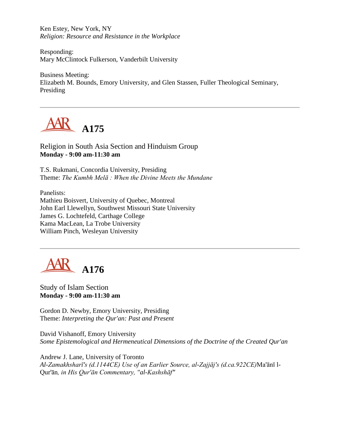Ken Estey, New York, NY *Religion: Resource and Resistance in the Workplace*

Responding: Mary McClintock Fulkerson, Vanderbilt University

Business Meeting: Elizabeth M. Bounds, Emory University, and Glen Stassen, Fuller Theological Seminary, Presiding



Religion in South Asia Section and Hinduism Group **Monday - 9:00 am-11:30 am**

T.S. Rukmani, Concordia University, Presiding Theme: *The Kumbh Melā : When the Divine Meets the Mundane*

Panelists: Mathieu Boisvert, University of Quebec, Montreal John Earl Llewellyn, Southwest Missouri State University James G. Lochtefeld, Carthage College Kama MacLean, La Trobe University William Pinch, Wesleyan University



Study of Islam Section **Monday - 9:00 am-11:30 am**

Gordon D. Newby, Emory University, Presiding Theme: *Interpreting the Qur'an: Past and Present*

David Vishanoff, Emory University *Some Epistemological and Hermeneutical Dimensions of the Doctrine of the Created Qur'an*

Andrew J. Lane, University of Toronto *Al-Zamakhsharī's (d.1144CE) Use of an Earlier Source, al-Zajjāj's (d.ca.922CE)*Ma'ānī l-Qur'ān*, in His Qur'ān Commentary, "al-Kashshāf"*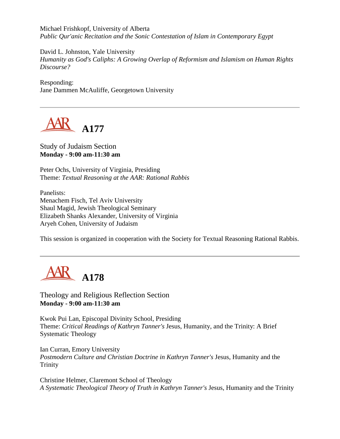Michael Frishkopf, University of Alberta *Public Qur'anic Recitation and the Sonic Contestation of Islam in Contemporary Egypt*

David L. Johnston, Yale University *Humanity as God's Caliphs: A Growing Overlap of Reformism and Islamism on Human Rights Discourse?*

Responding: Jane Dammen McAuliffe, Georgetown University



Study of Judaism Section **Monday - 9:00 am-11:30 am**

Peter Ochs, University of Virginia, Presiding Theme: *Textual Reasoning at the AAR: Rational Rabbis*

Panelists: Menachem Fisch, Tel Aviv University Shaul Magid, Jewish Theological Seminary Elizabeth Shanks Alexander, University of Virginia Aryeh Cohen, University of Judaism

This session is organized in cooperation with the Society for Textual Reasoning Rational Rabbis.



Theology and Religious Reflection Section **Monday - 9:00 am-11:30 am**

Kwok Pui Lan, Episcopal Divinity School, Presiding Theme: *Critical Readings of Kathryn Tanner's* Jesus, Humanity, and the Trinity: A Brief Systematic Theology

Ian Curran, Emory University *Postmodern Culture and Christian Doctrine in Kathryn Tanner's* Jesus, Humanity and the Trinity

Christine Helmer, Claremont School of Theology *A Systematic Theological Theory of Truth in Kathryn Tanner's* Jesus, Humanity and the Trinity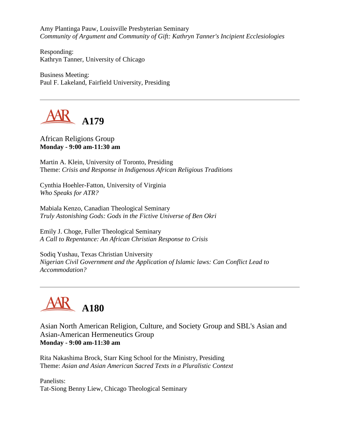Amy Plantinga Pauw, Louisville Presbyterian Seminary *Community of Argument and Community of Gift: Kathryn Tanner's Incipient Ecclesiologies*

Responding: Kathryn Tanner, University of Chicago

Business Meeting: Paul F. Lakeland, Fairfield University, Presiding



African Religions Group **Monday - 9:00 am-11:30 am**

Martin A. Klein, University of Toronto, Presiding Theme: *Crisis and Response in Indigenous African Religious Traditions*

Cynthia Hoehler-Fatton, University of Virginia *Who Speaks for ATR?*

Mabiala Kenzo, Canadian Theological Seminary *Truly Astonishing Gods: Gods in the Fictive Universe of Ben Okri*

Emily J. Choge, Fuller Theological Seminary *A Call to Repentance: An African Christian Response to Crisis*

Sodiq Yushau, Texas Christian University *Nigerian Civil Government and the Application of Islamic laws: Can Conflict Lead to Accommodation?*



Asian North American Religion, Culture, and Society Group and SBL's Asian and Asian-American Hermeneutics Group **Monday - 9:00 am-11:30 am**

Rita Nakashima Brock, Starr King School for the Ministry, Presiding Theme: *Asian and Asian American Sacred Texts in a Pluralistic Context*

Panelists: Tat-Siong Benny Liew, Chicago Theological Seminary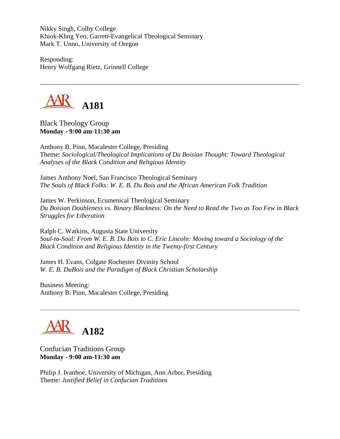Nikky Singh, Colby College Khiok-Khng Yeo, Garrett-Evangelical Theological Seminary Mark T. Unno, University of Oregon

Responding: Henry Wolfgang Rietz, Grinnell College



Black Theology Group **Monday - 9:00 am-11:30 am**

Anthony B. Pinn, Macalester College, Presiding Theme: *Sociological/Theological Implications of Du Boisian Thought: Toward Theological Analyses of the Black Condition and Religious Identity*

James Anthony Noel, San Francisco Theological Seminary *The Souls of Black Folks: W. E. B. Du Bois and the African American Folk Tradition*

James W. Perkinson, Ecumenical Theological Seminary *Du Boisian Doubleness vs. Binary Blackness: On the Need to Read the Two as Too Few in Black Struggles for Liberation*

Ralph C. Watkins, Augusta State University *Soul-to-Soul: From W. E. B. Du Bois to C. Eric Lincoln: Moving toward a Sociology of the Black Condition and Religious Identity in the Twenty-first Century*

James H. Evans, Colgate Rochester Divinity School *W. E. B. DuBois and the Paradigm of Black Christian Scholarship*

Business Meeting: Anthony B. Pinn, Macalester College, Presiding

# **A182**

Confucian Traditions Group **Monday - 9:00 am-11:30 am**

Philip J. Ivanhoe, University of Michigan, Ann Arbor, Presiding Theme: *Justified Belief in Confucian Traditions*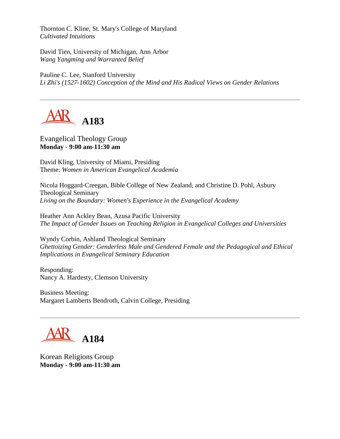Thornton C. Kline, St. Mary's College of Maryland *Cultivated Intuitions*

David Tien, University of Michigan, Ann Arbor *Wang Yangming and Warranted Belief*

Pauline C. Lee, Stanford University *Li Zhi's (1527-1602) Conception of the Mind and His Radical Views on Gender Relations*



Evangelical Theology Group **Monday - 9:00 am-11:30 am**

David Kling, University of Miami, Presiding Theme: *Women in American Evangelical Academia*

Nicola Hoggard-Creegan, Bible College of New Zealand, and Christine D. Pohl, Asbury Theological Seminary *Living on the Boundary: Women's Experience in the Evangelical Academy*

Heather Ann Ackley Bean, Azusa Pacific University *The Impact of Gender Issues on Teaching Religion in Evangelical Colleges and Universities*

Wyndy Corbin, Ashland Theological Seminary *Ghettoizing Gender: Genderless Male and Gendered Female and the Pedagogical and Ethical Implications in Evangelical Seminary Education*

Responding: Nancy A. Hardesty, Clemson University

Business Meeting: Margaret Lamberts Bendroth, Calvin College, Presiding



Korean Religions Group **Monday - 9:00 am-11:30 am**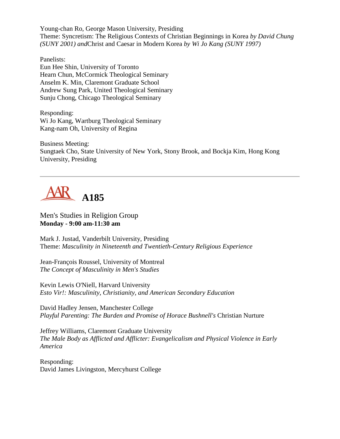Young-chan Ro, George Mason University, Presiding Theme: Syncretism: The Religious Contexts of Christian Beginnings in Korea *by David Chung (SUNY 2001) and*Christ and Caesar in Modern Korea *by Wi Jo Kang (SUNY 1997)*

Panelists: Eun Hee Shin, University of Toronto Hearn Chun, McCormick Theological Seminary Anselm K. Min, Claremont Graduate School Andrew Sung Park, United Theological Seminary Sunju Chong, Chicago Theological Seminary

Responding: Wi Jo Kang, Wartburg Theological Seminary Kang-nam Oh, University of Regina

Business Meeting: Sungtaek Cho, State University of New York, Stony Brook, and Bockja Kim, Hong Kong University, Presiding



Men's Studies in Religion Group **Monday - 9:00 am-11:30 am**

Mark J. Justad, Vanderbilt University, Presiding Theme: *Masculinity in Nineteenth and Twentieth-Century Religious Experience*

Jean-François Roussel, University of Montreal *The Concept of Masculinity in Men's Studies*

Kevin Lewis O'Niell, Harvard University *Esto Vir!: Masculinity, Christianity, and American Secondary Education*

David Hadley Jensen, Manchester College *Playful Parenting: The Burden and Promise of Horace Bushnell's* Christian Nurture

Jeffrey Williams, Claremont Graduate University *The Male Body as Afflicted and Afflicter: Evangelicalism and Physical Violence in Early America*

Responding: David James Livingston, Mercyhurst College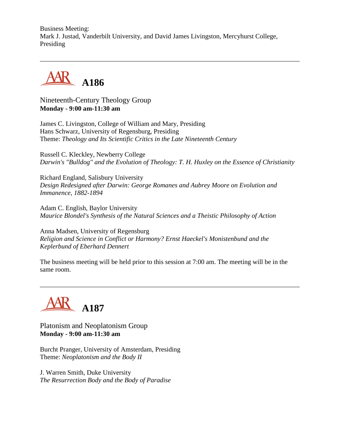Business Meeting: Mark J. Justad, Vanderbilt University, and David James Livingston, Mercyhurst College, Presiding



Nineteenth-Century Theology Group **Monday - 9:00 am-11:30 am**

James C. Livingston, College of William and Mary, Presiding Hans Schwarz, University of Regensburg, Presiding Theme: *Theology and Its Scientific Critics in the Late Nineteenth Century*

Russell C. Kleckley, Newberry College *Darwin's "Bulldog" and the Evolution of Theology: T. H. Huxley on the Essence of Christianity*

Richard England, Salisbury University *Design Redesigned after Darwin: George Romanes and Aubrey Moore on Evolution and Immanence, 1882-1894*

Adam C. English, Baylor University *Maurice Blondel's Synthesis of the Natural Sciences and a Theistic Philosophy of Action*

Anna Madsen, University of Regensburg *Religion and Science in Conflict or Harmony? Ernst Haeckel's Monistenbund and the Keplerbund of Eberhard Dennert*

The business meeting will be held prior to this session at 7:00 am. The meeting will be in the same room.



Platonism and Neoplatonism Group **Monday - 9:00 am-11:30 am**

Burcht Pranger, University of Amsterdam, Presiding Theme: *Neoplatonism and the Body II*

J. Warren Smith, Duke University *The Resurrection Body and the Body of Paradise*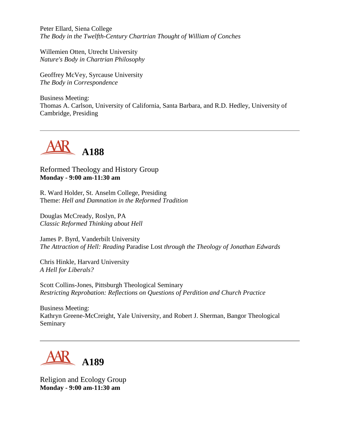Peter Ellard, Siena College *The Body in the Twelfth-Century Chartrian Thought of William of Conches*

Willemien Otten, Utrecht University *Nature's Body in Chartrian Philosophy*

Geoffrey McVey, Syrcause University *The Body in Correspondence*

Business Meeting: Thomas A. Carlson, University of California, Santa Barbara, and R.D. Hedley, University of Cambridge, Presiding



Reformed Theology and History Group **Monday - 9:00 am-11:30 am**

R. Ward Holder, St. Anselm College, Presiding Theme: *Hell and Damnation in the Reformed Tradition*

Douglas McCready, Roslyn, PA *Classic Reformed Thinking about Hell*

James P. Byrd, Vanderbilt University *The Attraction of Hell: Reading* Paradise Lost *through the Theology of Jonathan Edwards*

Chris Hinkle, Harvard University *A Hell for Liberals?*

Scott Collins-Jones, Pittsburgh Theological Seminary *Restricting Reprobation: Reflections on Questions of Perdition and Church Practice*

Business Meeting: Kathryn Greene-McCreight, Yale University, and Robert J. Sherman, Bangor Theological Seminary



Religion and Ecology Group **Monday - 9:00 am-11:30 am**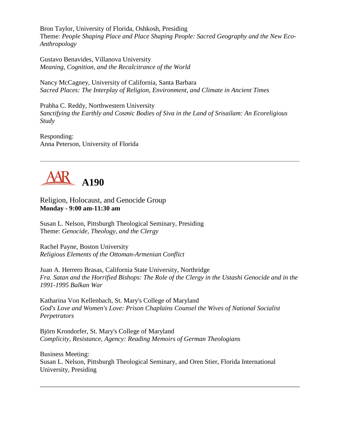Bron Taylor, University of Florida, Oshkosh, Presiding Theme: *People Shaping Place and Place Shaping People: Sacred Geography and the New Eco-Anthropology*

Gustavo Benavides, Villanova University *Meaning, Cognition, and the Recalcitrance of the World*

Nancy McCagney, University of California, Santa Barbara *Sacred Places: The Interplay of Religion, Environment, and Climate in Ancient Times*

Prabha C. Reddy, Northwestern University *Sanctifying the Earthly and Cosmic Bodies of Siva in the Land of Srisailam: An Ecoreligious Study*

Responding: Anna Peterson, University of Florida



Religion, Holocaust, and Genocide Group **Monday - 9:00 am-11:30 am**

Susan L. Nelson, Pittsburgh Theological Seminary, Presiding Theme: *Genocide, Theology, and the Clergy*

Rachel Payne, Boston University *Religious Elements of the Ottoman-Armenian Conflict*

Juan A. Herrero Brasas, California State University, Northridge *Fra. Satan and the Horrified Bishops: The Role of the Clergy in the Ustashi Genocide and in the 1991-1995 Balkan War*

Katharina Von Kellenbach, St. Mary's College of Maryland *God's Love and Women's Love: Prison Chaplains Counsel the Wives of National Socialist Perpetrators*

Björn Krondorfer, St. Mary's College of Maryland *Complicity, Resistance, Agency: Reading Memoirs of German Theologians*

Business Meeting: Susan L. Nelson, Pittsburgh Theological Seminary, and Oren Stier, Florida International University, Presiding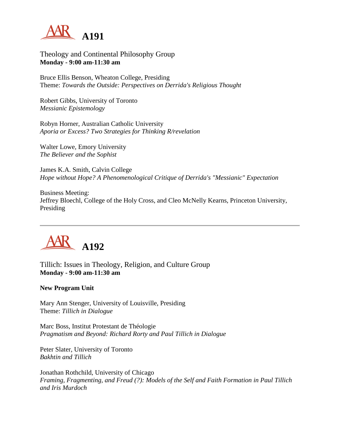

### Theology and Continental Philosophy Group **Monday - 9:00 am-11:30 am**

Bruce Ellis Benson, Wheaton College, Presiding Theme: *Towards the Outside: Perspectives on Derrida's Religious Thought*

Robert Gibbs, University of Toronto *Messianic Epistemology*

Robyn Horner, Australian Catholic University *Aporia or Excess? Two Strategies for Thinking R/revelation*

Walter Lowe, Emory University *The Believer and the Sophist*

James K.A. Smith, Calvin College *Hope without Hope? A Phenomenological Critique of Derrida's "Messianic" Expectation*

Business Meeting: Jeffrey Bloechl, College of the Holy Cross, and Cleo McNelly Kearns, Princeton University, Presiding



Tillich: Issues in Theology, Religion, and Culture Group **Monday - 9:00 am-11:30 am**

#### **New Program Unit**

Mary Ann Stenger, University of Louisville, Presiding Theme: *Tillich in Dialogue*

Marc Boss, Institut Protestant de Théologie *Pragmatism and Beyond: Richard Rorty and Paul Tillich in Dialogue*

Peter Slater, University of Toronto *Bakhtin and Tillich*

Jonathan Rothchild, University of Chicago *Framing, Fragmenting, and Freud (?): Models of the Self and Faith Formation in Paul Tillich and Iris Murdoch*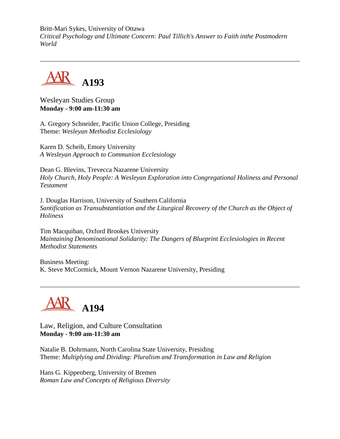Britt-Mari Sykes, University of Ottawa *Critical Psychology and Ultimate Concern: Paul Tillich's Answer to Faith inthe Postmodern World*



Wesleyan Studies Group **Monday - 9:00 am-11:30 am**

A. Gregory Schneider, Pacific Union College, Presiding Theme: *Wesleyan Methodist Ecclesiology*

Karen D. Scheib, Emory University *A Wesleyan Approach to Communion Ecclesiology*

Dean G. Blevins, Trevecca Nazarene University *Holy Church, Holy People: A Wesleyan Exploration into Congregational Holiness and Personal Testament*

J. Douglas Harrison, University of Southern California *Santification as Transubstantiation and the Liturgical Recovery of the Church as the Object of Holiness*

Tim Macquiban, Oxford Brookes University *Maintaining Denominational Solidarity: The Dangers of Blueprint Ecclesiologies in Recent Methodist Statements*

Business Meeting: K. Steve McCormick, Mount Vernon Nazarene University, Presiding



Law, Religion, and Culture Consultation **Monday - 9:00 am-11:30 am**

Natalie B. Dohrmann, North Carolina State University, Presiding Theme: *Multiplying and Dividing: Pluralism and Transformation in Law and Religion*

Hans G. Kippenberg, University of Bremen *Roman Law and Concepts of Religious Diversity*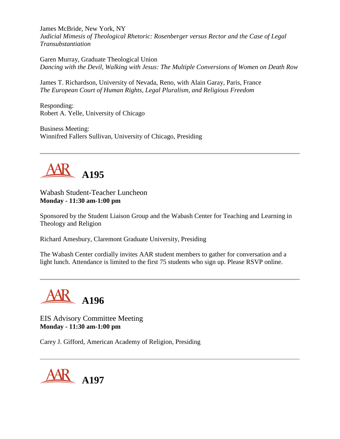James McBride, New York, NY *Judicial Mimesis of Theological Rhetoric: Rosenberger versus Rector and the Case of Legal Transubstantiation*

Garen Murray, Graduate Theological Union *Dancing with the Devil, Walking with Jesus: The Multiple Conversions of Women on Death Row*

James T. Richardson, University of Nevada, Reno, with Alain Garay, Paris, France *The European Court of Human Rights, Legal Pluralism, and Religious Freedom*

Responding: Robert A. Yelle, University of Chicago

Business Meeting: Winnifred Fallers Sullivan, University of Chicago, Presiding



Wabash Student-Teacher Luncheon **Monday - 11:30 am-1:00 pm**

Sponsored by the Student Liaison Group and the Wabash Center for Teaching and Learning in Theology and Religion

Richard Amesbury, Claremont Graduate University, Presiding

The Wabash Center cordially invites AAR student members to gather for conversation and a light lunch. Attendance is limited to the first 75 students who sign up. Please RSVP online.



EIS Advisory Committee Meeting **Monday - 11:30 am-1:00 pm**

Carey J. Gifford, American Academy of Religion, Presiding

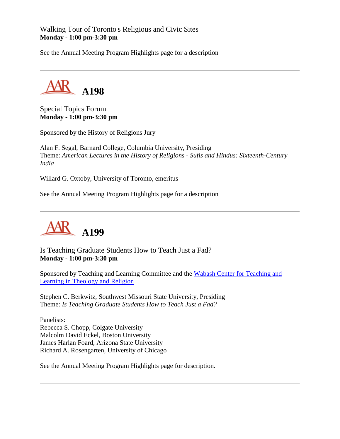Walking Tour of Toronto's Religious and Civic Sites **Monday - 1:00 pm-3:30 pm**

See the Annual Meeting Program Highlights page for a description



Special Topics Forum **Monday - 1:00 pm-3:30 pm**

Sponsored by the History of Religions Jury

Alan F. Segal, Barnard College, Columbia University, Presiding Theme: *American Lectures in the History of Religions - Sufis and Hindus: Sixteenth-Century India*

Willard G. Oxtoby, University of Toronto, emeritus

See the Annual Meeting Program Highlights page for a description



Is Teaching Graduate Students How to Teach Just a Fad? **Monday - 1:00 pm-3:30 pm**

Sponsored by Teaching and Learning Committee and the [Wabash Center for Teaching and](http://www.wabashcenter.wabash.edu/)  [Learning in Theology and Religion](http://www.wabashcenter.wabash.edu/)

Stephen C. Berkwitz, Southwest Missouri State University, Presiding Theme: *Is Teaching Graduate Students How to Teach Just a Fad?*

Panelists: Rebecca S. Chopp, Colgate University Malcolm David Eckel, Boston University James Harlan Foard, Arizona State University Richard A. Rosengarten, University of Chicago

See the Annual Meeting Program Highlights page for description.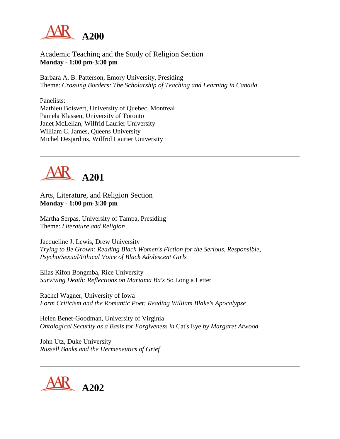

### Academic Teaching and the Study of Religion Section **Monday - 1:00 pm-3:30 pm**

Barbara A. B. Patterson, Emory University, Presiding Theme: *Crossing Borders: The Scholarship of Teaching and Learning in Canada*

Panelists: Mathieu Boisvert, University of Quebec, Montreal Pamela Klassen, University of Toronto Janet McLellan, Wilfrid Laurier University William C. James, Queens University Michel Desjardins, Wilfrid Laurier University



Arts, Literature, and Religion Section **Monday - 1:00 pm-3:30 pm**

Martha Serpas, University of Tampa, Presiding Theme: *Literature and Religion*

Jacqueline J. Lewis, Drew University *Trying to Be Grown: Reading Black Women's Fiction for the Serious, Responsible, Psycho/Sexual/Ethical Voice of Black Adolescent Girls*

Elias Kifon Bongmba, Rice University *Surviving Death: Reflections on Mariama Ba's* So Long a Letter

Rachel Wagner, University of Iowa *Form Criticism and the Romantic Poet: Reading William Blake's Apocalypse*

Helen Benet-Goodman, University of Virginia *Ontological Security as a Basis for Forgiveness in* Cat's Eye *by Margaret Atwood*

John Utz, Duke University *Russell Banks and the Hermeneutics of Grief*

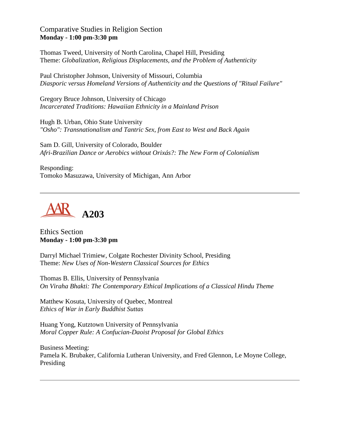Comparative Studies in Religion Section **Monday - 1:00 pm-3:30 pm**

Thomas Tweed, University of North Carolina, Chapel Hill, Presiding Theme: *Globalization, Religious Displacements, and the Problem of Authenticity*

Paul Christopher Johnson, University of Missouri, Columbia *Diasporic versus Homeland Versions of Authenticity and the Questions of "Ritual Failure"*

Gregory Bruce Johnson, University of Chicago *Incarcerated Traditions: Hawaiian Ethnicity in a Mainland Prison*

Hugh B. Urban, Ohio State University *"Osho": Transnationalism and Tantric Sex, from East to West and Back Again*

Sam D. Gill, University of Colorado, Boulder *Afri-Brazilian Dance or Aerobics without Orixás?: The New Form of Colonialism*

Responding: Tomoko Masuzawa, University of Michigan, Ann Arbor



Ethics Section **Monday - 1:00 pm-3:30 pm**

Darryl Michael Trimiew, Colgate Rochester Divinity School, Presiding Theme: *New Uses of Non-Western Classical Sources for Ethics*

Thomas B. Ellis, University of Pennsylvania *On Viraha Bhakti: The Contemporary Ethical Implications of a Classical Hindu Theme*

Matthew Kosuta, University of Quebec, Montreal *Ethics of War in Early Buddhist Suttas*

Huang Yong, Kutztown University of Pennsylvania *Moral Copper Rule: A Confucian-Daoist Proposal for Global Ethics*

Business Meeting: Pamela K. Brubaker, California Lutheran University, and Fred Glennon, Le Moyne College, Presiding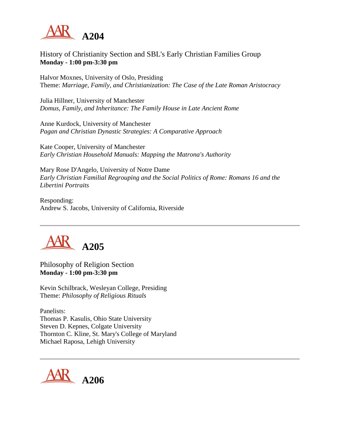

## History of Christianity Section and SBL's Early Christian Families Group **Monday - 1:00 pm-3:30 pm**

Halvor Moxnes, University of Oslo, Presiding Theme: *Marriage, Family, and Christianization: The Case of the Late Roman Aristocracy*

Julia Hillner, University of Manchester *Domus, Family, and Inheritance: The Family House in Late Ancient Rome*

Anne Kurdock, University of Manchester *Pagan and Christian Dynastic Strategies: A Comparative Approach*

Kate Cooper, University of Manchester *Early Christian Household Manuals: Mapping the Matrona's Authority*

Mary Rose D'Angelo, University of Notre Dame *Early Christian Familial Regrouping and the Social Politics of Rome: Romans 16 and the Libertini Portraits*

Responding: Andrew S. Jacobs, University of California, Riverside



Philosophy of Religion Section **Monday - 1:00 pm-3:30 pm**

Kevin Schilbrack, Wesleyan College, Presiding Theme: *Philosophy of Religious Rituals*

Panelists: Thomas P. Kasulis, Ohio State University Steven D. Kepnes, Colgate University Thornton C. Kline, St. Mary's College of Maryland Michael Raposa, Lehigh University

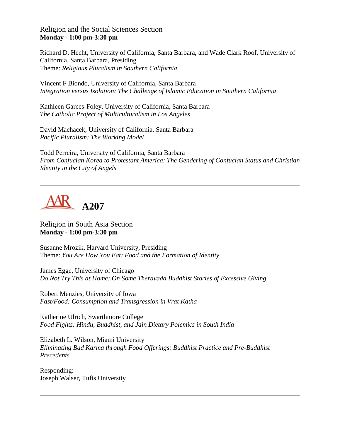Religion and the Social Sciences Section **Monday - 1:00 pm-3:30 pm**

Richard D. Hecht, University of California, Santa Barbara, and Wade Clark Roof, University of California, Santa Barbara, Presiding Theme: *Religious Pluralism in Southern California*

Vincent F Biondo, University of California, Santa Barbara *Integration versus Isolation: The Challenge of Islamic Education in Southern California*

Kathleen Garces-Foley, University of California, Santa Barbara *The Catholic Project of Multiculturalism in Los Angeles*

David Machacek, University of California, Santa Barbara *Pacific Pluralism: The Working Model*

Todd Perreira, University of California, Santa Barbara *From Confucian Korea to Protestant America: The Gendering of Confucian Status and Christian Identity in the City of Angels*



Religion in South Asia Section **Monday - 1:00 pm-3:30 pm**

Susanne Mrozik, Harvard University, Presiding Theme: *You Are How You Eat: Food and the Formation of Identity*

James Egge, University of Chicago *Do Not Try This at Home: On Some Theravada Buddhist Stories of Excessive Giving*

Robert Menzies, University of Iowa *Fast/Food: Consumption and Transgression in Vrat Katha*

Katherine Ulrich, Swarthmore College *Food Fights: Hindu, Buddhist, and Jain Dietary Polemics in South India*

Elizabeth L. Wilson, Miami University *Eliminating Bad Karma through Food Offerings: Buddhist Practice and Pre-Buddhist Precedents*

Responding: Joseph Walser, Tufts University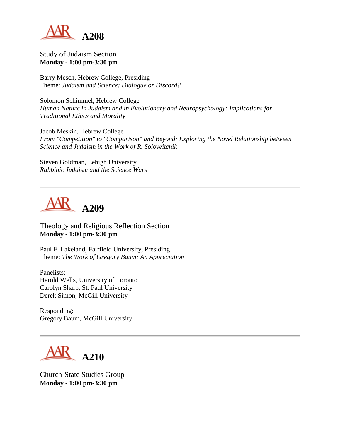

#### Study of Judaism Section **Monday - 1:00 pm-3:30 pm**

Barry Mesch, Hebrew College, Presiding Theme: *Judaism and Science: Dialogue or Discord?*

Solomon Schimmel, Hebrew College *Human Nature in Judaism and in Evolutionary and Neuropsychology: Implications for Traditional Ethics and Morality*

Jacob Meskin, Hebrew College *From "Competition" to "Comparison" and Beyond: Exploring the Novel Relationship between Science and Judaism in the Work of R. Soloveitchik*

Steven Goldman, Lehigh University *Rabbinic Judaism and the Science Wars*



Theology and Religious Reflection Section **Monday - 1:00 pm-3:30 pm**

Paul F. Lakeland, Fairfield University, Presiding Theme: *The Work of Gregory Baum: An Appreciation*

Panelists: Harold Wells, University of Toronto Carolyn Sharp, St. Paul University Derek Simon, McGill University

Responding: Gregory Baum, McGill University



Church-State Studies Group **Monday - 1:00 pm-3:30 pm**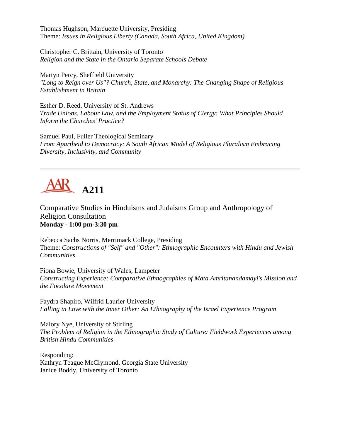Thomas Hughson, Marquette University, Presiding Theme: *Issues in Religious Liberty (Canada, South Africa, United Kingdom)*

Christopher C. Brittain, University of Toronto *Religion and the State in the Ontario Separate Schools Debate*

Martyn Percy, Sheffield University *"Long to Reign over Us"? Church, State, and Monarchy: The Changing Shape of Religious Establishment in Britain*

Esther D. Reed, University of St. Andrews *Trade Unions, Labour Law, and the Employment Status of Clergy: What Principles Should Inform the Churches' Practice?*

Samuel Paul, Fuller Theological Seminary *From Apartheid to Democracy: A South African Model of Religious Pluralism Embracing Diversity, Inclusivity, and Community*

## **A211**

Comparative Studies in Hinduisms and Judaisms Group and Anthropology of Religion Consultation **Monday - 1:00 pm-3:30 pm**

Rebecca Sachs Norris, Merrimack College, Presiding Theme: *Constructions of "Self" and "Other": Ethnographic Encounters with Hindu and Jewish Communities*

Fiona Bowie, University of Wales, Lampeter *Constructing Experience: Comparative Ethnographies of Mata Amritanandamayi's Mission and the Focolare Movement*

Faydra Shapiro, Wilfrid Laurier University *Falling in Love with the Inner Other: An Ethnography of the Israel Experience Program*

Malory Nye, University of Stirling *The Problem of Religion in the Ethnographic Study of Culture: Fieldwork Experiences among British Hindu Communities*

Responding: Kathryn Teague McClymond, Georgia State University Janice Boddy, University of Toronto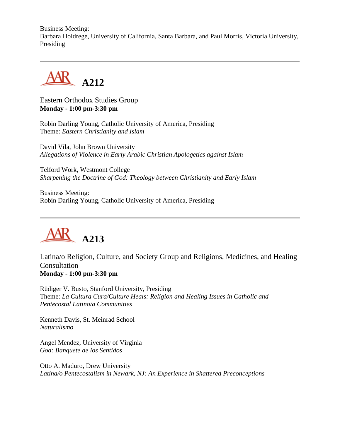Business Meeting: Barbara Holdrege, University of California, Santa Barbara, and Paul Morris, Victoria University, Presiding



Eastern Orthodox Studies Group **Monday - 1:00 pm-3:30 pm**

Robin Darling Young, Catholic University of America, Presiding Theme: *Eastern Christianity and Islam*

David Vila, John Brown University *Allegations of Violence in Early Arabic Christian Apologetics against Islam*

Telford Work, Westmont College *Sharpening the Doctrine of God: Theology between Christianity and Early Islam*

Business Meeting: Robin Darling Young, Catholic University of America, Presiding



Latina/o Religion, Culture, and Society Group and Religions, Medicines, and Healing Consultation **Monday - 1:00 pm-3:30 pm**

Rüdiger V. Busto, Stanford University, Presiding Theme: *La Cultura Cura/Culture Heals: Religion and Healing Issues in Catholic and Pentecostal Latino/a Communities*

Kenneth Davis, St. Meinrad School *Naturalismo*

Angel Mendez, University of Virginia *God: Banquete de los Sentidos*

Otto A. Maduro, Drew University *Latina/o Pentecostalism in Newark, NJ: An Experience in Shattered Preconceptions*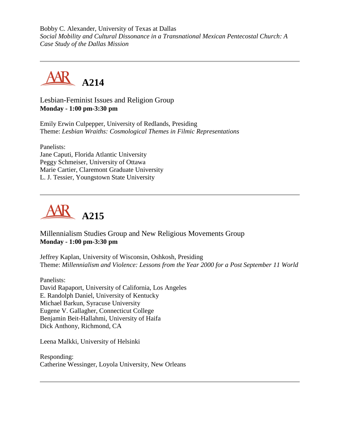Bobby C. Alexander, University of Texas at Dallas *Social Mobility and Cultural Dissonance in a Transnational Mexican Pentecostal Church: A Case Study of the Dallas Mission*



Lesbian-Feminist Issues and Religion Group **Monday - 1:00 pm-3:30 pm**

Emily Erwin Culpepper, University of Redlands, Presiding Theme: *Lesbian Wraiths: Cosmological Themes in Filmic Representations*

Panelists: Jane Caputi, Florida Atlantic University Peggy Schmeiser, University of Ottawa Marie Cartier, Claremont Graduate University L. J. Tessier, Youngstown State University



## Millennialism Studies Group and New Religious Movements Group **Monday - 1:00 pm-3:30 pm**

Jeffrey Kaplan, University of Wisconsin, Oshkosh, Presiding Theme: *Millennialism and Violence: Lessons from the Year 2000 for a Post September 11 World*

Panelists: David Rapaport, University of California, Los Angeles E. Randolph Daniel, University of Kentucky Michael Barkun, Syracuse University Eugene V. Gallagher, Connecticut College Benjamin Beit-Hallahmi, University of Haifa Dick Anthony, Richmond, CA

Leena Malkki, University of Helsinki

Responding: Catherine Wessinger, Loyola University, New Orleans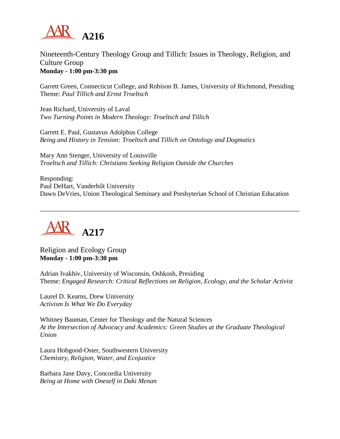

Nineteenth-Century Theology Group and Tillich: Issues in Theology, Religion, and Culture Group **Monday - 1:00 pm-3:30 pm**

Garrett Green, Connecticut College, and Robison B. James, University of Richmond, Presiding Theme: *Paul Tillich and Ernst Troeltsch*

Jean Richard, University of Laval *Two Turning Points in Modern Theology: Troeltsch and Tillich*

Garrett E. Paul, Gustavus Adolphus College *Being and History in Tension: Troeltsch and Tillich on Ontology and Dogmatics*

Mary Ann Stenger, University of Louisville *Troeltsch and Tillich: Christians Seeking Religion Outside the Churches*

Responding: Paul DeHart, Vanderbilt University Dawn DeVries, Union Theological Seminary and Presbyterian School of Christian Education



Religion and Ecology Group **Monday - 1:00 pm-3:30 pm**

Adrian Ivakhiv, University of Wisconsin, Oshkosh, Presiding Theme: *Engaged Research: Critical Reflections on Religion, Ecology, and the Scholar Activist*

Laurel D. Kearns, Drew University *Activism Is What We Do Everyday*

Whitney Bauman, Center for Theology and the Natural Sciences *At the Intersection of Advocacy and Academics: Green Studies at the Graduate Theological Union*

Laura Hobgood-Oster, Southwestern University *Chemistry, Religion, Water, and Ecojustice*

Barbara Jane Davy, Concordia University *Being at Home with Oneself in Daki Menan*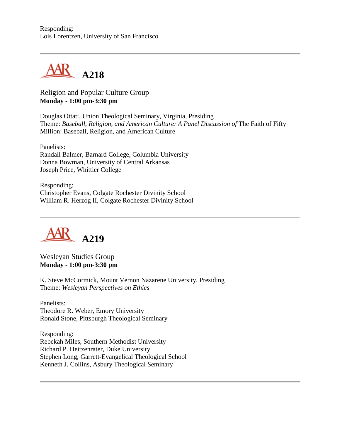#### Responding: Lois Lorentzen, University of San Francisco



Religion and Popular Culture Group **Monday - 1:00 pm-3:30 pm**

Douglas Ottati, Union Theological Seminary, Virginia, Presiding Theme: *Baseball, Religion, and American Culture: A Panel Discussion of* The Faith of Fifty Million: Baseball, Religion, and American Culture

Panelists: Randall Balmer, Barnard College, Columbia University Donna Bowman, University of Central Arkansas Joseph Price, Whittier College

Responding: Christopher Evans, Colgate Rochester Divinity School William R. Herzog II, Colgate Rochester Divinity School



Wesleyan Studies Group **Monday - 1:00 pm-3:30 pm**

K. Steve McCormick, Mount Vernon Nazarene University, Presiding Theme: *Wesleyan Perspectives on Ethics*

Panelists: Theodore R. Weber, Emory University Ronald Stone, Pittsburgh Theological Seminary

Responding: Rebekah Miles, Southern Methodist University Richard P. Heitzenrater, Duke University Stephen Long, Garrett-Evangelical Theological School Kenneth J. Collins, Asbury Theological Seminary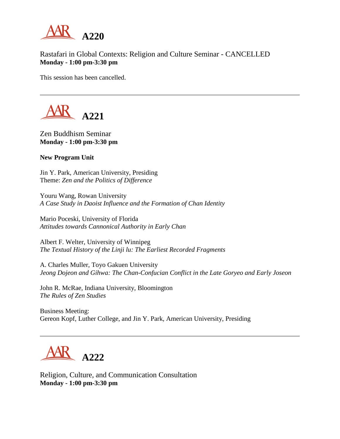

Rastafari in Global Contexts: Religion and Culture Seminar - CANCELLED **Monday - 1:00 pm-3:30 pm**

This session has been cancelled.



Zen Buddhism Seminar **Monday - 1:00 pm-3:30 pm**

#### **New Program Unit**

Jin Y. Park, American University, Presiding Theme: *Zen and the Politics of Difference*

Youru Wang, Rowan University *A Case Study in Daoist Influence and the Formation of Chan Identity*

Mario Poceski, University of Florida *Attitudes towards Cannonical Authority in Early Chan*

Albert F. Welter, University of Winnipeg *The Textual History of the Linji lu: The Earliest Recorded Fragments*

A. Charles Muller, Toyo Gakuen University *Jeong Dojeon and Gihwa: The Chan-Confucian Conflict in the Late Goryeo and Early Joseon*

John R. McRae, Indiana University, Bloomington *The Rules of Zen Studies*

Business Meeting: Gereon Kopf, Luther College, and Jin Y. Park, American University, Presiding



Religion, Culture, and Communication Consultation **Monday - 1:00 pm-3:30 pm**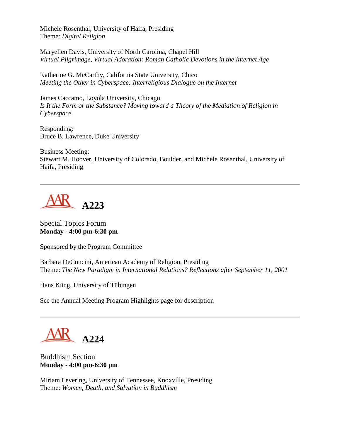Michele Rosenthal, University of Haifa, Presiding Theme: *Digital Religion*

Maryellen Davis, University of North Carolina, Chapel Hill *Virtual Pilgrimage, Virtual Adoration: Roman Catholic Devotions in the Internet Age*

Katherine G. McCarthy, California State University, Chico *Meeting the Other in Cyberspace: Interreligious Dialogue on the Internet*

James Caccamo, Loyola University, Chicago *Is It the Form or the Substance? Moving toward a Theory of the Mediation of Religion in Cyberspace*

Responding: Bruce B. Lawrence, Duke University

Business Meeting: Stewart M. Hoover, University of Colorado, Boulder, and Michele Rosenthal, University of Haifa, Presiding



## Special Topics Forum **Monday - 4:00 pm-6:30 pm**

Sponsored by the Program Committee

Barbara DeConcini, American Academy of Religion, Presiding Theme: *The New Paradigm in International Relations? Reflections after September 11, 2001*

Hans Küng, University of Tübingen

See the Annual Meeting Program Highlights page for description



Buddhism Section **Monday - 4:00 pm-6:30 pm**

Miriam Levering, University of Tennessee, Knoxville, Presiding Theme: *Women, Death, and Salvation in Buddhism*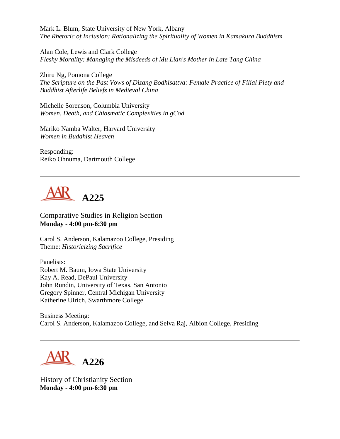Mark L. Blum, State University of New York, Albany *The Rhetoric of Inclusion: Rationalizing the Spirituality of Women in Kamakura Buddhism*

Alan Cole, Lewis and Clark College *Fleshy Morality: Managing the Misdeeds of Mu Lian's Mother in Late Tang China*

Zhiru Ng, Pomona College *The Scripture on the Past Vows of Dizang Bodhisattva: Female Practice of Filial Piety and Buddhist Afterlife Beliefs in Medieval China*

Michelle Sorenson, Columbia University *Women, Death, and Chiasmatic Complexities in gCod*

Mariko Namba Walter, Harvard University *Women in Buddhist Heaven*

Responding: Reiko Ohnuma, Dartmouth College



Comparative Studies in Religion Section **Monday - 4:00 pm-6:30 pm**

Carol S. Anderson, Kalamazoo College, Presiding Theme: *Historicizing Sacrifice*

Panelists: Robert M. Baum, Iowa State University Kay A. Read, DePaul University John Rundin, University of Texas, San Antonio Gregory Spinner, Central Michigan University Katherine Ulrich, Swarthmore College

Business Meeting: Carol S. Anderson, Kalamazoo College, and Selva Raj, Albion College, Presiding



History of Christianity Section **Monday - 4:00 pm-6:30 pm**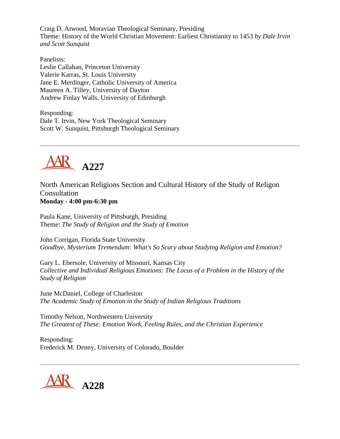Craig D. Atwood, Moravian Theological Seminary, Presiding Theme: History of the World Christian Movement: Earliest Christianity to 1453 *by Dale Irvin and Scott Sunquist*

Panelists: Leslie Callahan, Princeton University Valerie Karras, St. Louis University Jane E. Merdinger, Catholic University of America Maureen A. Tilley, University of Dayton Andrew Finlay Walls, University of Edinburgh

Responding: Dale T. Irvin, New York Theological Seminary Scott W. Sunquist, Pittsburgh Theological Seminary



North American Religions Section and Cultural History of the Study of Religon Consultation **Monday - 4:00 pm-6:30 pm**

Paula Kane, University of Pittsburgh, Presiding Theme: *The Study of Religion and the Study of Emotion*

John Corrigan, Florida State University *Goodbye, Mysterium Tremendum: What's So Scary about Studying Religion and Emotion?*

Gary L. Ebersole, University of Missouri, Kansas City *Collective and Individual Religious Emotions: The Locus of a Problem in the History of the Study of Religion*

June McDaniel, College of Charleston *The Academic Study of Emotion in the Study of Indian Religious Traditions*

Timothy Nelson, Northwestern University *The Greatest of These: Emotion Work, Feeling Rules, and the Christian Experience*

Responding: Frederick M. Denny, University of Colorado, Boulder

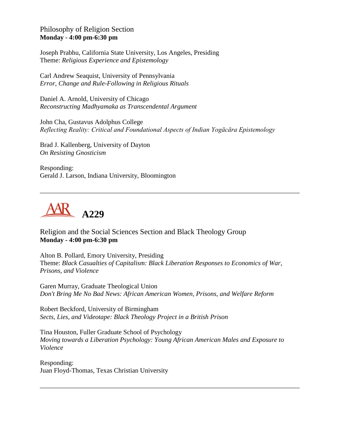Philosophy of Religion Section **Monday - 4:00 pm-6:30 pm**

Joseph Prabhu, California State University, Los Angeles, Presiding Theme: *Religious Experience and Epistemology*

Carl Andrew Seaquist, University of Pennsylvania *Error, Change and Rule-Following in Religious Rituals*

Daniel A. Arnold, University of Chicago *Reconstructing Madhyamaka as Transcendental Argument*

John Cha, Gustavus Adolphus College *Reflecting Reality: Critical and Foundational Aspects of Indian Yogācāra Epistemology*

Brad J. Kallenberg, University of Dayton *On Resisting Gnosticism*

Responding: Gerald J. Larson, Indiana University, Bloomington



Religion and the Social Sciences Section and Black Theology Group **Monday - 4:00 pm-6:30 pm**

Alton B. Pollard, Emory University, Presiding Theme: *Black Casualties of Capitalism: Black Liberation Responses to Economics of War, Prisons, and Violence*

Garen Murray, Graduate Theological Union *Don't Bring Me No Bad News: African American Women, Prisons, and Welfare Reform*

Robert Beckford, University of Birmingham *Sects, Lies, and Videotape: Black Theology Project in a British Prison*

Tina Houston, Fuller Graduate School of Psychology *Moving towards a Liberation Psychology: Young African American Males and Exposure to Violence*

Responding: Juan Floyd-Thomas, Texas Christian University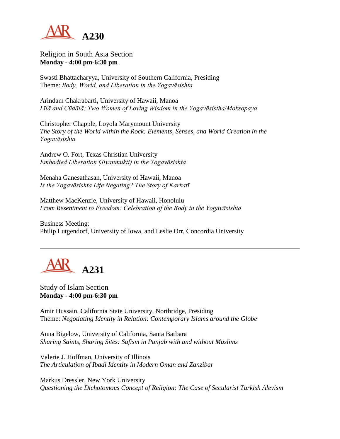

Religion in South Asia Section **Monday - 4:00 pm-6:30 pm**

Swasti Bhattacharyya, University of Southern California, Presiding Theme: *Body, World, and Liberation in the Yogavāsishta*

Arindam Chakrabarti, University of Hawaii, Manoa *Līlā and Cūdālā: Two Women of Loving Wisdom in the Yogavāsistha/Moksopaya*

Christopher Chapple, Loyola Marymount University *The Story of the World within the Rock: Elements, Senses, and World Creation in the Yogavāsishta*

Andrew O. Fort, Texas Christian University *Embodied Liberation (Jivanmukti) in the Yogavāsishta*

Menaha Ganesathasan, University of Hawaii, Manoa *Is the Yogavāsishta Life Negating? The Story of Karkatī*

Matthew MacKenzie, University of Hawaii, Honolulu *From Resentment to Freedom: Celebration of the Body in the Yogavāsishta*

Business Meeting: Philip Lutgendorf, University of Iowa, and Leslie Orr, Concordia University



Study of Islam Section **Monday - 4:00 pm-6:30 pm**

Amir Hussain, California State University, Northridge, Presiding Theme: *Negotiating Identity in Relation: Contemporary Islams around the Globe*

Anna Bigelow, University of California, Santa Barbara *Sharing Saints, Sharing Sites: Sufism in Punjab with and without Muslims*

Valerie J. Hoffman, University of Illinois *The Articulation of Ibadi Identity in Modern Oman and Zanzibar*

Markus Dressler, New York University *Questioning the Dichotomous Concept of Religion: The Case of Secularist Turkish Alevism*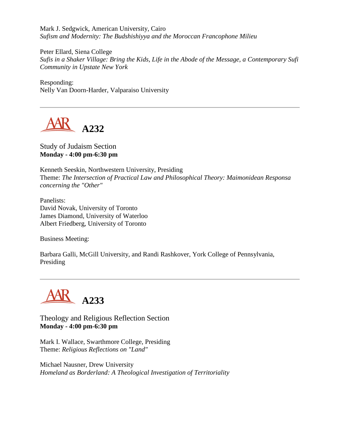Mark J. Sedgwick, American University, Cairo *Sufism and Modernity: The Budshishiyya and the Moroccan Francophone Milieu*

Peter Ellard, Siena College *Sufis in a Shaker Village: Bring the Kids, Life in the Abode of the Message, a Contemporary Sufi Community in Upstate New York*

Responding: Nelly Van Doorn-Harder, Valparaiso University



Study of Judaism Section **Monday - 4:00 pm-6:30 pm**

Kenneth Seeskin, Northwestern University, Presiding Theme: *The Intersection of Practical Law and Philosophical Theory: Maimonidean Responsa concerning the "Other"*

Panelists: David Novak, University of Toronto James Diamond, University of Waterloo Albert Friedberg, University of Toronto

Business Meeting:

Barbara Galli, McGill University, and Randi Rashkover, York College of Pennsylvania, Presiding



Theology and Religious Reflection Section **Monday - 4:00 pm-6:30 pm**

Mark I. Wallace, Swarthmore College, Presiding Theme: *Religious Reflections on "Land"*

Michael Nausner, Drew University *Homeland as Borderland: A Theological Investigation of Territoriality*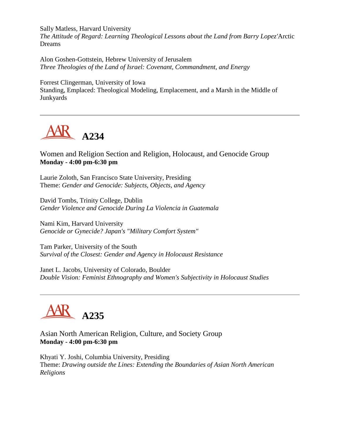Sally Matless, Harvard University

*The Attitude of Regard: Learning Theological Lessons about the Land from Barry Lopez'*Arctic Dreams

Alon Goshen-Gottstein, Hebrew University of Jerusalem *Three Theologies of the Land of Israel: Covenant, Commandment, and Energy*

Forrest Clingerman, University of Iowa Standing, Emplaced: Theological Modeling, Emplacement, and a Marsh in the Middle of Junkyards



Women and Religion Section and Religion, Holocaust, and Genocide Group **Monday - 4:00 pm-6:30 pm**

Laurie Zoloth, San Francisco State University, Presiding Theme: *Gender and Genocide: Subjects, Objects, and Agency*

David Tombs, Trinity College, Dublin *Gender Violence and Genocide During La Violencia in Guatemala*

Nami Kim, Harvard University *Genocide or Gynecide? Japan's "Military Comfort System"*

Tam Parker, University of the South *Survival of the Closest: Gender and Agency in Holocaust Resistance*

Janet L. Jacobs, University of Colorado, Boulder *Double Vision: Feminist Ethnography and Women's Subjectivity in Holocaust Studies*



Asian North American Religion, Culture, and Society Group **Monday - 4:00 pm-6:30 pm**

Khyati Y. Joshi, Columbia University, Presiding Theme: *Drawing outside the Lines: Extending the Boundaries of Asian North American Religions*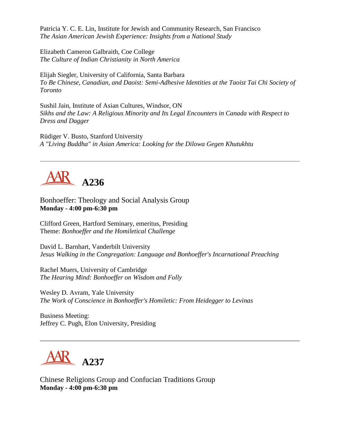Patricia Y. C. E. Lin, Institute for Jewish and Community Research, San Francisco *The Asian American Jewish Experience: Insights from a National Study*

Elizabeth Cameron Galbraith, Coe College *The Culture of Indian Christianity in North America*

Elijah Siegler, University of California, Santa Barbara *To Be Chinese, Canadian, and Daoist: Semi-Adhesive Identities at the Taoist Tai Chi Society of Toronto*

Sushil Jain, Institute of Asian Cultures, Windsor, ON *Sikhs and the Law: A Religious Minority and Its Legal Encounters in Canada with Respect to Dress and Dagger*

Rüdiger V. Busto, Stanford University *A "Living Buddha" in Asian America: Looking for the Dilowa Gegen Khutukhtu*



Bonhoeffer: Theology and Social Analysis Group **Monday - 4:00 pm-6:30 pm**

Clifford Green, Hartford Seminary, emeritus, Presiding Theme: *Bonhoeffer and the Homiletical Challenge*

David L. Barnhart, Vanderbilt University *Jesus Walking in the Congregation: Language and Bonhoeffer's Incarnational Preaching*

Rachel Muers, University of Cambridge *The Hearing Mind: Bonhoeffer on Wisdom and Folly*

Wesley D. Avram, Yale University *The Work of Conscience in Bonhoeffer's Homiletic: From Heidegger to Levinas*

Business Meeting: Jeffrey C. Pugh, Elon University, Presiding



Chinese Religions Group and Confucian Traditions Group **Monday - 4:00 pm-6:30 pm**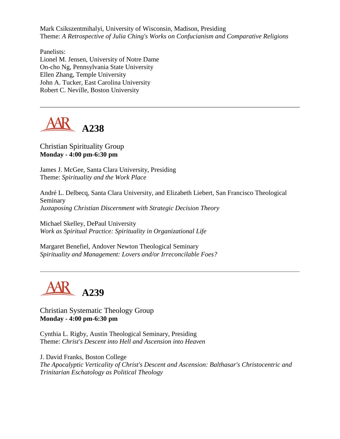Mark Csikszentmihalyi, University of Wisconsin, Madison, Presiding Theme: *A Retrospective of Julia Ching's Works on Confucianism and Comparative Religions*

Panelists: Lionel M. Jensen, University of Notre Dame On-cho Ng, Pennsylvania State University Ellen Zhang, Temple University John A. Tucker, East Carolina University Robert C. Neville, Boston University



Christian Spirituality Group **Monday - 4:00 pm-6:30 pm**

James J. McGee, Santa Clara University, Presiding Theme: *Spirituality and the Work Place*

André L. Delbecq, Santa Clara University, and Elizabeth Liebert, San Francisco Theological Seminary *Juxtaposing Christian Discernment with Strategic Decision Theory*

Michael Skelley, DePaul University *Work as Spiritual Practice: Spirituality in Organizational Life*

Margaret Benefiel, Andover Newton Theological Seminary *Spirituality and Management: Lovers and/or Irreconcilable Foes?*



Christian Systematic Theology Group **Monday - 4:00 pm-6:30 pm**

Cynthia L. Rigby, Austin Theological Seminary, Presiding Theme: *Christ's Descent into Hell and Ascension into Heaven*

J. David Franks, Boston College *The Apocalyptic Verticality of Christ's Descent and Ascension: Balthasar's Christocentric and Trinitarian Eschatology as Political Theology*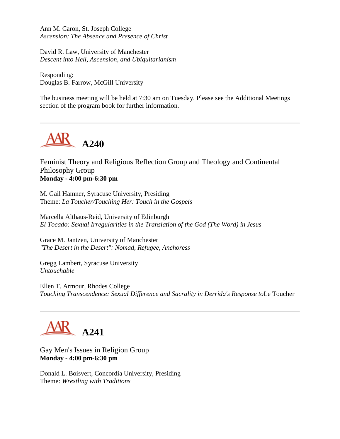Ann M. Caron, St. Joseph College *Ascension: The Absence and Presence of Christ*

David R. Law, University of Manchester *Descent into Hell, Ascension, and Ubiquitarianism*

Responding: Douglas B. Farrow, McGill University

The business meeting will be held at 7:30 am on Tuesday. Please see the Additional Meetings section of the program book for further information.



Feminist Theory and Religious Reflection Group and Theology and Continental Philosophy Group **Monday - 4:00 pm-6:30 pm**

M. Gail Hamner, Syracuse University, Presiding Theme: *La Toucher/Touching Her: Touch in the Gospels*

Marcella Althaus-Reid, University of Edinburgh *El Tocado: Sexual Irregularities in the Translation of the God (The Word) in Jesus*

Grace M. Jantzen, University of Manchester *"The Desert in the Desert": Nomad, Refugee, Anchoress*

Gregg Lambert, Syracuse University *Untouchable*

Ellen T. Armour, Rhodes College *Touching Transcendence: Sexual Difference and Sacrality in Derrida's Response to*Le Toucher



Gay Men's Issues in Religion Group **Monday - 4:00 pm-6:30 pm**

Donald L. Boisvert, Concordia University, Presiding Theme: *Wrestling with Traditions*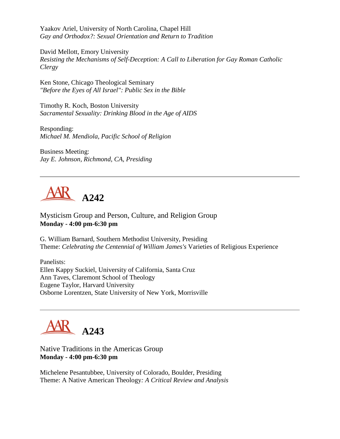Yaakov Ariel, University of North Carolina, Chapel Hill *Gay and Orthodox?: Sexual Orientation and Return to Tradition*

David Mellott, Emory University *Resisting the Mechanisms of Self-Deception: A Call to Liberation for Gay Roman Catholic Clergy*

Ken Stone, Chicago Theological Seminary *"Before the Eyes of All Israel": Public Sex in the Bible*

Timothy R. Koch, Boston University *Sacramental Sexuality: Drinking Blood in the Age of AIDS*

Responding: *Michael M. Mendiola, Pacific School of Religion*

Business Meeting: *Jay E. Johnson, Richmond, CA, Presiding*



Mysticism Group and Person, Culture, and Religion Group **Monday - 4:00 pm-6:30 pm**

G. William Barnard, Southern Methodist University, Presiding Theme: *Celebrating the Centennial of William James's* Varieties of Religious Experience

Panelists: Ellen Kappy Suckiel, University of California, Santa Cruz Ann Taves, Claremont School of Theology Eugene Taylor, Harvard University Osborne Lorentzen, State University of New York, Morrisville



Native Traditions in the Americas Group **Monday - 4:00 pm-6:30 pm**

Michelene Pesantubbee, University of Colorado, Boulder, Presiding Theme: A Native American Theology*: A Critical Review and Analysis*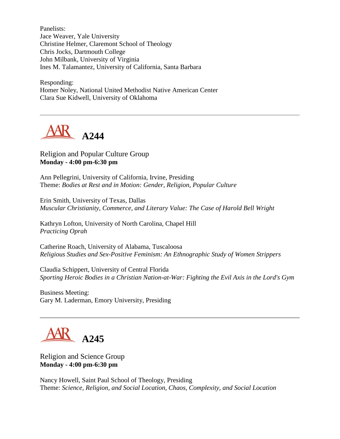Panelists: Jace Weaver, Yale University Christine Helmer, Claremont School of Theology Chris Jocks, Dartmouth College John Milbank, University of Virginia Ines M. Talamantez, University of California, Santa Barbara

Responding: Homer Noley, National United Methodist Native American Center Clara Sue Kidwell, University of Oklahoma



#### Religion and Popular Culture Group **Monday - 4:00 pm-6:30 pm**

Ann Pellegrini, University of California, Irvine, Presiding Theme: *Bodies at Rest and in Motion: Gender, Religion, Popular Culture*

Erin Smith, University of Texas, Dallas *Muscular Christianity, Commerce, and Literary Value: The Case of Harold Bell Wright*

Kathryn Lofton, University of North Carolina, Chapel Hill *Practicing Oprah*

Catherine Roach, University of Alabama, Tuscaloosa *Religious Studies and Sex-Positive Feminism: An Ethnographic Study of Women Strippers*

Claudia Schippert, University of Central Florida *Sporting Heroic Bodies in a Christian Nation-at-War: Fighting the Evil Axis in the Lord's Gym*

Business Meeting: Gary M. Laderman, Emory University, Presiding

# **A245**

Religion and Science Group **Monday - 4:00 pm-6:30 pm**

Nancy Howell, Saint Paul School of Theology, Presiding Theme: *Science, Religion, and Social Location, Chaos, Complexity, and Social Location*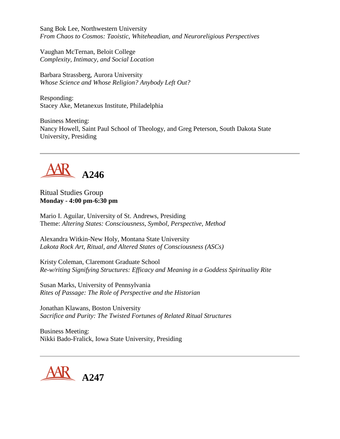Sang Bok Lee, Northwestern University *From Chaos to Cosmos: Taoistic, Whiteheadian, and Neuroreligious Perspectives*

Vaughan McTernan, Beloit College *Complexity, Intimacy, and Social Location*

Barbara Strassberg, Aurora University *Whose Science and Whose Religion? Anybody Left Out?*

Responding: Stacey Ake, Metanexus Institute, Philadelphia

Business Meeting: Nancy Howell, Saint Paul School of Theology, and Greg Peterson, South Dakota State University, Presiding



Ritual Studies Group **Monday - 4:00 pm-6:30 pm**

Mario I. Aguilar, University of St. Andrews, Presiding Theme: *Altering States: Consciousness, Symbol, Perspective, Method*

Alexandra Witkin-New Holy, Montana State University *Lakota Rock Art, Ritual, and Altered States of Consciousness (ASCs)*

Kristy Coleman, Claremont Graduate School *Re-w/riting Signifying Structures: Efficacy and Meaning in a Goddess Spirituality Rite*

Susan Marks, University of Pennsylvania *Rites of Passage: The Role of Perspective and the Historian*

Jonathan Klawans, Boston University *Sacrifice and Purity: The Twisted Fortunes of Related Ritual Structures*

Business Meeting: Nikki Bado-Fralick, Iowa State University, Presiding

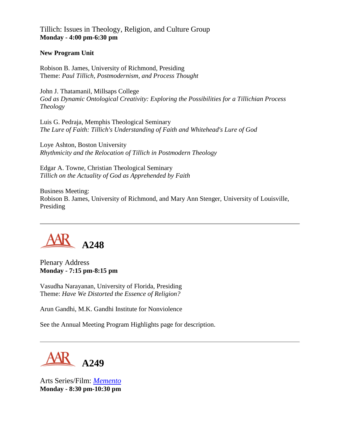Tillich: Issues in Theology, Religion, and Culture Group **Monday - 4:00 pm-6:30 pm**

#### **New Program Unit**

Robison B. James, University of Richmond, Presiding Theme: *Paul Tillich, Postmodernism, and Process Thought*

John J. Thatamanil, Millsaps College *God as Dynamic Ontological Creativity: Exploring the Possibilities for a Tillichian Process Theology*

Luis G. Pedraja, Memphis Theological Seminary *The Lure of Faith: Tillich's Understanding of Faith and Whitehead's Lure of God*

Loye Ashton, Boston University *Rhythmicity and the Relocation of Tillich in Postmodern Theology*

Edgar A. Towne, Christian Theological Seminary *Tillich on the Actuality of God as Apprehended by Faith*

Business Meeting: Robison B. James, University of Richmond, and Mary Ann Stenger, University of Louisville, Presiding



Plenary Address **Monday - 7:15 pm-8:15 pm**

Vasudha Narayanan, University of Florida, Presiding Theme: *Have We Distorted the Essence of Religion?*

Arun Gandhi, M.K. Gandhi Institute for Nonviolence

See the Annual Meeting Program Highlights page for description.

**A249**

Arts Series/Film: *[Memento](http://www.otnemem.com/)* **Monday - 8:30 pm-10:30 pm**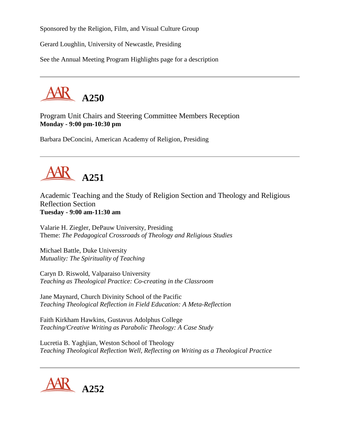Sponsored by the Religion, Film, and Visual Culture Group

Gerard Loughlin, University of Newcastle, Presiding

See the Annual Meeting Program Highlights page for a description



Program Unit Chairs and Steering Committee Members Reception **Monday - 9:00 pm-10:30 pm**

Barbara DeConcini, American Academy of Religion, Presiding



Academic Teaching and the Study of Religion Section and Theology and Religious Reflection Section **Tuesday - 9:00 am-11:30 am**

Valarie H. Ziegler, DePauw University, Presiding Theme: *The Pedagogical Crossroads of Theology and Religious Studies*

Michael Battle, Duke University *Mutuality: The Spirituality of Teaching*

Caryn D. Riswold, Valparaiso University *Teaching as Theological Practice: Co-creating in the Classroom*

Jane Maynard, Church Divinity School of the Pacific *Teaching Theological Reflection in Field Education: A Meta-Reflection*

Faith Kirkham Hawkins, Gustavus Adolphus College *Teaching/Creative Writing as Parabolic Theology: A Case Study*

Lucretia B. Yaghjian, Weston School of Theology *Teaching Theological Reflection Well, Reflecting on Writing as a Theological Practice*

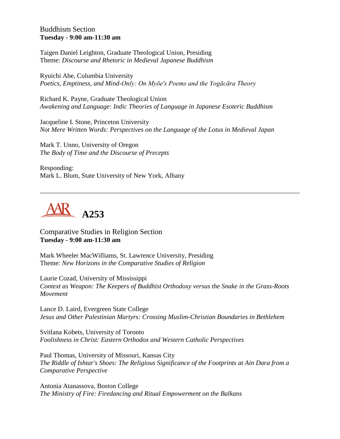#### Buddhism Section **Tuesday - 9:00 am-11:30 am**

Taigen Daniel Leighton, Graduate Theological Union, Presiding Theme: *Discourse and Rhetoric in Medieval Japanese Buddhism*

Ryuichi Abe, Columbia University *Poetics, Emptiness, and Mind-Only: On Myōe's Poems and the Yogācāra Theory*

Richard K. Payne, Graduate Theological Union *Awakening and Language: Indic Theories of Language in Japanese Esoteric Buddhism*

Jacqueline I. Stone, Princeton University *Not Mere Written Words: Perspectives on the Language of the Lotus in Medieval Japan*

Mark T. Unno, University of Oregon *The Body of Time and the Discourse of Precepts*

Responding: Mark L. Blum, State University of New York, Albany



Comparative Studies in Religion Section **Tuesday - 9:00 am-11:30 am**

Mark Wheeler MacWilliams, St. Lawrence University, Presiding Theme: *New Horizons in the Comparative Studies of Religion*

Laurie Cozad, University of Mississippi *Context as Weapon: The Keepers of Buddhist Orthodoxy versus the Snake in the Grass-Roots Movement*

Lance D. Laird, Evergreen State College *Jesus and Other Palestinian Martyrs: Crossing Muslim-Christian Boundaries in Bethlehem*

Svitlana Kobets, University of Toronto *Foolishness in Christ: Eastern Orthodox and Western Catholic Perspectives*

Paul Thomas, University of Missouri, Kansas City *The Riddle of Ishtar's Shoes: The Religious Significance of the Footprints at Ain Dara from a Comparative Perspective*

Antonia Atanassova, Boston College *The Ministry of Fire: Firedancing and Ritual Empowerment on the Balkans*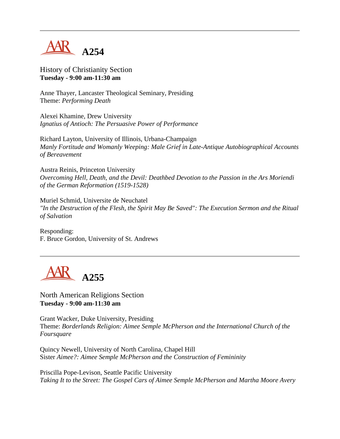

### History of Christianity Section **Tuesday - 9:00 am-11:30 am**

Anne Thayer, Lancaster Theological Seminary, Presiding Theme: *Performing Death*

Alexei Khamine, Drew University *Ignatius of Antioch: The Persuasive Power of Performance*

Richard Layton, University of Illinois, Urbana-Champaign *Manly Fortitude and Womanly Weeping: Male Grief in Late-Antique Autobiographical Accounts of Bereavement*

Austra Reinis, Princeton University *Overcoming Hell, Death, and the Devil: Deathbed Devotion to the Passion in the Ars Moriendi of the German Reformation (1519-1528)*

Muriel Schmid, Universite de Neuchatel *"In the Destruction of the Flesh, the Spirit May Be Saved": The Execution Sermon and the Ritual of Salvation*

Responding: F. Bruce Gordon, University of St. Andrews



North American Religions Section **Tuesday - 9:00 am-11:30 am**

Grant Wacker, Duke University, Presiding Theme: *Borderlands Religion: Aimee Semple McPherson and the International Church of the Foursquare*

Quincy Newell, University of North Carolina, Chapel Hill Sister *Aimee?: Aimee Semple McPherson and the Construction of Femininity*

Priscilla Pope-Levison, Seattle Pacific University *Taking It to the Street: The Gospel Cars of Aimee Semple McPherson and Martha Moore Avery*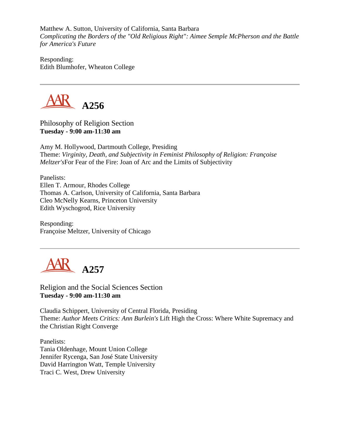Matthew A. Sutton, University of California, Santa Barbara *Complicating the Borders of the "Old Religious Right": Aimee Semple McPherson and the Battle for America's Future*

Responding: Edith Blumhofer, Wheaton College



Philosophy of Religion Section **Tuesday - 9:00 am-11:30 am**

Amy M. Hollywood, Dartmouth College, Presiding Theme: *Virginity, Death, and Subjectivity in Feminist Philosophy of Religion: Françoise Meltzer's*For Fear of the Fire: Joan of Arc and the Limits of Subjectivity

Panelists: Ellen T. Armour, Rhodes College Thomas A. Carlson, University of California, Santa Barbara Cleo McNelly Kearns, Princeton University Edith Wyschogrod, Rice University

Responding: Françoise Meltzer, University of Chicago



Religion and the Social Sciences Section **Tuesday - 9:00 am-11:30 am**

Claudia Schippert, University of Central Florida, Presiding Theme: *Author Meets Critics: Ann Burlein's* Lift High the Cross: Where White Supremacy and the Christian Right Converge

Panelists: Tania Oldenhage, Mount Union College Jennifer Rycenga, San José State University David Harrington Watt, Temple University Traci C. West, Drew University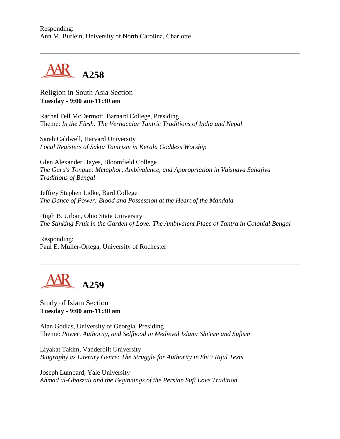Responding: Ann M. Burlein, University of North Carolina, Charlotte



Religion in South Asia Section **Tuesday - 9:00 am-11:30 am**

Rachel Fell McDermott, Barnard College, Presiding Theme: *In the Flesh: The Vernacular Tantric Traditions of India and Nepal*

Sarah Caldwell, Harvard University *Local Registers of Sakta Tantrism in Kerala Goddess Worship*

Glen Alexander Hayes, Bloomfield College *The Guru's Tongue: Metaphor, Ambivalence, and Appropriation in Vaisnava Sahajiya Traditions of Bengal*

Jeffrey Stephen Lidke, Bard College *The Dance of Power: Blood and Possession at the Heart of the Mandala*

Hugh B. Urban, Ohio State University *The Stinking Fruit in the Garden of Love: The Ambivalent Place of Tantra in Colonial Bengal*

Responding: Paul E. Muller-Ortega, University of Rochester



Study of Islam Section **Tuesday - 9:00 am-11:30 am**

Alan Godlas, University of Georgia, Presiding Theme: *Power, Authority, and Selfhood in Medieval Islam: Shi'ism and Sufism*

Liyakat Takim, Vanderbilt University *Biography as Literary Genre: The Struggle for Authority in Shi'i Rijal Texts*

Joseph Lumbard, Yale University *Ahmad al-Ghazzali and the Beginnings of the Persian Sufi Love Tradition*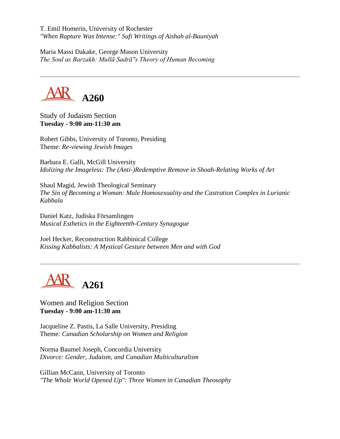T. Emil Homerin, University of Rochester *"When Rapture Was Intense:" Sufi Writings of Aishah al-Bauniyah*

Maria Massi Dakake, George Mason University *The Soul as Barzakh: Mullā Sadrā"s Theory of Human Becoming*



Study of Judaism Section **Tuesday - 9:00 am-11:30 am**

Robert Gibbs, University of Toronto, Presiding Theme: *Re-viewing Jewish Images*

Barbara E. Galli, McGill University *Idolizing the Imageless: The (Anti-)Redemptive Remove in Shoah-Relating Works of Art*

Shaul Magid, Jewish Theological Seminary *The Sin of Becoming a Woman: Male Homosexuality and the Castration Complex in Lurianic Kabbala*

Daniel Katz, Judiska Församlingen *Musical Esthetics in the Eighteenth-Century Synagogue*

Joel Hecker, Reconstruction Rabbinical College *Kissing Kabbalists: A Mystical Gesture between Men and with God*



Women and Religion Section **Tuesday - 9:00 am-11:30 am**

Jacqueline Z. Pastis, La Salle University, Presiding Theme: *Canadian Scholarship on Women and Religion*

Norma Baumel Joseph, Concordia University *Divorce: Gender, Judaism, and Canadian Multiculturalism*

Gillian McCann, University of Toronto *"The Whole World Opened Up": Three Women in Canadian Theosophy*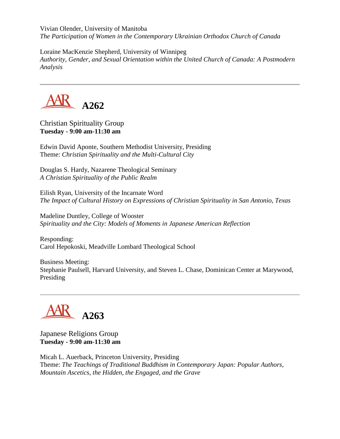Vivian Olender, University of Manitoba *The Participation of Women in the Contemporary Ukrainian Orthodox Church of Canada*

Loraine MacKenzie Shepherd, University of Winnipeg *Authority, Gender, and Sexual Orientation within the United Church of Canada: A Postmodern Analysis*



Christian Spirituality Group **Tuesday - 9:00 am-11:30 am**

Edwin David Aponte, Southern Methodist University, Presiding Theme: *Christian Spirituality and the Multi-Cultural City*

Douglas S. Hardy, Nazarene Theological Seminary *A Christian Spirituality of the Public Realm*

Eilish Ryan, University of the Incarnate Word *The Impact of Cultural History on Expressions of Christian Spirituality in San Antonio, Texas*

Madeline Duntley, College of Wooster *Spirituality and the City: Models of Moments in Japanese American Reflection*

Responding: Carol Hepokoski, Meadville Lombard Theological School

Business Meeting: Stephanie Paulsell, Harvard University, and Steven L. Chase, Dominican Center at Marywood, Presiding

# **A263**

Japanese Religions Group **Tuesday - 9:00 am-11:30 am**

Micah L. Auerback, Princeton University, Presiding Theme: *The Teachings of Traditional Buddhism in Contemporary Japan: Popular Authors, Mountain Ascetics, the Hidden, the Engaged, and the Grave*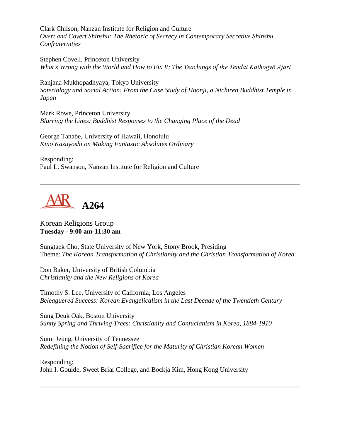Clark Chilson, Nanzan Institute for Religion and Culture *Overt and Covert Shinshu: The Rhetoric of Secrecy in Contemporary Secretive Shinshu Confraternities*

Stephen Covell, Princeton University *What's Wrong with the World and How to Fix It: The Teachings of the Tendai Kaihogyō Ajari*

Ranjana Mukhopadhyaya, Tokyo University *Soteriology and Social Action: From the Case Study of Hoonji, a Nichiren Buddhist Temple in Japan*

Mark Rowe, Princeton University *Blurring the Lines: Buddhist Responses to the Changing Place of the Dead*

George Tanabe, University of Hawaii, Honolulu *Kino Kazuyoshi on Making Fantastic Absolutes Ordinary*

Responding: Paul L. Swanson, Nanzan Institute for Religion and Culture



### Korean Religions Group **Tuesday - 9:00 am-11:30 am**

Sungtaek Cho, State University of New York, Stony Brook, Presiding Theme: *The Korean Transformation of Christianity and the Christian Transformation of Korea*

Don Baker, University of British Columbia *Christianity and the New Religions of Korea*

Timothy S. Lee, University of California, Los Angeles *Beleaguered Success: Korean Evangelicalism in the Last Decade of the Twentieth Century*

Sung Deuk Oak, Boston University *Sunny Spring and Thriving Trees: Christianity and Confucianism in Korea, 1884-1910*

Sumi Jeung, University of Tennessee *Redefining the Notion of Self-Sacrifice for the Maturity of Christian Korean Women*

Responding: John I. Goulde, Sweet Briar College, and Bockja Kim, Hong Kong University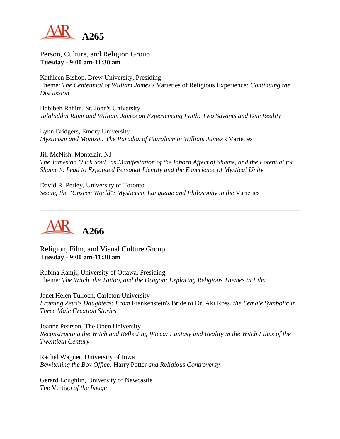

Person, Culture, and Religion Group **Tuesday - 9:00 am-11:30 am**

Kathleen Bishop, Drew University, Presiding Theme: *The Centennial of William James's* Varieties of Religious Experience*: Continuing the Discussion*

Habibeh Rahim, St. John's University *Jalaluddin Rumi and William James on Experiencing Faith: Two Savants and One Reality*

Lynn Bridgers, Emory University *Mysticism and Monism: The Paradox of Pluralism in William James's* Varieties

Jill McNish, Montclair, NJ *The Jamesian "Sick Soul" as Manifestation of the Inborn Affect of Shame, and the Potential for Shame to Lead to Expanded Personal Identity and the Experience of Mystical Unity*

David R. Perley, University of Toronto *Seeing the "Unseen World": Mysticism, Language and Philosophy in the* Varieties



Religion, Film, and Visual Culture Group **Tuesday - 9:00 am-11:30 am**

Rubina Ramji, University of Ottawa, Presiding Theme: *The Witch, the Tattoo, and the Dragon: Exploring Religious Themes in Film*

Janet Helen Tulloch, Carleton University *Framing Zeus's Daughters: From* Frankenstein's Bride *to* Dr. Aki Ross*, the Female Symbolic in Three Male Creation Stories*

Joanne Pearson, The Open University *Reconstructing the Witch and Reflecting Wicca: Fantasy and Reality in the Witch Films of the Twentieth Century*

Rachel Wagner, University of Iowa *Bewitching the Box Office:* Harry Potter *and Religious Controversy*

Gerard Loughlin, University of Newcastle *The* Vertigo *of the Image*